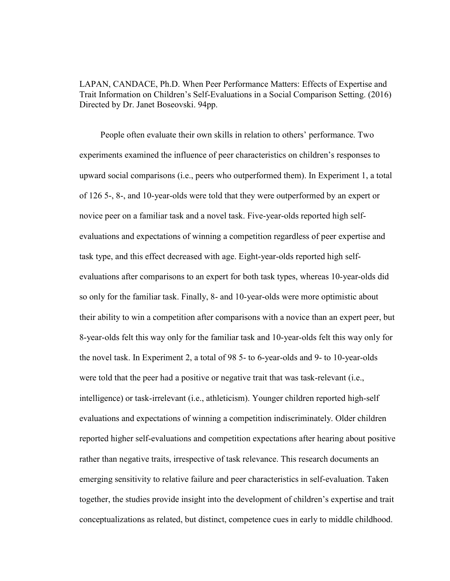LAPAN, CANDACE, Ph.D. When Peer Performance Matters: Effects of Expertise and Trait Information on Children's Self-Evaluations in a Social Comparison Setting. (2016) Directed by Dr. Janet Boseovski. 94pp.

 People often evaluate their own skills in relation to others' performance. Two experiments examined the influence of peer characteristics on children's responses to upward social comparisons (i.e., peers who outperformed them). In Experiment 1, a total of 126 5-, 8-, and 10-year-olds were told that they were outperformed by an expert or novice peer on a familiar task and a novel task. Five-year-olds reported high selfevaluations and expectations of winning a competition regardless of peer expertise and task type, and this effect decreased with age. Eight-year-olds reported high selfevaluations after comparisons to an expert for both task types, whereas 10-year-olds did so only for the familiar task. Finally, 8- and 10-year-olds were more optimistic about their ability to win a competition after comparisons with a novice than an expert peer, but 8-year-olds felt this way only for the familiar task and 10-year-olds felt this way only for the novel task. In Experiment 2, a total of 98 5- to 6-year-olds and 9- to 10-year-olds were told that the peer had a positive or negative trait that was task-relevant (i.e., intelligence) or task-irrelevant (i.e., athleticism). Younger children reported high-self evaluations and expectations of winning a competition indiscriminately. Older children reported higher self-evaluations and competition expectations after hearing about positive rather than negative traits, irrespective of task relevance. This research documents an emerging sensitivity to relative failure and peer characteristics in self-evaluation. Taken together, the studies provide insight into the development of children's expertise and trait conceptualizations as related, but distinct, competence cues in early to middle childhood.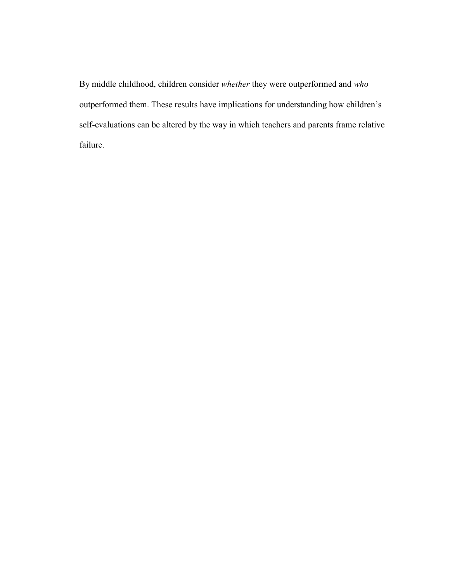By middle childhood, children consider whether they were outperformed and who outperformed them. These results have implications for understanding how children's self-evaluations can be altered by the way in which teachers and parents frame relative failure.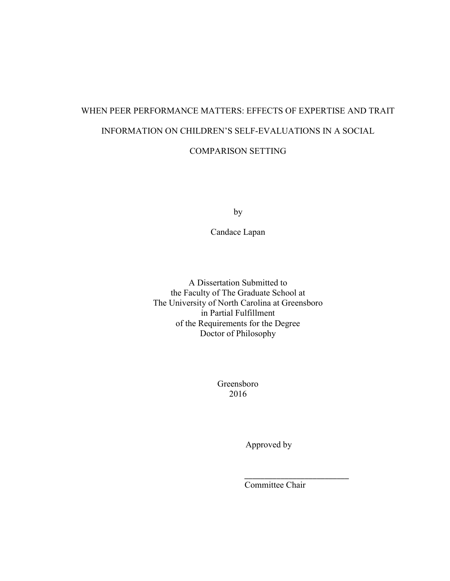# WHEN PEER PERFORMANCE MATTERS: EFFECTS OF EXPERTISE AND TRAIT INFORMATION ON CHILDREN'S SELF-EVALUATIONS IN A SOCIAL

COMPARISON SETTING

by

Candace Lapan

A Dissertation Submitted to the Faculty of The Graduate School at The University of North Carolina at Greensboro in Partial Fulfillment of the Requirements for the Degree Doctor of Philosophy

> Greensboro 2016

\_\_\_\_\_\_\_\_\_\_\_\_\_\_\_\_\_\_\_\_\_\_\_\_\_\_

Approved by

Committee Chair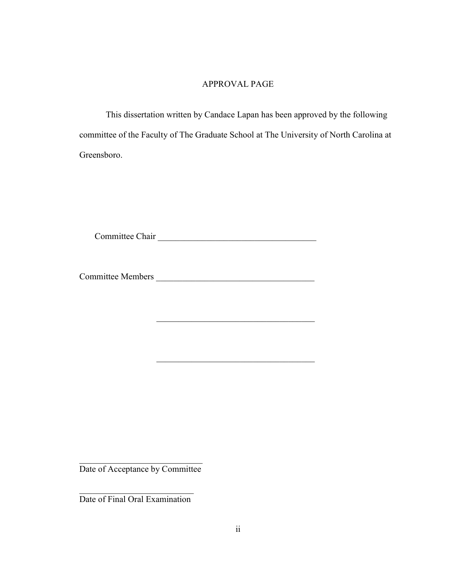## APPROVAL PAGE

 This dissertation written by Candace Lapan has been approved by the following committee of the Faculty of The Graduate School at The University of North Carolina at Greensboro.

Committee Chair \_\_\_\_\_\_\_\_\_\_\_\_\_\_\_\_\_\_\_\_\_\_\_\_\_\_\_\_\_\_\_\_\_\_\_\_

Committee Members \_\_\_\_\_\_\_\_\_\_\_\_\_\_\_\_\_\_\_\_\_\_\_\_\_\_\_\_\_\_\_\_\_\_\_\_

Date of Acceptance by Committee

 $\mathcal{L}_\text{max}$  , where  $\mathcal{L}_\text{max}$  and  $\mathcal{L}_\text{max}$ Date of Final Oral Examination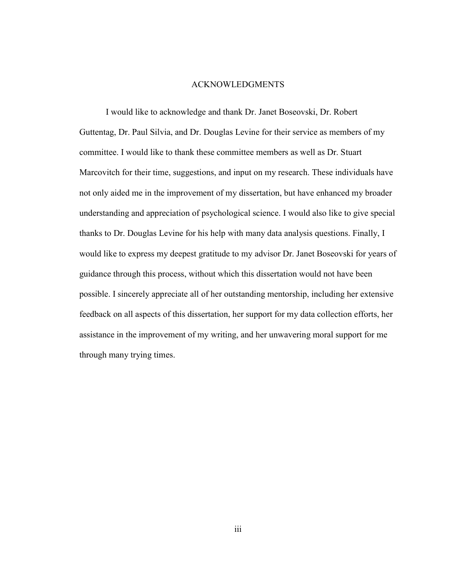### ACKNOWLEDGMENTS

 I would like to acknowledge and thank Dr. Janet Boseovski, Dr. Robert Guttentag, Dr. Paul Silvia, and Dr. Douglas Levine for their service as members of my committee. I would like to thank these committee members as well as Dr. Stuart Marcovitch for their time, suggestions, and input on my research. These individuals have not only aided me in the improvement of my dissertation, but have enhanced my broader understanding and appreciation of psychological science. I would also like to give special thanks to Dr. Douglas Levine for his help with many data analysis questions. Finally, I would like to express my deepest gratitude to my advisor Dr. Janet Boseovski for years of guidance through this process, without which this dissertation would not have been possible. I sincerely appreciate all of her outstanding mentorship, including her extensive feedback on all aspects of this dissertation, her support for my data collection efforts, her assistance in the improvement of my writing, and her unwavering moral support for me through many trying times.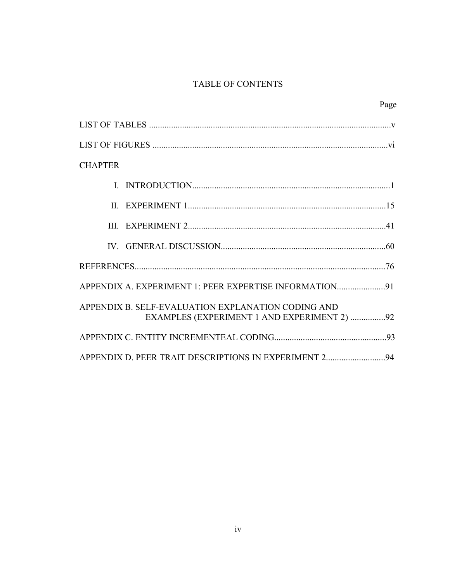# TABLE OF CONTENTS

| Page                                                                                              |
|---------------------------------------------------------------------------------------------------|
|                                                                                                   |
|                                                                                                   |
| <b>CHAPTER</b>                                                                                    |
|                                                                                                   |
|                                                                                                   |
|                                                                                                   |
|                                                                                                   |
|                                                                                                   |
| APPENDIX A. EXPERIMENT 1: PEER EXPERTISE INFORMATION91                                            |
| APPENDIX B. SELF-EVALUATION EXPLANATION CODING AND<br>EXAMPLES (EXPERIMENT 1 AND EXPERIMENT 2) 92 |
|                                                                                                   |
| APPENDIX D. PEER TRAIT DESCRIPTIONS IN EXPERIMENT 294                                             |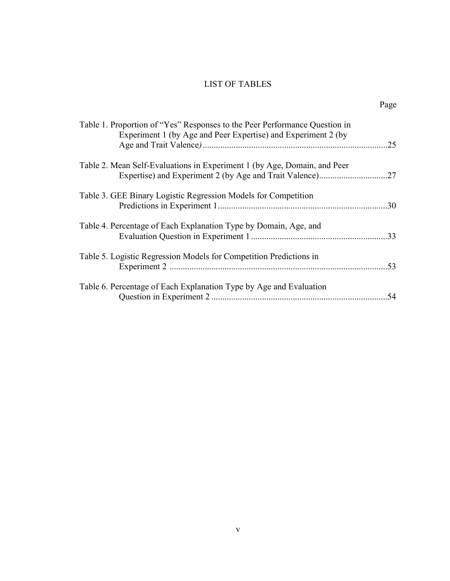# LIST OF TABLES

|--|

| Table 1. Proportion of "Yes" Responses to the Peer Performance Question in<br>Experiment 1 (by Age and Peer Expertise) and Experiment 2 (by | .25 |
|---------------------------------------------------------------------------------------------------------------------------------------------|-----|
| Table 2. Mean Self-Evaluations in Experiment 1 (by Age, Domain, and Peer                                                                    |     |
| Table 3. GEE Binary Logistic Regression Models for Competition                                                                              | .30 |
| Table 4. Percentage of Each Explanation Type by Domain, Age, and                                                                            | .33 |
| Table 5. Logistic Regression Models for Competition Predictions in                                                                          | .53 |
| Table 6. Percentage of Each Explanation Type by Age and Evaluation                                                                          | .54 |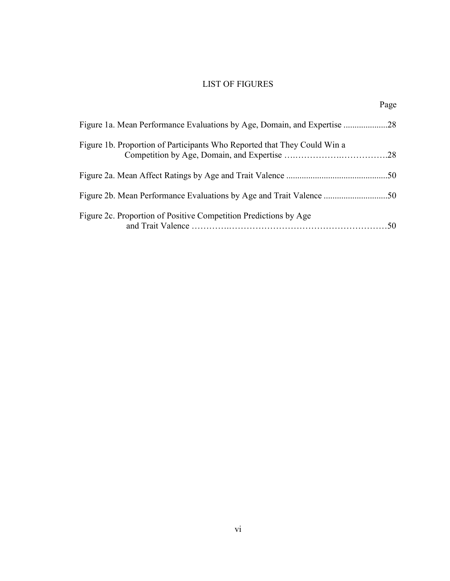# LIST OF FIGURES

|                                                                          | Page |
|--------------------------------------------------------------------------|------|
|                                                                          |      |
| Figure 1b. Proportion of Participants Who Reported that They Could Win a |      |
|                                                                          |      |
|                                                                          |      |
| Figure 2c. Proportion of Positive Competition Predictions by Age         |      |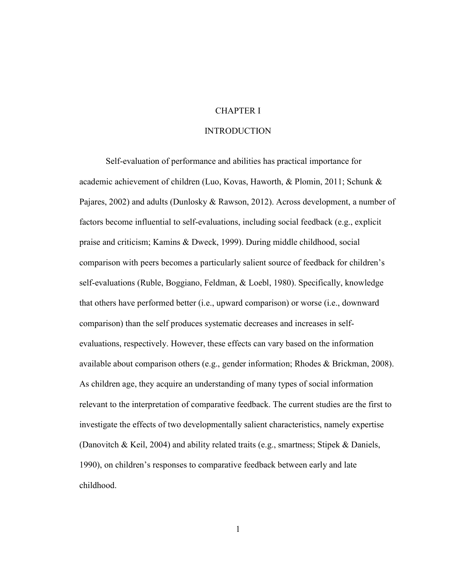# CHAPTER I

## INTRODUCTION

Self-evaluation of performance and abilities has practical importance for academic achievement of children (Luo, Kovas, Haworth, & Plomin, 2011; Schunk & Pajares, 2002) and adults (Dunlosky & Rawson, 2012). Across development, a number of factors become influential to self-evaluations, including social feedback (e.g., explicit praise and criticism; Kamins & Dweck, 1999). During middle childhood, social comparison with peers becomes a particularly salient source of feedback for children's self-evaluations (Ruble, Boggiano, Feldman, & Loebl, 1980). Specifically, knowledge that others have performed better (i.e., upward comparison) or worse (i.e., downward comparison) than the self produces systematic decreases and increases in selfevaluations, respectively. However, these effects can vary based on the information available about comparison others (e.g., gender information; Rhodes & Brickman, 2008). As children age, they acquire an understanding of many types of social information relevant to the interpretation of comparative feedback. The current studies are the first to investigate the effects of two developmentally salient characteristics, namely expertise (Danovitch & Keil, 2004) and ability related traits (e.g., smartness; Stipek & Daniels, 1990), on children's responses to comparative feedback between early and late childhood.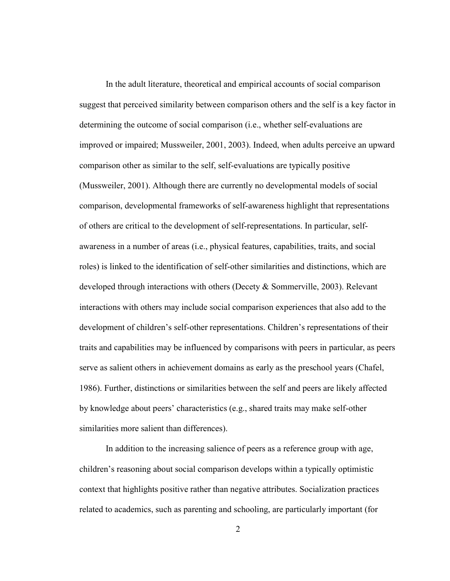In the adult literature, theoretical and empirical accounts of social comparison suggest that perceived similarity between comparison others and the self is a key factor in determining the outcome of social comparison (i.e., whether self-evaluations are improved or impaired; Mussweiler, 2001, 2003). Indeed, when adults perceive an upward comparison other as similar to the self, self-evaluations are typically positive (Mussweiler, 2001). Although there are currently no developmental models of social comparison, developmental frameworks of self-awareness highlight that representations of others are critical to the development of self-representations. In particular, selfawareness in a number of areas (i.e., physical features, capabilities, traits, and social roles) is linked to the identification of self-other similarities and distinctions, which are developed through interactions with others (Decety & Sommerville, 2003). Relevant interactions with others may include social comparison experiences that also add to the development of children's self-other representations. Children's representations of their traits and capabilities may be influenced by comparisons with peers in particular, as peers serve as salient others in achievement domains as early as the preschool years (Chafel, 1986). Further, distinctions or similarities between the self and peers are likely affected by knowledge about peers' characteristics (e.g., shared traits may make self-other similarities more salient than differences).

In addition to the increasing salience of peers as a reference group with age, children's reasoning about social comparison develops within a typically optimistic context that highlights positive rather than negative attributes. Socialization practices related to academics, such as parenting and schooling, are particularly important (for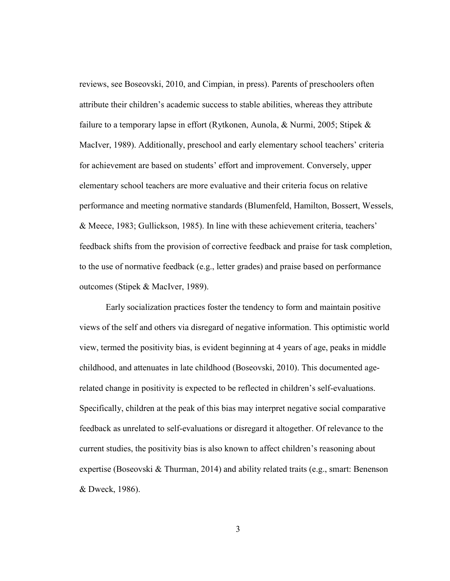reviews, see Boseovski, 2010, and Cimpian, in press). Parents of preschoolers often attribute their children's academic success to stable abilities, whereas they attribute failure to a temporary lapse in effort (Rytkonen, Aunola, & Nurmi, 2005; Stipek & MacIver, 1989). Additionally, preschool and early elementary school teachers' criteria for achievement are based on students' effort and improvement. Conversely, upper elementary school teachers are more evaluative and their criteria focus on relative performance and meeting normative standards (Blumenfeld, Hamilton, Bossert, Wessels, & Meece, 1983; Gullickson, 1985). In line with these achievement criteria, teachers' feedback shifts from the provision of corrective feedback and praise for task completion, to the use of normative feedback (e.g., letter grades) and praise based on performance outcomes (Stipek & MacIver, 1989).

Early socialization practices foster the tendency to form and maintain positive views of the self and others via disregard of negative information. This optimistic world view, termed the positivity bias, is evident beginning at 4 years of age, peaks in middle childhood, and attenuates in late childhood (Boseovski, 2010). This documented agerelated change in positivity is expected to be reflected in children's self-evaluations. Specifically, children at the peak of this bias may interpret negative social comparative feedback as unrelated to self-evaluations or disregard it altogether. Of relevance to the current studies, the positivity bias is also known to affect children's reasoning about expertise (Boseovski & Thurman, 2014) and ability related traits (e.g., smart: Benenson & Dweck, 1986).

3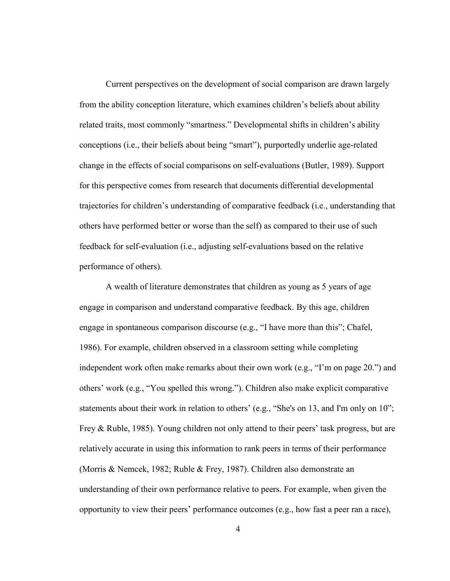Current perspectives on the development of social comparison are drawn largely from the ability conception literature, which examines children's beliefs about ability related traits, most commonly "smartness." Developmental shifts in children's ability conceptions (i.e., their beliefs about being "smart"), purportedly underlie age-related change in the effects of social comparisons on self-evaluations (Butler, 1989). Support for this perspective comes from research that documents differential developmental trajectories for children's understanding of comparative feedback (i.e., understanding that others have performed better or worse than the self) as compared to their use of such feedback for self-evaluation (i.e., adjusting self-evaluations based on the relative performance of others).

A wealth of literature demonstrates that children as young as 5 years of age engage in comparison and understand comparative feedback. By this age, children engage in spontaneous comparison discourse (e.g., "I have more than this"; Chafel, 1986). For example, children observed in a classroom setting while completing independent work often make remarks about their own work (e.g., "I'm on page 20.") and others' work (e.g., "You spelled this wrong."). Children also make explicit comparative statements about their work in relation to others' (e.g., "She's on 13, and I'm only on 10"; Frey & Ruble, 1985). Young children not only attend to their peers' task progress, but are relatively accurate in using this information to rank peers in terms of their performance (Morris & Nemcek, 1982; Ruble & Frey, 1987). Children also demonstrate an understanding of their own performance relative to peers. For example, when given the opportunity to view their peers' performance outcomes (e.g., how fast a peer ran a race),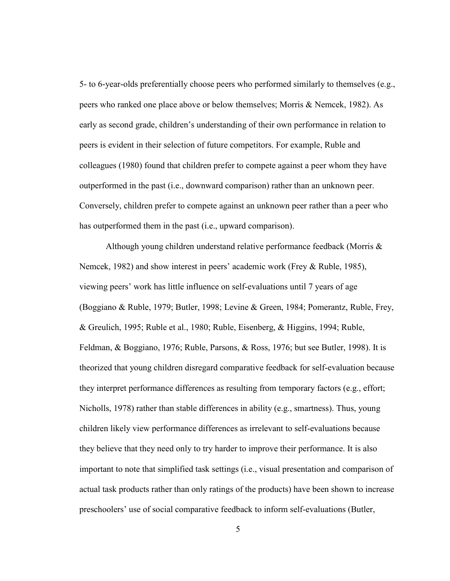5- to 6-year-olds preferentially choose peers who performed similarly to themselves (e.g., peers who ranked one place above or below themselves; Morris & Nemcek, 1982). As early as second grade, children's understanding of their own performance in relation to peers is evident in their selection of future competitors. For example, Ruble and colleagues (1980) found that children prefer to compete against a peer whom they have outperformed in the past (i.e., downward comparison) rather than an unknown peer. Conversely, children prefer to compete against an unknown peer rather than a peer who has outperformed them in the past (i.e., upward comparison).

Although young children understand relative performance feedback (Morris & Nemcek, 1982) and show interest in peers' academic work (Frey & Ruble, 1985), viewing peers' work has little influence on self-evaluations until 7 years of age (Boggiano & Ruble, 1979; Butler, 1998; Levine & Green, 1984; Pomerantz, Ruble, Frey, & Greulich, 1995; Ruble et al., 1980; Ruble, Eisenberg, & Higgins, 1994; Ruble, Feldman, & Boggiano, 1976; Ruble, Parsons, & Ross, 1976; but see Butler, 1998). It is theorized that young children disregard comparative feedback for self-evaluation because they interpret performance differences as resulting from temporary factors (e.g., effort; Nicholls, 1978) rather than stable differences in ability (e.g., smartness). Thus, young children likely view performance differences as irrelevant to self-evaluations because they believe that they need only to try harder to improve their performance. It is also important to note that simplified task settings (i.e., visual presentation and comparison of actual task products rather than only ratings of the products) have been shown to increase preschoolers' use of social comparative feedback to inform self-evaluations (Butler,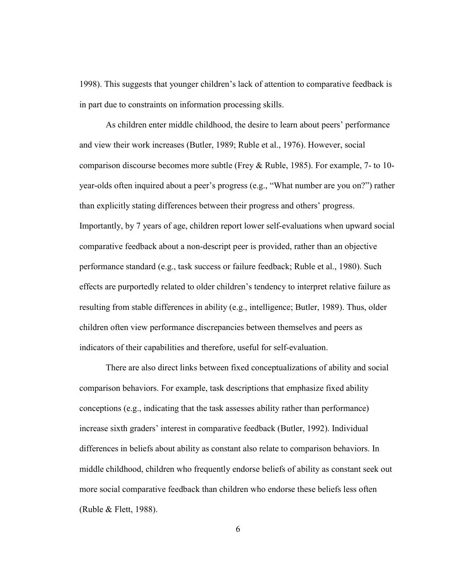1998). This suggests that younger children's lack of attention to comparative feedback is in part due to constraints on information processing skills.

As children enter middle childhood, the desire to learn about peers' performance and view their work increases (Butler, 1989; Ruble et al., 1976). However, social comparison discourse becomes more subtle (Frey & Ruble, 1985). For example, 7- to 10 year-olds often inquired about a peer's progress (e.g., "What number are you on?") rather than explicitly stating differences between their progress and others' progress. Importantly, by 7 years of age, children report lower self-evaluations when upward social comparative feedback about a non-descript peer is provided, rather than an objective performance standard (e.g., task success or failure feedback; Ruble et al., 1980). Such effects are purportedly related to older children's tendency to interpret relative failure as resulting from stable differences in ability (e.g., intelligence; Butler, 1989). Thus, older children often view performance discrepancies between themselves and peers as indicators of their capabilities and therefore, useful for self-evaluation.

There are also direct links between fixed conceptualizations of ability and social comparison behaviors. For example, task descriptions that emphasize fixed ability conceptions (e.g., indicating that the task assesses ability rather than performance) increase sixth graders' interest in comparative feedback (Butler, 1992). Individual differences in beliefs about ability as constant also relate to comparison behaviors. In middle childhood, children who frequently endorse beliefs of ability as constant seek out more social comparative feedback than children who endorse these beliefs less often (Ruble & Flett, 1988).

6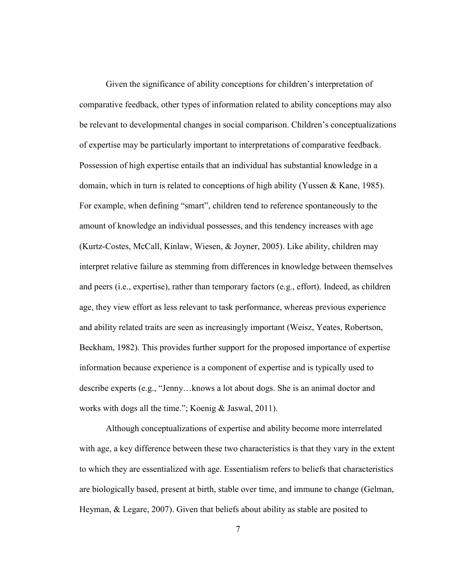Given the significance of ability conceptions for children's interpretation of comparative feedback, other types of information related to ability conceptions may also be relevant to developmental changes in social comparison. Children's conceptualizations of expertise may be particularly important to interpretations of comparative feedback. Possession of high expertise entails that an individual has substantial knowledge in a domain, which in turn is related to conceptions of high ability (Yussen & Kane, 1985). For example, when defining "smart", children tend to reference spontaneously to the amount of knowledge an individual possesses, and this tendency increases with age (Kurtz-Costes, McCall, Kinlaw, Wiesen, & Joyner, 2005). Like ability, children may interpret relative failure as stemming from differences in knowledge between themselves and peers (i.e., expertise), rather than temporary factors (e.g., effort). Indeed, as children age, they view effort as less relevant to task performance, whereas previous experience and ability related traits are seen as increasingly important (Weisz, Yeates, Robertson, Beckham, 1982). This provides further support for the proposed importance of expertise information because experience is a component of expertise and is typically used to describe experts (e.g., "Jenny…knows a lot about dogs. She is an animal doctor and works with dogs all the time."; Koenig & Jaswal, 2011).

 Although conceptualizations of expertise and ability become more interrelated with age, a key difference between these two characteristics is that they vary in the extent to which they are essentialized with age. Essentialism refers to beliefs that characteristics are biologically based, present at birth, stable over time, and immune to change (Gelman, Heyman, & Legare, 2007). Given that beliefs about ability as stable are posited to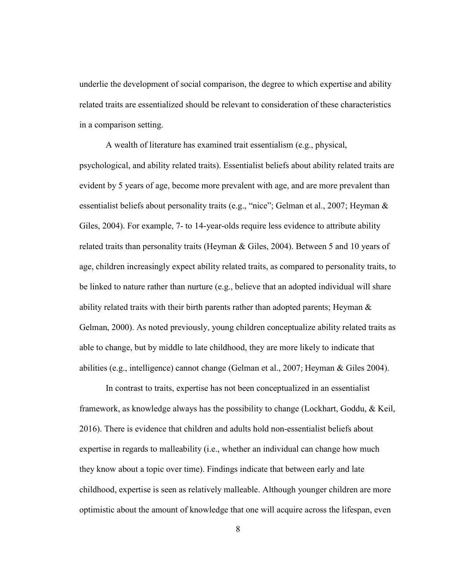underlie the development of social comparison, the degree to which expertise and ability related traits are essentialized should be relevant to consideration of these characteristics in a comparison setting.

A wealth of literature has examined trait essentialism (e.g., physical, psychological, and ability related traits). Essentialist beliefs about ability related traits are evident by 5 years of age, become more prevalent with age, and are more prevalent than essentialist beliefs about personality traits (e.g., "nice"; Gelman et al., 2007; Heyman & Giles, 2004). For example, 7- to 14-year-olds require less evidence to attribute ability related traits than personality traits (Heyman & Giles, 2004). Between 5 and 10 years of age, children increasingly expect ability related traits, as compared to personality traits, to be linked to nature rather than nurture (e.g., believe that an adopted individual will share ability related traits with their birth parents rather than adopted parents; Heyman & Gelman, 2000). As noted previously, young children conceptualize ability related traits as able to change, but by middle to late childhood, they are more likely to indicate that abilities (e.g., intelligence) cannot change (Gelman et al., 2007; Heyman & Giles 2004).

In contrast to traits, expertise has not been conceptualized in an essentialist framework, as knowledge always has the possibility to change (Lockhart, Goddu, & Keil, 2016). There is evidence that children and adults hold non-essentialist beliefs about expertise in regards to malleability (i.e., whether an individual can change how much they know about a topic over time). Findings indicate that between early and late childhood, expertise is seen as relatively malleable. Although younger children are more optimistic about the amount of knowledge that one will acquire across the lifespan, even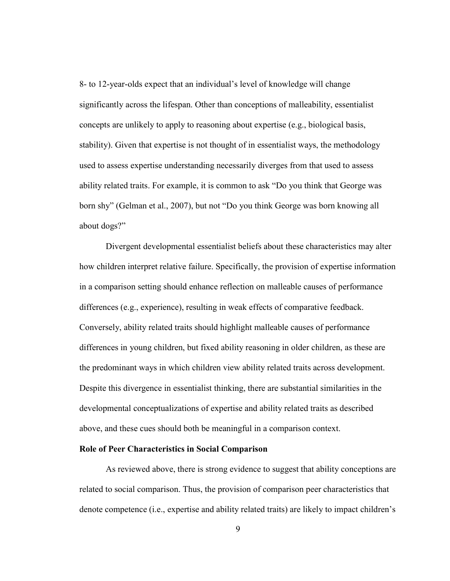8- to 12-year-olds expect that an individual's level of knowledge will change significantly across the lifespan. Other than conceptions of malleability, essentialist concepts are unlikely to apply to reasoning about expertise (e.g., biological basis, stability). Given that expertise is not thought of in essentialist ways, the methodology used to assess expertise understanding necessarily diverges from that used to assess ability related traits. For example, it is common to ask "Do you think that George was born shy" (Gelman et al., 2007), but not "Do you think George was born knowing all about dogs?"

Divergent developmental essentialist beliefs about these characteristics may alter how children interpret relative failure. Specifically, the provision of expertise information in a comparison setting should enhance reflection on malleable causes of performance differences (e.g., experience), resulting in weak effects of comparative feedback. Conversely, ability related traits should highlight malleable causes of performance differences in young children, but fixed ability reasoning in older children, as these are the predominant ways in which children view ability related traits across development. Despite this divergence in essentialist thinking, there are substantial similarities in the developmental conceptualizations of expertise and ability related traits as described above, and these cues should both be meaningful in a comparison context.

#### Role of Peer Characteristics in Social Comparison

As reviewed above, there is strong evidence to suggest that ability conceptions are related to social comparison. Thus, the provision of comparison peer characteristics that denote competence (i.e., expertise and ability related traits) are likely to impact children's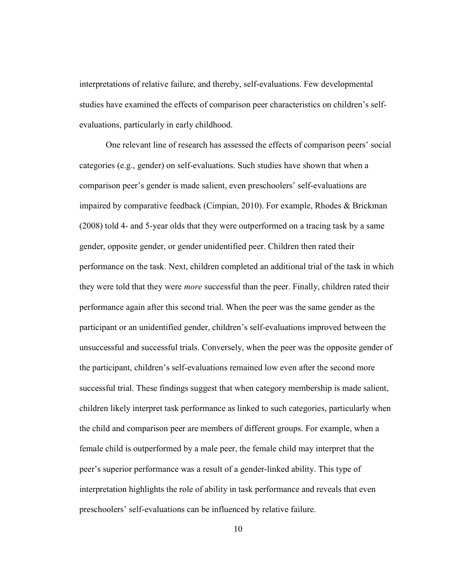interpretations of relative failure, and thereby, self-evaluations. Few developmental studies have examined the effects of comparison peer characteristics on children's selfevaluations, particularly in early childhood.

One relevant line of research has assessed the effects of comparison peers' social categories (e.g., gender) on self-evaluations. Such studies have shown that when a comparison peer's gender is made salient, even preschoolers' self-evaluations are impaired by comparative feedback (Cimpian, 2010). For example, Rhodes & Brickman (2008) told 4- and 5-year olds that they were outperformed on a tracing task by a same gender, opposite gender, or gender unidentified peer. Children then rated their performance on the task. Next, children completed an additional trial of the task in which they were told that they were *more* successful than the peer. Finally, children rated their performance again after this second trial. When the peer was the same gender as the participant or an unidentified gender, children's self-evaluations improved between the unsuccessful and successful trials. Conversely, when the peer was the opposite gender of the participant, children's self-evaluations remained low even after the second more successful trial. These findings suggest that when category membership is made salient, children likely interpret task performance as linked to such categories, particularly when the child and comparison peer are members of different groups. For example, when a female child is outperformed by a male peer, the female child may interpret that the peer's superior performance was a result of a gender-linked ability. This type of interpretation highlights the role of ability in task performance and reveals that even preschoolers' self-evaluations can be influenced by relative failure.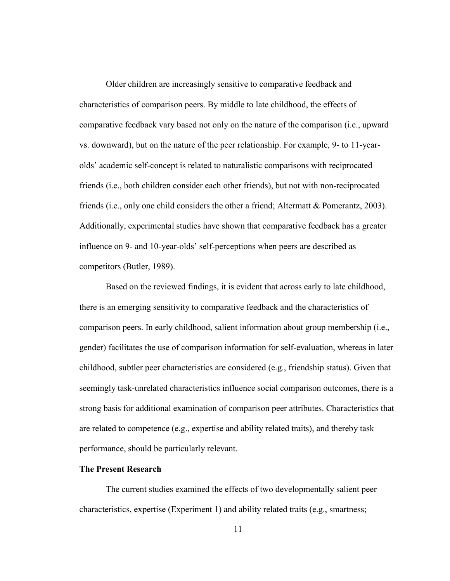Older children are increasingly sensitive to comparative feedback and characteristics of comparison peers. By middle to late childhood, the effects of comparative feedback vary based not only on the nature of the comparison (i.e., upward vs. downward), but on the nature of the peer relationship. For example, 9- to 11-yearolds' academic self-concept is related to naturalistic comparisons with reciprocated friends (i.e., both children consider each other friends), but not with non-reciprocated friends (i.e., only one child considers the other a friend; Altermatt & Pomerantz, 2003). Additionally, experimental studies have shown that comparative feedback has a greater influence on 9- and 10-year-olds' self-perceptions when peers are described as competitors (Butler, 1989).

Based on the reviewed findings, it is evident that across early to late childhood, there is an emerging sensitivity to comparative feedback and the characteristics of comparison peers. In early childhood, salient information about group membership (i.e., gender) facilitates the use of comparison information for self-evaluation, whereas in later childhood, subtler peer characteristics are considered (e.g., friendship status). Given that seemingly task-unrelated characteristics influence social comparison outcomes, there is a strong basis for additional examination of comparison peer attributes. Characteristics that are related to competence (e.g., expertise and ability related traits), and thereby task performance, should be particularly relevant.

#### The Present Research

The current studies examined the effects of two developmentally salient peer characteristics, expertise (Experiment 1) and ability related traits (e.g., smartness;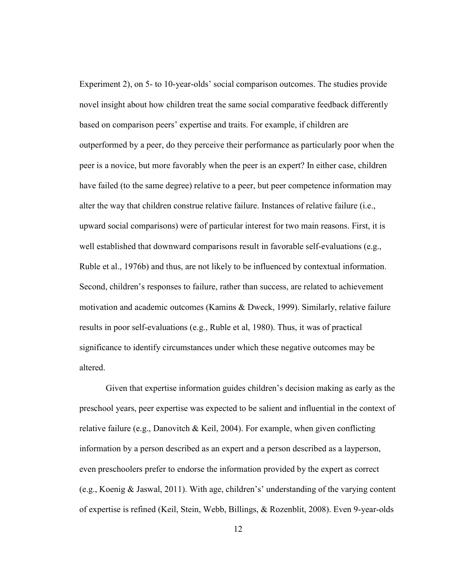Experiment 2), on 5- to 10-year-olds' social comparison outcomes. The studies provide novel insight about how children treat the same social comparative feedback differently based on comparison peers' expertise and traits. For example, if children are outperformed by a peer, do they perceive their performance as particularly poor when the peer is a novice, but more favorably when the peer is an expert? In either case, children have failed (to the same degree) relative to a peer, but peer competence information may alter the way that children construe relative failure. Instances of relative failure (i.e., upward social comparisons) were of particular interest for two main reasons. First, it is well established that downward comparisons result in favorable self-evaluations (e.g., Ruble et al., 1976b) and thus, are not likely to be influenced by contextual information. Second, children's responses to failure, rather than success, are related to achievement motivation and academic outcomes (Kamins & Dweck, 1999). Similarly, relative failure results in poor self-evaluations (e.g., Ruble et al, 1980). Thus, it was of practical significance to identify circumstances under which these negative outcomes may be altered.

Given that expertise information guides children's decision making as early as the preschool years, peer expertise was expected to be salient and influential in the context of relative failure (e.g., Danovitch & Keil, 2004). For example, when given conflicting information by a person described as an expert and a person described as a layperson, even preschoolers prefer to endorse the information provided by the expert as correct (e.g., Koenig & Jaswal, 2011). With age, children's' understanding of the varying content of expertise is refined (Keil, Stein, Webb, Billings, & Rozenblit, 2008). Even 9-year-olds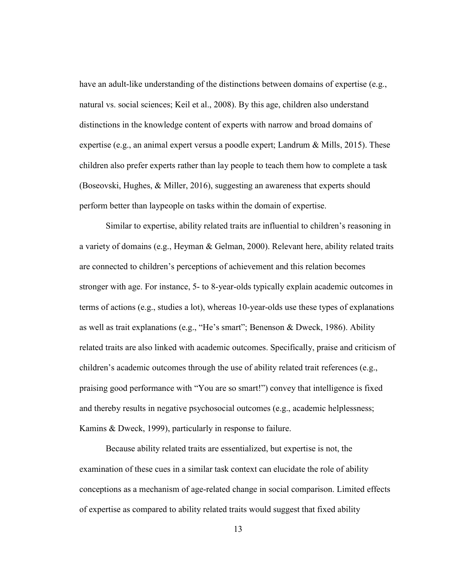have an adult-like understanding of the distinctions between domains of expertise (e.g., natural vs. social sciences; Keil et al., 2008). By this age, children also understand distinctions in the knowledge content of experts with narrow and broad domains of expertise (e.g., an animal expert versus a poodle expert; Landrum & Mills, 2015). These children also prefer experts rather than lay people to teach them how to complete a task (Boseovski, Hughes, & Miller, 2016), suggesting an awareness that experts should perform better than laypeople on tasks within the domain of expertise.

Similar to expertise, ability related traits are influential to children's reasoning in a variety of domains (e.g., Heyman & Gelman, 2000). Relevant here, ability related traits are connected to children's perceptions of achievement and this relation becomes stronger with age. For instance, 5- to 8-year-olds typically explain academic outcomes in terms of actions (e.g., studies a lot), whereas 10-year-olds use these types of explanations as well as trait explanations (e.g., "He's smart"; Benenson & Dweck, 1986). Ability related traits are also linked with academic outcomes. Specifically, praise and criticism of children's academic outcomes through the use of ability related trait references (e.g., praising good performance with "You are so smart!") convey that intelligence is fixed and thereby results in negative psychosocial outcomes (e.g., academic helplessness; Kamins & Dweck, 1999), particularly in response to failure.

Because ability related traits are essentialized, but expertise is not, the examination of these cues in a similar task context can elucidate the role of ability conceptions as a mechanism of age-related change in social comparison. Limited effects of expertise as compared to ability related traits would suggest that fixed ability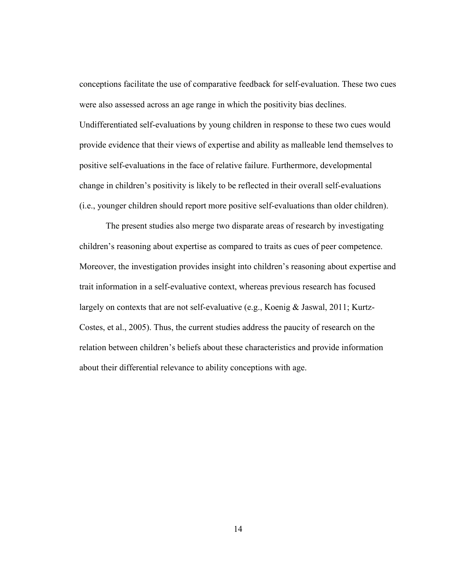conceptions facilitate the use of comparative feedback for self-evaluation. These two cues were also assessed across an age range in which the positivity bias declines. Undifferentiated self-evaluations by young children in response to these two cues would provide evidence that their views of expertise and ability as malleable lend themselves to positive self-evaluations in the face of relative failure. Furthermore, developmental change in children's positivity is likely to be reflected in their overall self-evaluations (i.e., younger children should report more positive self-evaluations than older children).

The present studies also merge two disparate areas of research by investigating children's reasoning about expertise as compared to traits as cues of peer competence. Moreover, the investigation provides insight into children's reasoning about expertise and trait information in a self-evaluative context, whereas previous research has focused largely on contexts that are not self-evaluative (e.g., Koenig & Jaswal, 2011; Kurtz-Costes, et al., 2005). Thus, the current studies address the paucity of research on the relation between children's beliefs about these characteristics and provide information about their differential relevance to ability conceptions with age.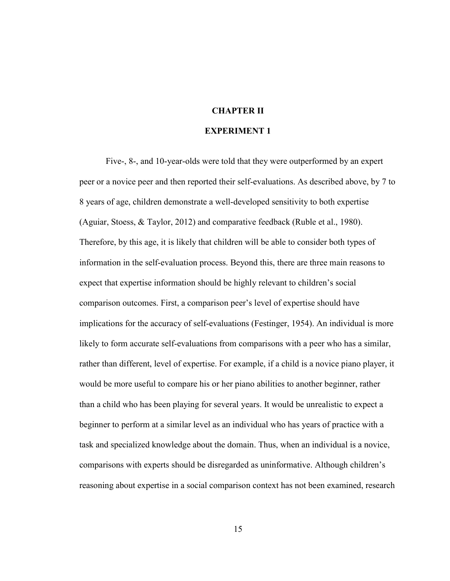# CHAPTER II

# EXPERIMENT 1

Five-, 8-, and 10-year-olds were told that they were outperformed by an expert peer or a novice peer and then reported their self-evaluations. As described above, by 7 to 8 years of age, children demonstrate a well-developed sensitivity to both expertise (Aguiar, Stoess, & Taylor, 2012) and comparative feedback (Ruble et al., 1980). Therefore, by this age, it is likely that children will be able to consider both types of information in the self-evaluation process. Beyond this, there are three main reasons to expect that expertise information should be highly relevant to children's social comparison outcomes. First, a comparison peer's level of expertise should have implications for the accuracy of self-evaluations (Festinger, 1954). An individual is more likely to form accurate self-evaluations from comparisons with a peer who has a similar, rather than different, level of expertise. For example, if a child is a novice piano player, it would be more useful to compare his or her piano abilities to another beginner, rather than a child who has been playing for several years. It would be unrealistic to expect a beginner to perform at a similar level as an individual who has years of practice with a task and specialized knowledge about the domain. Thus, when an individual is a novice, comparisons with experts should be disregarded as uninformative. Although children's reasoning about expertise in a social comparison context has not been examined, research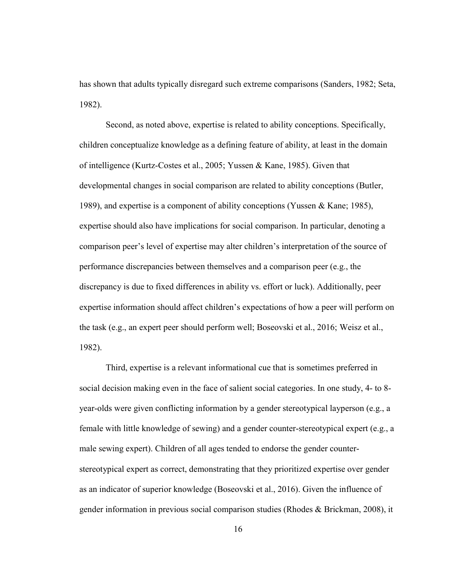has shown that adults typically disregard such extreme comparisons (Sanders, 1982; Seta, 1982).

Second, as noted above, expertise is related to ability conceptions. Specifically, children conceptualize knowledge as a defining feature of ability, at least in the domain of intelligence (Kurtz-Costes et al., 2005; Yussen & Kane, 1985). Given that developmental changes in social comparison are related to ability conceptions (Butler, 1989), and expertise is a component of ability conceptions (Yussen & Kane; 1985), expertise should also have implications for social comparison. In particular, denoting a comparison peer's level of expertise may alter children's interpretation of the source of performance discrepancies between themselves and a comparison peer (e.g., the discrepancy is due to fixed differences in ability vs. effort or luck). Additionally, peer expertise information should affect children's expectations of how a peer will perform on the task (e.g., an expert peer should perform well; Boseovski et al., 2016; Weisz et al., 1982).

Third, expertise is a relevant informational cue that is sometimes preferred in social decision making even in the face of salient social categories. In one study, 4- to 8 year-olds were given conflicting information by a gender stereotypical layperson (e.g., a female with little knowledge of sewing) and a gender counter-stereotypical expert (e.g., a male sewing expert). Children of all ages tended to endorse the gender counterstereotypical expert as correct, demonstrating that they prioritized expertise over gender as an indicator of superior knowledge (Boseovski et al., 2016). Given the influence of gender information in previous social comparison studies (Rhodes & Brickman, 2008), it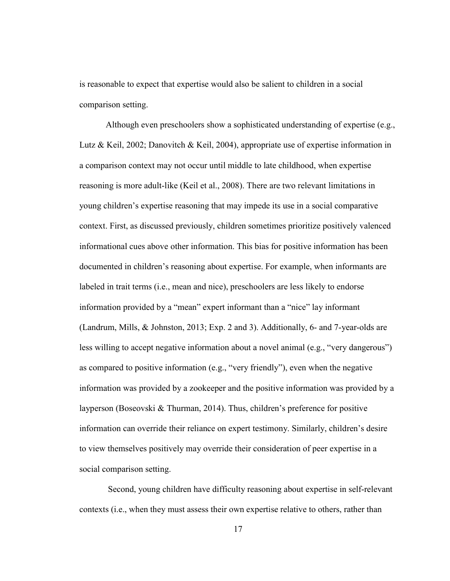is reasonable to expect that expertise would also be salient to children in a social comparison setting.

Although even preschoolers show a sophisticated understanding of expertise (e.g., Lutz & Keil, 2002; Danovitch & Keil, 2004), appropriate use of expertise information in a comparison context may not occur until middle to late childhood, when expertise reasoning is more adult-like (Keil et al., 2008). There are two relevant limitations in young children's expertise reasoning that may impede its use in a social comparative context. First, as discussed previously, children sometimes prioritize positively valenced informational cues above other information. This bias for positive information has been documented in children's reasoning about expertise. For example, when informants are labeled in trait terms (i.e., mean and nice), preschoolers are less likely to endorse information provided by a "mean" expert informant than a "nice" lay informant (Landrum, Mills, & Johnston, 2013; Exp. 2 and 3). Additionally, 6- and 7-year-olds are less willing to accept negative information about a novel animal (e.g., "very dangerous") as compared to positive information (e.g., "very friendly"), even when the negative information was provided by a zookeeper and the positive information was provided by a layperson (Boseovski & Thurman, 2014). Thus, children's preference for positive information can override their reliance on expert testimony. Similarly, children's desire to view themselves positively may override their consideration of peer expertise in a social comparison setting.

 Second, young children have difficulty reasoning about expertise in self-relevant contexts (i.e., when they must assess their own expertise relative to others, rather than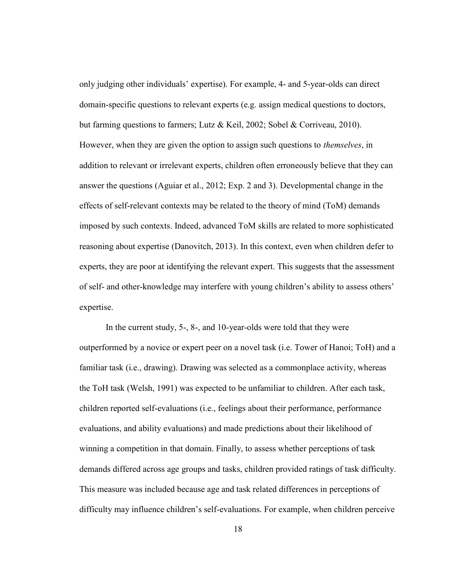only judging other individuals' expertise). For example, 4- and 5-year-olds can direct domain-specific questions to relevant experts (e.g. assign medical questions to doctors, but farming questions to farmers; Lutz & Keil, 2002; Sobel & Corriveau, 2010). However, when they are given the option to assign such questions to themselves, in addition to relevant or irrelevant experts, children often erroneously believe that they can answer the questions (Aguiar et al., 2012; Exp. 2 and 3). Developmental change in the effects of self-relevant contexts may be related to the theory of mind (ToM) demands imposed by such contexts. Indeed, advanced ToM skills are related to more sophisticated reasoning about expertise (Danovitch, 2013). In this context, even when children defer to experts, they are poor at identifying the relevant expert. This suggests that the assessment of self- and other-knowledge may interfere with young children's ability to assess others' expertise.

In the current study, 5-, 8-, and 10-year-olds were told that they were outperformed by a novice or expert peer on a novel task (i.e. Tower of Hanoi; ToH) and a familiar task (i.e., drawing). Drawing was selected as a commonplace activity, whereas the ToH task (Welsh, 1991) was expected to be unfamiliar to children. After each task, children reported self-evaluations (i.e., feelings about their performance, performance evaluations, and ability evaluations) and made predictions about their likelihood of winning a competition in that domain. Finally, to assess whether perceptions of task demands differed across age groups and tasks, children provided ratings of task difficulty. This measure was included because age and task related differences in perceptions of difficulty may influence children's self-evaluations. For example, when children perceive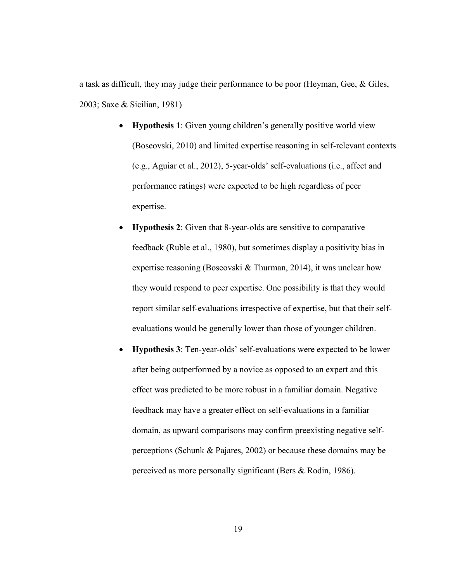a task as difficult, they may judge their performance to be poor (Heyman, Gee, & Giles, 2003; Saxe & Sicilian, 1981)

- Hypothesis 1: Given young children's generally positive world view (Boseovski, 2010) and limited expertise reasoning in self-relevant contexts (e.g., Aguiar et al., 2012), 5-year-olds' self-evaluations (i.e., affect and performance ratings) were expected to be high regardless of peer expertise.
- Hypothesis 2: Given that 8-year-olds are sensitive to comparative feedback (Ruble et al., 1980), but sometimes display a positivity bias in expertise reasoning (Boseovski & Thurman, 2014), it was unclear how they would respond to peer expertise. One possibility is that they would report similar self-evaluations irrespective of expertise, but that their selfevaluations would be generally lower than those of younger children.
- Hypothesis 3: Ten-year-olds' self-evaluations were expected to be lower after being outperformed by a novice as opposed to an expert and this effect was predicted to be more robust in a familiar domain. Negative feedback may have a greater effect on self-evaluations in a familiar domain, as upward comparisons may confirm preexisting negative selfperceptions (Schunk & Pajares, 2002) or because these domains may be perceived as more personally significant (Bers & Rodin, 1986).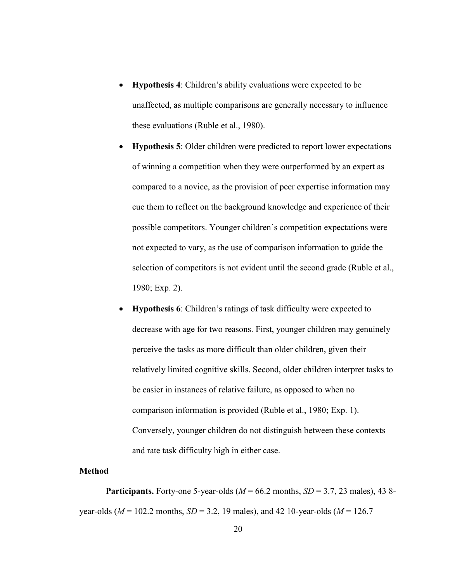- Hypothesis 4: Children's ability evaluations were expected to be unaffected, as multiple comparisons are generally necessary to influence these evaluations (Ruble et al., 1980).
- Hypothesis 5: Older children were predicted to report lower expectations of winning a competition when they were outperformed by an expert as compared to a novice, as the provision of peer expertise information may cue them to reflect on the background knowledge and experience of their possible competitors. Younger children's competition expectations were not expected to vary, as the use of comparison information to guide the selection of competitors is not evident until the second grade (Ruble et al., 1980; Exp. 2).
- Hypothesis 6: Children's ratings of task difficulty were expected to decrease with age for two reasons. First, younger children may genuinely perceive the tasks as more difficult than older children, given their relatively limited cognitive skills. Second, older children interpret tasks to be easier in instances of relative failure, as opposed to when no comparison information is provided (Ruble et al., 1980; Exp. 1). Conversely, younger children do not distinguish between these contexts and rate task difficulty high in either case.

#### Method

**Participants.** Forty-one 5-year-olds ( $M = 66.2$  months,  $SD = 3.7$ , 23 males), 43 8year-olds ( $M = 102.2$  months,  $SD = 3.2$ , 19 males), and 42 10-year-olds ( $M = 126.7$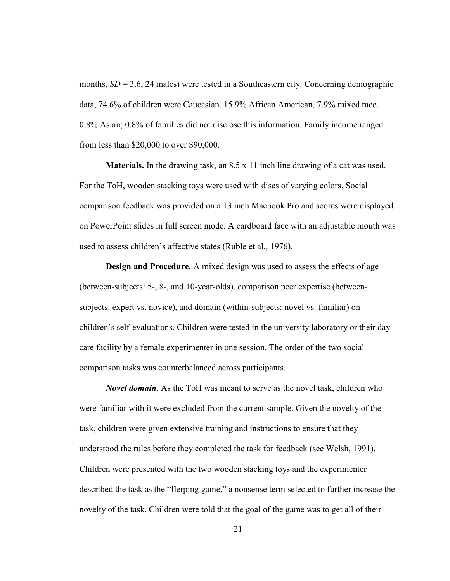months,  $SD = 3.6$ , 24 males) were tested in a Southeastern city. Concerning demographic data, 74.6% of children were Caucasian, 15.9% African American, 7.9% mixed race, 0.8% Asian; 0.8% of families did not disclose this information. Family income ranged from less than \$20,000 to over \$90,000.

Materials. In the drawing task, an 8.5 x 11 inch line drawing of a cat was used. For the ToH, wooden stacking toys were used with discs of varying colors. Social comparison feedback was provided on a 13 inch Macbook Pro and scores were displayed on PowerPoint slides in full screen mode. A cardboard face with an adjustable mouth was used to assess children's affective states (Ruble et al., 1976).

Design and Procedure. A mixed design was used to assess the effects of age (between-subjects: 5-, 8-, and 10-year-olds), comparison peer expertise (betweensubjects: expert vs. novice), and domain (within-subjects: novel vs. familiar) on children's self-evaluations. Children were tested in the university laboratory or their day care facility by a female experimenter in one session. The order of the two social comparison tasks was counterbalanced across participants.

Novel domain. As the ToH was meant to serve as the novel task, children who were familiar with it were excluded from the current sample. Given the novelty of the task, children were given extensive training and instructions to ensure that they understood the rules before they completed the task for feedback (see Welsh, 1991). Children were presented with the two wooden stacking toys and the experimenter described the task as the "flerping game," a nonsense term selected to further increase the novelty of the task. Children were told that the goal of the game was to get all of their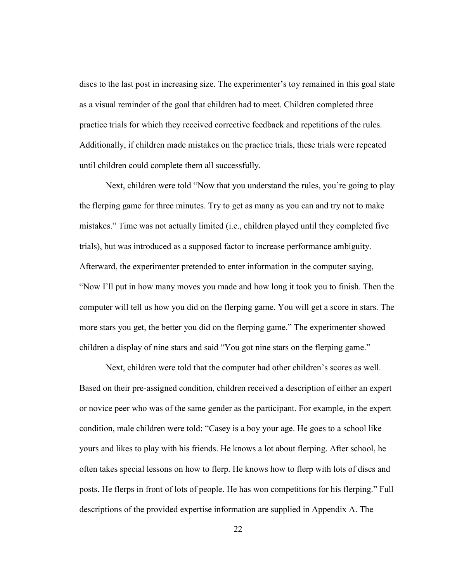discs to the last post in increasing size. The experimenter's toy remained in this goal state as a visual reminder of the goal that children had to meet. Children completed three practice trials for which they received corrective feedback and repetitions of the rules. Additionally, if children made mistakes on the practice trials, these trials were repeated until children could complete them all successfully.

Next, children were told "Now that you understand the rules, you're going to play the flerping game for three minutes. Try to get as many as you can and try not to make mistakes." Time was not actually limited (i.e., children played until they completed five trials), but was introduced as a supposed factor to increase performance ambiguity. Afterward, the experimenter pretended to enter information in the computer saying, "Now I'll put in how many moves you made and how long it took you to finish. Then the computer will tell us how you did on the flerping game. You will get a score in stars. The more stars you get, the better you did on the flerping game." The experimenter showed children a display of nine stars and said "You got nine stars on the flerping game."

Next, children were told that the computer had other children's scores as well. Based on their pre-assigned condition, children received a description of either an expert or novice peer who was of the same gender as the participant. For example, in the expert condition, male children were told: "Casey is a boy your age. He goes to a school like yours and likes to play with his friends. He knows a lot about flerping. After school, he often takes special lessons on how to flerp. He knows how to flerp with lots of discs and posts. He flerps in front of lots of people. He has won competitions for his flerping." Full descriptions of the provided expertise information are supplied in Appendix A. The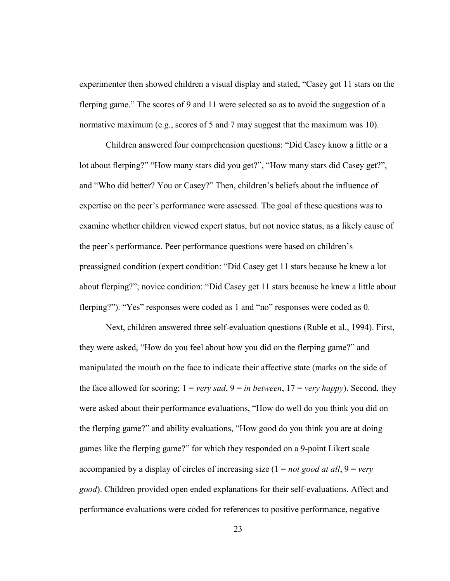experimenter then showed children a visual display and stated, "Casey got 11 stars on the flerping game." The scores of 9 and 11 were selected so as to avoid the suggestion of a normative maximum (e.g., scores of 5 and 7 may suggest that the maximum was 10).

Children answered four comprehension questions: "Did Casey know a little or a lot about flerping?" "How many stars did you get?", "How many stars did Casey get?", and "Who did better? You or Casey?" Then, children's beliefs about the influence of expertise on the peer's performance were assessed. The goal of these questions was to examine whether children viewed expert status, but not novice status, as a likely cause of the peer's performance. Peer performance questions were based on children's preassigned condition (expert condition: "Did Casey get 11 stars because he knew a lot about flerping?"; novice condition: "Did Casey get 11 stars because he knew a little about flerping?"). "Yes" responses were coded as 1 and "no" responses were coded as 0.

Next, children answered three self-evaluation questions (Ruble et al., 1994). First, they were asked, "How do you feel about how you did on the flerping game?" and manipulated the mouth on the face to indicate their affective state (marks on the side of the face allowed for scoring;  $1 = \text{very} \text{ sad}, 9 = \text{in} \text{ between}, 17 = \text{very} \text{ happy}$ ). Second, they were asked about their performance evaluations, "How do well do you think you did on the flerping game?" and ability evaluations, "How good do you think you are at doing games like the flerping game?" for which they responded on a 9-point Likert scale accompanied by a display of circles of increasing size  $(1 = not good at all, 9 = very$ good). Children provided open ended explanations for their self-evaluations. Affect and performance evaluations were coded for references to positive performance, negative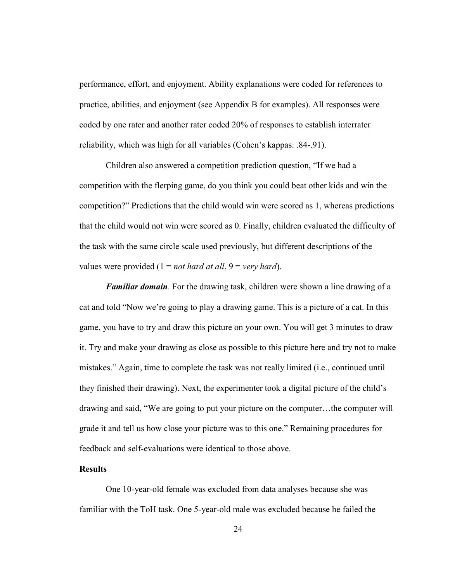performance, effort, and enjoyment. Ability explanations were coded for references to practice, abilities, and enjoyment (see Appendix B for examples). All responses were coded by one rater and another rater coded 20% of responses to establish interrater reliability, which was high for all variables (Cohen's kappas: .84-.91).

Children also answered a competition prediction question, "If we had a competition with the flerping game, do you think you could beat other kids and win the competition?" Predictions that the child would win were scored as 1, whereas predictions that the child would not win were scored as 0. Finally, children evaluated the difficulty of the task with the same circle scale used previously, but different descriptions of the values were provided  $(1 = not hard at all, 9 = very hard).$ 

**Familiar domain.** For the drawing task, children were shown a line drawing of a cat and told "Now we're going to play a drawing game. This is a picture of a cat. In this game, you have to try and draw this picture on your own. You will get 3 minutes to draw it. Try and make your drawing as close as possible to this picture here and try not to make mistakes." Again, time to complete the task was not really limited (i.e., continued until they finished their drawing). Next, the experimenter took a digital picture of the child's drawing and said, "We are going to put your picture on the computer…the computer will grade it and tell us how close your picture was to this one." Remaining procedures for feedback and self-evaluations were identical to those above.

## **Results**

One 10-year-old female was excluded from data analyses because she was familiar with the ToH task. One 5-year-old male was excluded because he failed the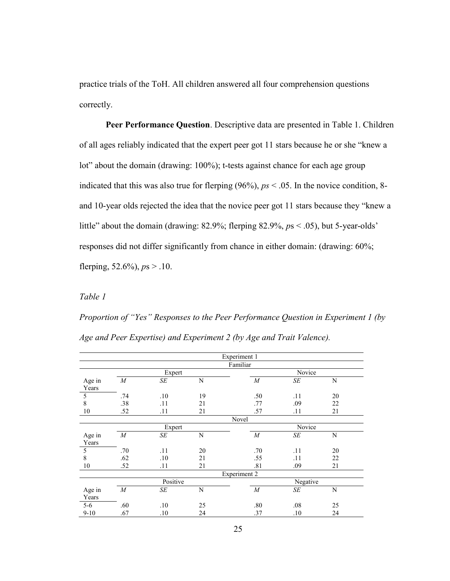practice trials of the ToH. All children answered all four comprehension questions correctly.

Peer Performance Question. Descriptive data are presented in Table 1. Children of all ages reliably indicated that the expert peer got 11 stars because he or she "knew a lot" about the domain (drawing: 100%); t-tests against chance for each age group indicated that this was also true for flerping  $(96\%)$ ,  $ps < .05$ . In the novice condition, 8and 10-year olds rejected the idea that the novice peer got 11 stars because they "knew a little" about the domain (drawing: 82.9%; flerping 82.9%,  $ps < .05$ ), but 5-year-olds' responses did not differ significantly from chance in either domain: (drawing: 60%; flerping,  $52.6\%$ ),  $ps > .10$ .

## Table 1

Proportion of "Yes" Responses to the Peer Performance Question in Experiment 1 (by Age and Peer Expertise) and Experiment 2 (by Age and Trait Valence).

|        | Experiment 1     |              |    |                  |          |    |  |  |  |  |  |  |  |  |
|--------|------------------|--------------|----|------------------|----------|----|--|--|--|--|--|--|--|--|
|        |                  |              |    | Familiar         |          |    |  |  |  |  |  |  |  |  |
|        |                  | Expert       |    | Novice           |          |    |  |  |  |  |  |  |  |  |
| Age in | $\boldsymbol{M}$ | SЕ           | N  | $\boldsymbol{M}$ | SE       | N  |  |  |  |  |  |  |  |  |
| Years  |                  |              |    |                  |          |    |  |  |  |  |  |  |  |  |
| 5      | .74              | .10          | 19 | .50              | .11      | 20 |  |  |  |  |  |  |  |  |
| 8      | .38              | .11          | 21 | .77              | .09      | 22 |  |  |  |  |  |  |  |  |
| 10     | .52              | .11          | 21 | .57              | .11      | 21 |  |  |  |  |  |  |  |  |
|        | Novel            |              |    |                  |          |    |  |  |  |  |  |  |  |  |
|        |                  | Expert       |    |                  | Novice   |    |  |  |  |  |  |  |  |  |
| Age in | $\boldsymbol{M}$ | SE<br>N      |    | $\boldsymbol{M}$ | SE       | N  |  |  |  |  |  |  |  |  |
| Years  |                  |              |    |                  |          |    |  |  |  |  |  |  |  |  |
| 5      | .70              | .11          | 20 | .70              | .11      | 20 |  |  |  |  |  |  |  |  |
| 8      | .62              | .10          | 21 | .55              | .11      | 22 |  |  |  |  |  |  |  |  |
| 10     | .52              | .11          | 21 | .81              | .09      | 21 |  |  |  |  |  |  |  |  |
|        |                  | Experiment 2 |    |                  |          |    |  |  |  |  |  |  |  |  |
|        |                  | Positive     |    |                  | Negative |    |  |  |  |  |  |  |  |  |
| Age in | $M_{\rm}$        | SE           | N  | $\boldsymbol{M}$ | SE       | N  |  |  |  |  |  |  |  |  |
| Years  |                  |              |    |                  |          |    |  |  |  |  |  |  |  |  |
| $5-6$  | .60              | .10          | 25 | .80              | .08      | 25 |  |  |  |  |  |  |  |  |
| $9-10$ | .67              | .10          | 24 | .37              | .10      | 24 |  |  |  |  |  |  |  |  |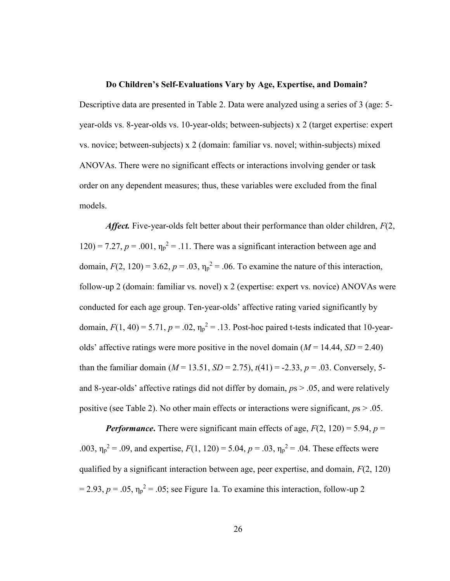## Do Children's Self-Evaluations Vary by Age, Expertise, and Domain?

Descriptive data are presented in Table 2. Data were analyzed using a series of 3 (age: 5 year-olds vs. 8-year-olds vs. 10-year-olds; between-subjects) x 2 (target expertise: expert vs. novice; between-subjects) x 2 (domain: familiar vs. novel; within-subjects) mixed ANOVAs. There were no significant effects or interactions involving gender or task order on any dependent measures; thus, these variables were excluded from the final models.

Affect. Five-year-olds felt better about their performance than older children,  $F(2, 1)$ 120) = 7.27,  $p = .001$ ,  $\eta_p^2 = .11$ . There was a significant interaction between age and domain,  $F(2, 120) = 3.62$ ,  $p = .03$ ,  $\eta_p^2 = .06$ . To examine the nature of this interaction, follow-up 2 (domain: familiar vs. novel) x 2 (expertise: expert vs. novice) ANOVAs were conducted for each age group. Ten-year-olds' affective rating varied significantly by domain,  $F(1, 40) = 5.71$ ,  $p = .02$ ,  $\eta_p^2 = .13$ . Post-hoc paired t-tests indicated that 10-yearolds' affective ratings were more positive in the novel domain ( $M = 14.44$ ,  $SD = 2.40$ ) than the familiar domain ( $M = 13.51$ ,  $SD = 2.75$ ),  $t(41) = -2.33$ ,  $p = .03$ . Conversely, 5and 8-year-olds' affective ratings did not differ by domain,  $ps > .05$ , and were relatively positive (see Table 2). No other main effects or interactions were significant,  $p_s > .05$ .

**Performance.** There were significant main effects of age,  $F(2, 120) = 5.94$ ,  $p =$ .003,  $\eta_p^2 = .09$ , and expertise,  $F(1, 120) = 5.04$ ,  $p = .03$ ,  $\eta_p^2 = .04$ . These effects were qualified by a significant interaction between age, peer expertise, and domain,  $F(2, 120)$  $= 2.93, p = .05, \eta_p^2 = .05$ ; see Figure 1a. To examine this interaction, follow-up 2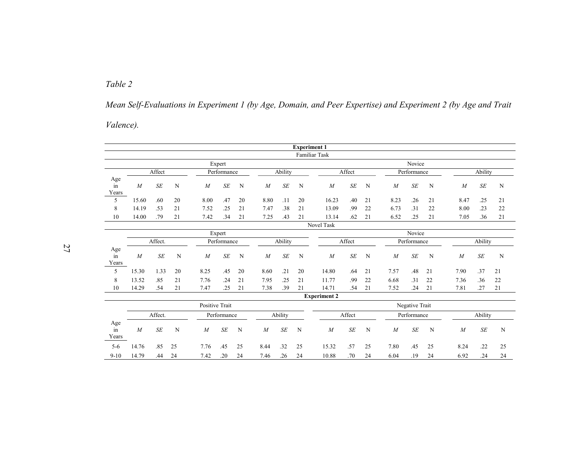Table 2

Mean Self-Evaluations in Experiment 1 (by Age, Domain, and Peer Expertise) and Experiment 2 (by Age and Trait

Valence).

|                                     |                |                |          |                |                      |          |                  |            | <b>Experiment 1</b> |                      |            |             |                  |            |          |                  |                      |             |
|-------------------------------------|----------------|----------------|----------|----------------|----------------------|----------|------------------|------------|---------------------|----------------------|------------|-------------|------------------|------------|----------|------------------|----------------------|-------------|
|                                     |                |                |          |                |                      |          |                  |            |                     | <b>Familiar Task</b> |            |             |                  |            |          |                  |                      |             |
|                                     |                |                |          |                | Expert               |          |                  |            |                     |                      |            |             |                  | Novice     |          |                  |                      |             |
|                                     | Affect         |                |          | Performance    |                      |          |                  | Ability    |                     | Affect               |            | Performance |                  |            | Ability  |                  |                      |             |
| Age<br>in<br>Years                  | $\overline{M}$ | $S\!E$         | N        | $\overline{M}$ | SE                   | N        | $\overline{M}$   | SE         | N                   | $\boldsymbol{M}$     | SE         | N           | $\overline{M}$   | SE         | N        | $\boldsymbol{M}$ | SE                   | $\mathbf N$ |
| 5                                   | 15.60          | .60            | 20       | 8.00           | .47                  | 20       | 8.80             | .11        | 20                  | 16.23                | .40        | 21          | 8.23             | .26        | 21       | 8.47             | .25                  | 21          |
| 8                                   | 14.19          | .53            | 21       | 7.52           | .25                  | 21       | 7.47             | .38        | 21                  | 13.09                | .99        | 22          | 6.73             | .31        | 22       | 8.00             | .23                  | 22          |
| 10                                  | 14.00          | .79            | 21       | 7.42           | .34                  | 21       | 7.25             | .43        | 21                  | 13.14                | .62        | 21          | 6.52             | .25        | 21       | 7.05             | .36                  | 21          |
|                                     |                |                |          |                |                      |          |                  |            |                     | <b>Novel Task</b>    |            |             |                  |            |          |                  |                      |             |
|                                     |                | Expert         |          |                |                      |          |                  |            | Novice              |                      |            |             |                  |            |          |                  |                      |             |
|                                     |                | Affect.        |          |                | Performance          |          |                  | Ability    |                     |                      | Affect     |             | Performance      |            |          | Ability          |                      |             |
| Age<br>$\operatorname{in}$<br>Years | $\overline{M}$ | $S\!E$         | N        | $\overline{M}$ | <b>SE</b>            | N        | $\overline{M}$   | $\cal SE$  | ${\bf N}$           | $\boldsymbol{M}$     | SE         | N           | $\overline{M}$   | SE         | N        | $\boldsymbol{M}$ | <b>SE</b>            | ${\bf N}$   |
| 5                                   | 15.30          | 1.33           | 20       | 8.25           | .45                  | 20       | 8.60             | .21        | 20                  | 14.80                | .64        | 21          | 7.57             | .48        | 21       | 7.90             | .37                  | 21          |
| 8<br>10                             | 13.52<br>14.29 | .85<br>.54     | 21<br>21 | 7.76<br>7.47   | .24<br>.25           | 21<br>21 | 7.95<br>7.38     | .25<br>.39 | 21<br>21            | 11.77<br>14.71       | .99<br>.54 | 22<br>21    | 6.68<br>7.52     | .31<br>.24 | 22<br>21 | 7.36<br>7.81     | .36<br>.27           | 22<br>21    |
|                                     |                |                |          |                |                      |          |                  |            |                     | <b>Experiment 2</b>  |            |             |                  |            |          |                  |                      |             |
|                                     |                | Positive Trait |          |                |                      |          |                  |            |                     | Negative Trait       |            |             |                  |            |          |                  |                      |             |
| Affect.                             |                |                |          | Performance    |                      |          |                  | Ability    |                     | Affect               |            | Performance |                  |            | Ability  |                  |                      |             |
| Age<br>in<br>Years                  | $\overline{M}$ | SE             | N        | $\overline{M}$ | $S\hspace{-0.08em}E$ | N        | $\boldsymbol{M}$ | $\cal SE$  | N                   | $\boldsymbol{M}$     | SE         | N           | $\boldsymbol{M}$ | SE         | N        | M                | $S\hspace{-0.08em}E$ | N           |
| $5 - 6$                             | 14.76          | .85            | 25       | 7.76           | .45                  | 25       | 8.44             | .32        | 25                  | 15.32                | .57        | 25          | 7.80             | .45        | 25       | 8.24             | .22                  | 25          |
| $9-10$                              | 14.79          | .44            | 24       | 7.42           | .20                  | 24       | 7.46             | .26        | 24                  | 10.88                | .70        | 24          | 6.04             | .19        | 24       | 6.92             | .24                  | 24          |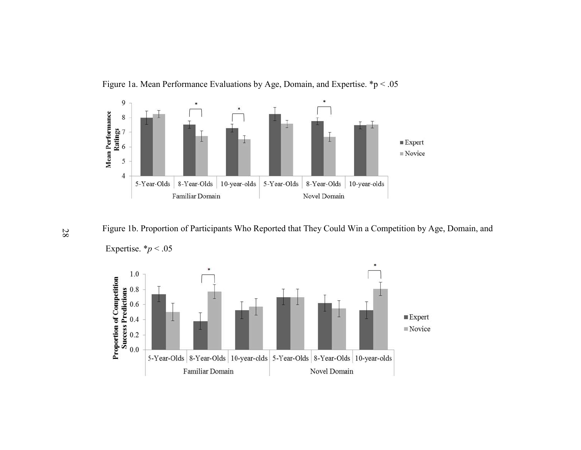

Figure 1a. Mean Performance Evaluations by Age, Domain, and Expertise. \*p < .05

Figure 1b. Proportion of Participants Who Reported that They Could Win a Competition by Age, Domain, and



 $\frac{1}{\infty}$  Figure 1b. Proportio<br>Expertise. \*p < .05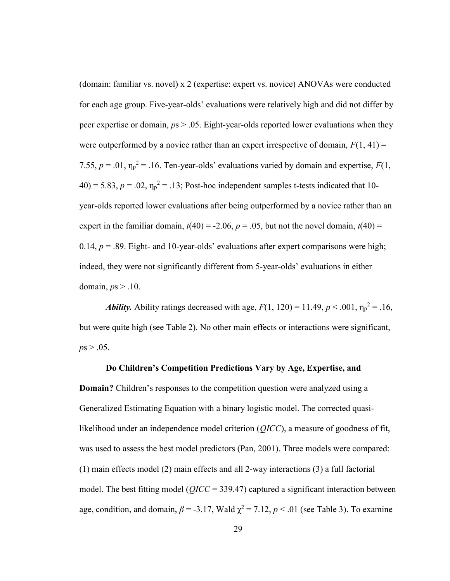(domain: familiar vs. novel) x 2 (expertise: expert vs. novice) ANOVAs were conducted for each age group. Five-year-olds' evaluations were relatively high and did not differ by peer expertise or domain,  $ps > 0.05$ . Eight-year-olds reported lower evaluations when they were outperformed by a novice rather than an expert irrespective of domain,  $F(1, 41) =$ 7.55,  $p = .01$ ,  $\eta_p^2 = .16$ . Ten-year-olds' evaluations varied by domain and expertise,  $F(1, 1)$  $40$ ) = 5.83, p = .02,  $\eta_p^2$  = .13; Post-hoc independent samples t-tests indicated that 10year-olds reported lower evaluations after being outperformed by a novice rather than an expert in the familiar domain,  $t(40) = -2.06$ ,  $p = .05$ , but not the novel domain,  $t(40) =$ 0.14,  $p = 0.89$ . Eight- and 10-year-olds' evaluations after expert comparisons were high; indeed, they were not significantly different from 5-year-olds' evaluations in either domain,  $ps > .10$ .

**Ability.** Ability ratings decreased with age,  $F(1, 120) = 11.49$ ,  $p < .001$ ,  $\eta_p^2 = .16$ , but were quite high (see Table 2). No other main effects or interactions were significant,  $ps > .05$ .

#### Do Children's Competition Predictions Vary by Age, Expertise, and

Domain? Children's responses to the competition question were analyzed using a Generalized Estimating Equation with a binary logistic model. The corrected quasilikelihood under an independence model criterion (QICC), a measure of goodness of fit, was used to assess the best model predictors (Pan, 2001). Three models were compared: (1) main effects model (2) main effects and all 2-way interactions (3) a full factorial model. The best fitting model ( $QICC = 339.47$ ) captured a significant interaction between age, condition, and domain,  $\beta$  = -3.17, Wald  $\chi^2$  = 7.12,  $p < .01$  (see Table 3). To examine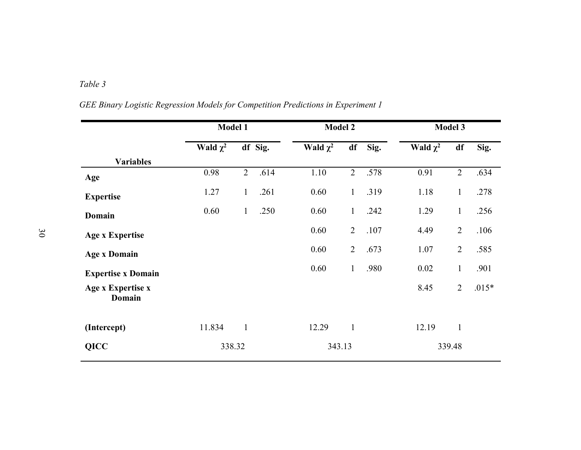# Table 3

|                                    | <b>Model 1</b> |                | <b>Model 2</b> |               |                | Model 3 |               |                |         |
|------------------------------------|----------------|----------------|----------------|---------------|----------------|---------|---------------|----------------|---------|
|                                    | Wald $\chi^2$  |                | df Sig.        | Wald $\chi^2$ | df             | Sig.    | Wald $\chi^2$ | df             | Sig.    |
| <b>Variables</b>                   |                |                |                |               |                |         |               |                |         |
| Age                                | 0.98           | $\overline{2}$ | .614           | 1.10          | $\overline{2}$ | .578    | 0.91          | $\overline{2}$ | .634    |
| <b>Expertise</b>                   | 1.27           | $\mathbf{1}$   | .261           | 0.60          | $\mathbf{1}$   | .319    | 1.18          | $\mathbf{1}$   | .278    |
| Domain                             | 0.60           | $\mathbf{1}$   | .250           | 0.60          | $\mathbf{1}$   | .242    | 1.29          | $\mathbf{1}$   | .256    |
| <b>Age x Expertise</b>             |                |                |                | 0.60          | $\overline{2}$ | .107    | 4.49          | $\overline{2}$ | .106    |
| <b>Age x Domain</b>                |                |                |                | 0.60          | $\overline{2}$ | .673    | 1.07          | $\overline{2}$ | .585    |
| <b>Expertise x Domain</b>          |                |                |                | 0.60          | $\mathbf{1}$   | .980    | 0.02          | $\mathbf{1}$   | .901    |
| Age x Expertise x<br><b>Domain</b> |                |                |                |               |                |         | 8.45          | $\overline{2}$ | $.015*$ |
| (Intercept)                        | 11.834         | $\mathbf{1}$   |                | 12.29         | $\mathbf{1}$   |         | 12.19         | $\mathbf{1}$   |         |
| <b>QICC</b>                        | 338.32         |                |                | 343.13        |                |         |               | 339.48         |         |

GEE Binary Logistic Regression Models for Competition Predictions in Experiment 1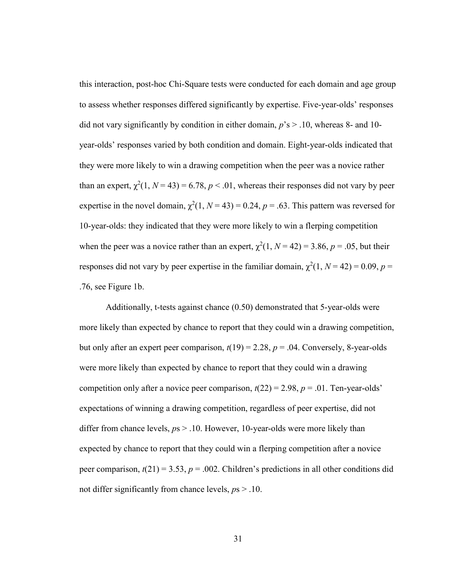this interaction, post-hoc Chi-Square tests were conducted for each domain and age group to assess whether responses differed significantly by expertise. Five-year-olds' responses did not vary significantly by condition in either domain,  $p$ 's  $>$  .10, whereas 8- and 10year-olds' responses varied by both condition and domain. Eight-year-olds indicated that they were more likely to win a drawing competition when the peer was a novice rather than an expert,  $\chi^2(1, N = 43) = 6.78$ ,  $p < .01$ , whereas their responses did not vary by peer expertise in the novel domain,  $\chi^2(1, N = 43) = 0.24$ ,  $p = .63$ . This pattern was reversed for 10-year-olds: they indicated that they were more likely to win a flerping competition when the peer was a novice rather than an expert,  $\chi^2(1, N = 42) = 3.86$ ,  $p = .05$ , but their responses did not vary by peer expertise in the familiar domain,  $\chi^2(1, N = 42) = 0.09$ ,  $p =$ .76, see Figure 1b.

Additionally, t-tests against chance (0.50) demonstrated that 5-year-olds were more likely than expected by chance to report that they could win a drawing competition, but only after an expert peer comparison,  $t(19) = 2.28$ ,  $p = .04$ . Conversely, 8-year-olds were more likely than expected by chance to report that they could win a drawing competition only after a novice peer comparison,  $t(22) = 2.98$ ,  $p = .01$ . Ten-year-olds' expectations of winning a drawing competition, regardless of peer expertise, did not differ from chance levels,  $ps > 0.10$ . However, 10-year-olds were more likely than expected by chance to report that they could win a flerping competition after a novice peer comparison,  $t(21) = 3.53$ ,  $p = .002$ . Children's predictions in all other conditions did not differ significantly from chance levels,  $p_s > .10$ .

31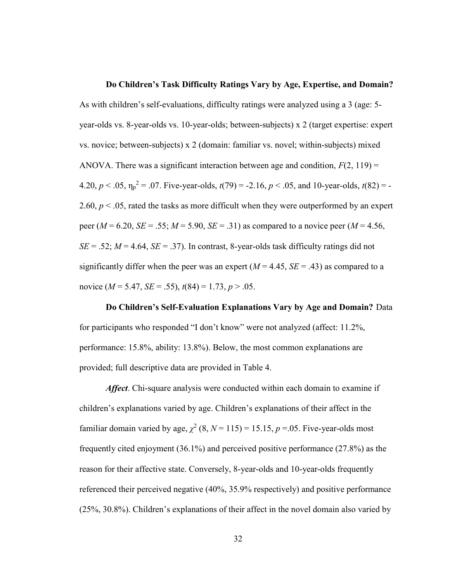#### Do Children's Task Difficulty Ratings Vary by Age, Expertise, and Domain?

As with children's self-evaluations, difficulty ratings were analyzed using a 3 (age: 5 year-olds vs. 8-year-olds vs. 10-year-olds; between-subjects) x 2 (target expertise: expert vs. novice; between-subjects) x 2 (domain: familiar vs. novel; within-subjects) mixed ANOVA. There was a significant interaction between age and condition,  $F(2, 119) =$ 4.20,  $p < .05$ ,  $\eta_p^2 = .07$ . Five-year-olds,  $t(79) = -2.16$ ,  $p < .05$ , and 10-year-olds,  $t(82) = -1$ 2.60,  $p < 0.05$ , rated the tasks as more difficult when they were outperformed by an expert peer ( $M = 6.20$ ,  $SE = .55$ ;  $M = 5.90$ ,  $SE = .31$ ) as compared to a novice peer ( $M = 4.56$ ,  $SE = .52$ ;  $M = 4.64$ ,  $SE = .37$ ). In contrast, 8-year-olds task difficulty ratings did not significantly differ when the peer was an expert  $(M = 4.45, SE = .43)$  as compared to a novice ( $M = 5.47$ ,  $SE = .55$ ),  $t(84) = 1.73$ ,  $p > .05$ .

Do Children's Self-Evaluation Explanations Vary by Age and Domain? Data for participants who responded "I don't know" were not analyzed (affect: 11.2%, performance: 15.8%, ability: 13.8%). Below, the most common explanations are provided; full descriptive data are provided in Table 4.

Affect. Chi-square analysis were conducted within each domain to examine if children's explanations varied by age. Children's explanations of their affect in the familiar domain varied by age,  $\chi^2$  (8, N = 115) = 15.15, p = 05. Five-year-olds most frequently cited enjoyment (36.1%) and perceived positive performance (27.8%) as the reason for their affective state. Conversely, 8-year-olds and 10-year-olds frequently referenced their perceived negative (40%, 35.9% respectively) and positive performance (25%, 30.8%). Children's explanations of their affect in the novel domain also varied by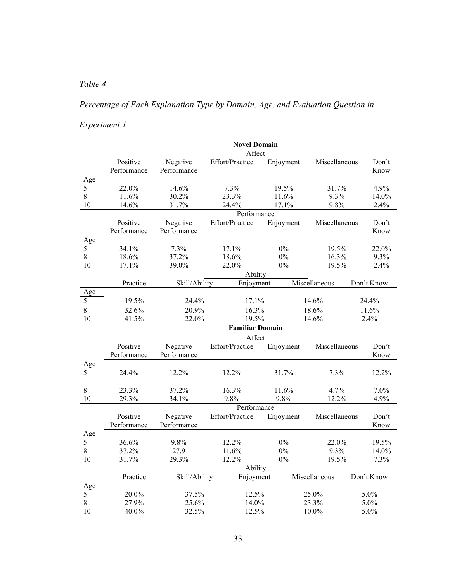## Table 4

# Percentage of Each Explanation Type by Domain, Age, and Evaluation Question in

# Experiment 1

|                      |             |               | <b>Novel Domain</b>    |           |               |            |  |  |  |  |  |
|----------------------|-------------|---------------|------------------------|-----------|---------------|------------|--|--|--|--|--|
|                      |             | Affect        |                        |           |               |            |  |  |  |  |  |
|                      | Positive    | Negative      | Effort/Practice        | Enjoyment | Miscellaneous | Don't      |  |  |  |  |  |
|                      | Performance | Performance   |                        |           |               | Know       |  |  |  |  |  |
| Age                  |             |               |                        |           |               |            |  |  |  |  |  |
| 5                    | 22.0%       | 14.6%         | 7.3%                   | 19.5%     | 31.7%         | 4.9%       |  |  |  |  |  |
| $\,$ $\,$            | 11.6%       | 30.2%         | 23.3%                  | 11.6%     | 9.3%          | 14.0%      |  |  |  |  |  |
| 10                   | 14.6%       | 31.7%         | 24.4%                  | 17.1%     | 9.8%          | 2.4%       |  |  |  |  |  |
|                      | Performance |               |                        |           |               |            |  |  |  |  |  |
|                      | Positive    | Negative      | Effort/Practice        | Enjoyment | Miscellaneous | Don't      |  |  |  |  |  |
|                      | Performance | Performance   |                        |           |               | Know       |  |  |  |  |  |
| Age                  |             |               |                        |           |               |            |  |  |  |  |  |
| 5                    | 34.1%       | 7.3%          | 17.1%                  | 0%        | 19.5%         | 22.0%      |  |  |  |  |  |
| $\,$ $\,$            | 18.6%       | 37.2%         | 18.6%                  | $0\%$     | 16.3%         | 9.3%       |  |  |  |  |  |
| 10                   | 17.1%       | 39.0%         | 22.0%                  | $0\%$     | 19.5%         | 2.4%       |  |  |  |  |  |
|                      | Ability     |               |                        |           |               |            |  |  |  |  |  |
|                      | Practice    | Skill/Ability | Enjoyment              |           | Miscellaneous | Don't Know |  |  |  |  |  |
| Age                  |             |               |                        |           |               |            |  |  |  |  |  |
| 5                    | 19.5%       | 24.4%         | 17.1%                  |           | 14.6%         | 24.4%      |  |  |  |  |  |
| 8                    | 32.6%       | 20.9%         | 16.3%                  |           | 18.6%         | 11.6%      |  |  |  |  |  |
| 10                   | 41.5%       | 22.0%         | 19.5%                  |           | 14.6%         | 2.4%       |  |  |  |  |  |
|                      |             |               | <b>Familiar Domain</b> |           |               |            |  |  |  |  |  |
|                      | Affect      |               |                        |           |               |            |  |  |  |  |  |
|                      | Positive    | Negative      | Effort/Practice        | Enjoyment | Miscellaneous | Don't      |  |  |  |  |  |
|                      | Performance | Performance   |                        |           |               | Know       |  |  |  |  |  |
|                      |             |               |                        |           |               |            |  |  |  |  |  |
| Age<br>$rac{Age}{5}$ | 24.4%       | 12.2%         | 12.2%                  | 31.7%     | 7.3%          | 12.2%      |  |  |  |  |  |
|                      |             |               |                        |           |               |            |  |  |  |  |  |
| 8                    | 23.3%       | 37.2%         | 16.3%                  | 11.6%     | 4.7%          | 7.0%       |  |  |  |  |  |
| 10                   | 29.3%       | 34.1%         | 9.8%                   | 9.8%      | 12.2%         | 4.9%       |  |  |  |  |  |
|                      | Performance |               |                        |           |               |            |  |  |  |  |  |
|                      | Positive    | Negative      | Effort/Practice        | Enjoyment | Miscellaneous | Don't      |  |  |  |  |  |
|                      | Performance | Performance   |                        |           |               | Know       |  |  |  |  |  |
| Age                  |             |               |                        |           |               |            |  |  |  |  |  |
| 5                    | 36.6%       | 9.8%          | 12.2%                  | 0%        | 22.0%         | 19.5%      |  |  |  |  |  |
| 8                    | 37.2%       | 27.9          | 11.6%                  | 0%        | 9.3%          | 14.0%      |  |  |  |  |  |
| 10                   | 31.7%       | 29.3%         | 12.2%                  | $0\%$     | 19.5%         | 7.3%       |  |  |  |  |  |
|                      |             |               | Ability                |           |               |            |  |  |  |  |  |
|                      | Practice    | Skill/Ability | Enjoyment              |           | Miscellaneous | Don't Know |  |  |  |  |  |
| Age                  |             |               |                        |           |               |            |  |  |  |  |  |
| 5                    | 20.0%       | 37.5%         | 12.5%                  |           | 25.0%         | 5.0%       |  |  |  |  |  |
| 8                    | 27.9%       | 25.6%         | 14.0%                  |           | 23.3%         | 5.0%       |  |  |  |  |  |
| 10                   | $40.0\%$    | 32.5%         |                        | 12.5%     |               | 5.0%       |  |  |  |  |  |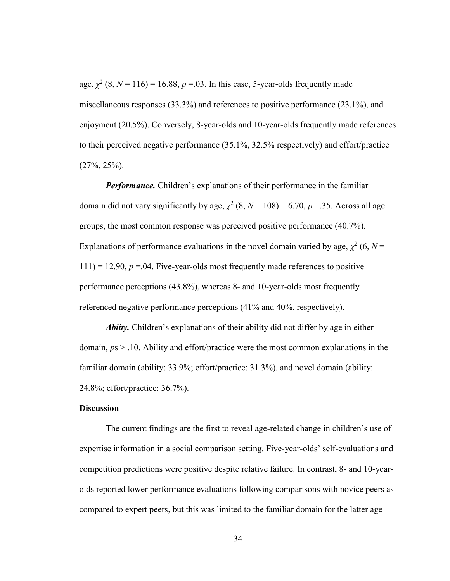age,  $\chi^2$  (8, N = 116) = 16.88, p = 03. In this case, 5-year-olds frequently made miscellaneous responses (33.3%) and references to positive performance (23.1%), and enjoyment (20.5%). Conversely, 8-year-olds and 10-year-olds frequently made references to their perceived negative performance (35.1%, 32.5% respectively) and effort/practice (27%, 25%).

Performance. Children's explanations of their performance in the familiar domain did not vary significantly by age,  $\chi^2$  (8, N = 108) = 6.70, p = 35. Across all age groups, the most common response was perceived positive performance (40.7%). Explanations of performance evaluations in the novel domain varied by age,  $\chi^2$  (6, N =  $111$ ) = 12.90,  $p = 0.04$ . Five-year-olds most frequently made references to positive performance perceptions (43.8%), whereas 8- and 10-year-olds most frequently referenced negative performance perceptions (41% and 40%, respectively).

Abiity. Children's explanations of their ability did not differ by age in either domain,  $ps > 0.10$ . Ability and effort/practice were the most common explanations in the familiar domain (ability: 33.9%; effort/practice: 31.3%). and novel domain (ability: 24.8%; effort/practice: 36.7%).

#### **Discussion**

 The current findings are the first to reveal age-related change in children's use of expertise information in a social comparison setting. Five-year-olds' self-evaluations and competition predictions were positive despite relative failure. In contrast, 8- and 10-yearolds reported lower performance evaluations following comparisons with novice peers as compared to expert peers, but this was limited to the familiar domain for the latter age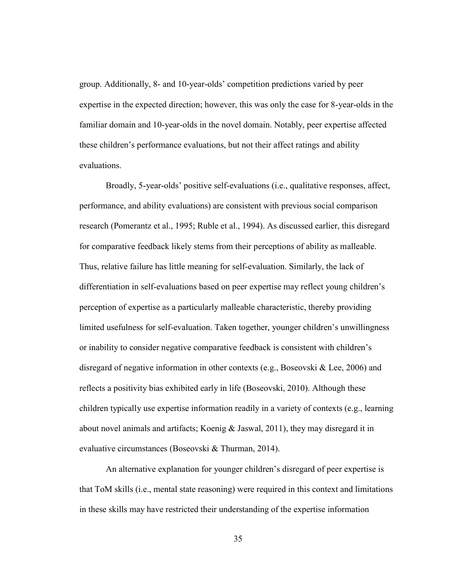group. Additionally, 8- and 10-year-olds' competition predictions varied by peer expertise in the expected direction; however, this was only the case for 8-year-olds in the familiar domain and 10-year-olds in the novel domain. Notably, peer expertise affected these children's performance evaluations, but not their affect ratings and ability evaluations.

Broadly, 5-year-olds' positive self-evaluations (i.e., qualitative responses, affect, performance, and ability evaluations) are consistent with previous social comparison research (Pomerantz et al., 1995; Ruble et al., 1994). As discussed earlier, this disregard for comparative feedback likely stems from their perceptions of ability as malleable. Thus, relative failure has little meaning for self-evaluation. Similarly, the lack of differentiation in self-evaluations based on peer expertise may reflect young children's perception of expertise as a particularly malleable characteristic, thereby providing limited usefulness for self-evaluation. Taken together, younger children's unwillingness or inability to consider negative comparative feedback is consistent with children's disregard of negative information in other contexts (e.g., Boseovski & Lee, 2006) and reflects a positivity bias exhibited early in life (Boseovski, 2010). Although these children typically use expertise information readily in a variety of contexts (e.g., learning about novel animals and artifacts; Koenig & Jaswal, 2011), they may disregard it in evaluative circumstances (Boseovski & Thurman, 2014).

An alternative explanation for younger children's disregard of peer expertise is that ToM skills (i.e., mental state reasoning) were required in this context and limitations in these skills may have restricted their understanding of the expertise information

35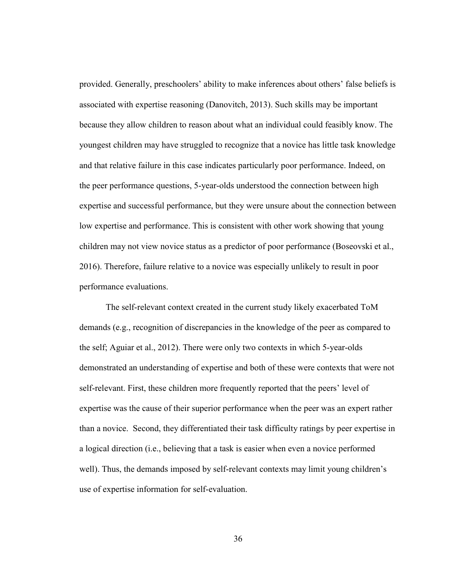provided. Generally, preschoolers' ability to make inferences about others' false beliefs is associated with expertise reasoning (Danovitch, 2013). Such skills may be important because they allow children to reason about what an individual could feasibly know. The youngest children may have struggled to recognize that a novice has little task knowledge and that relative failure in this case indicates particularly poor performance. Indeed, on the peer performance questions, 5-year-olds understood the connection between high expertise and successful performance, but they were unsure about the connection between low expertise and performance. This is consistent with other work showing that young children may not view novice status as a predictor of poor performance (Boseovski et al., 2016). Therefore, failure relative to a novice was especially unlikely to result in poor performance evaluations.

The self-relevant context created in the current study likely exacerbated ToM demands (e.g., recognition of discrepancies in the knowledge of the peer as compared to the self; Aguiar et al., 2012). There were only two contexts in which 5-year-olds demonstrated an understanding of expertise and both of these were contexts that were not self-relevant. First, these children more frequently reported that the peers' level of expertise was the cause of their superior performance when the peer was an expert rather than a novice. Second, they differentiated their task difficulty ratings by peer expertise in a logical direction (i.e., believing that a task is easier when even a novice performed well). Thus, the demands imposed by self-relevant contexts may limit young children's use of expertise information for self-evaluation.

36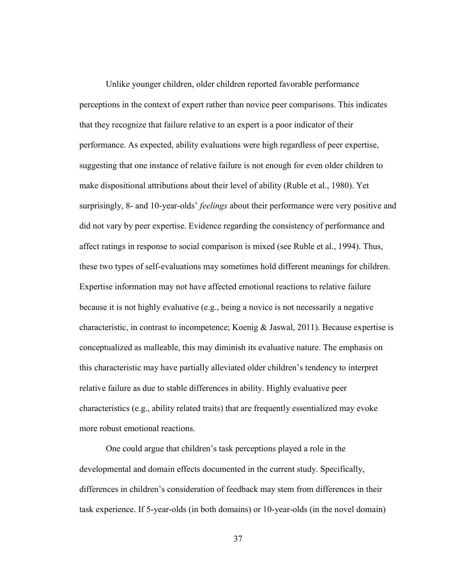Unlike younger children, older children reported favorable performance perceptions in the context of expert rather than novice peer comparisons. This indicates that they recognize that failure relative to an expert is a poor indicator of their performance. As expected, ability evaluations were high regardless of peer expertise, suggesting that one instance of relative failure is not enough for even older children to make dispositional attributions about their level of ability (Ruble et al., 1980). Yet surprisingly, 8- and 10-year-olds' *feelings* about their performance were very positive and did not vary by peer expertise. Evidence regarding the consistency of performance and affect ratings in response to social comparison is mixed (see Ruble et al., 1994). Thus, these two types of self-evaluations may sometimes hold different meanings for children. Expertise information may not have affected emotional reactions to relative failure because it is not highly evaluative (e.g., being a novice is not necessarily a negative characteristic, in contrast to incompetence; Koenig & Jaswal, 2011). Because expertise is conceptualized as malleable, this may diminish its evaluative nature. The emphasis on this characteristic may have partially alleviated older children's tendency to interpret relative failure as due to stable differences in ability. Highly evaluative peer characteristics (e.g., ability related traits) that are frequently essentialized may evoke more robust emotional reactions.

 One could argue that children's task perceptions played a role in the developmental and domain effects documented in the current study. Specifically, differences in children's consideration of feedback may stem from differences in their task experience. If 5-year-olds (in both domains) or 10-year-olds (in the novel domain)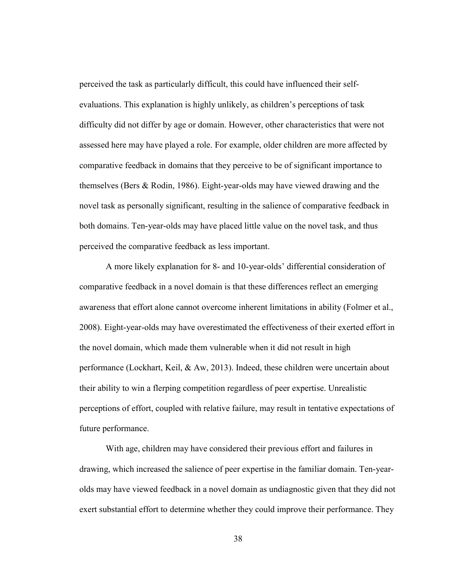perceived the task as particularly difficult, this could have influenced their selfevaluations. This explanation is highly unlikely, as children's perceptions of task difficulty did not differ by age or domain. However, other characteristics that were not assessed here may have played a role. For example, older children are more affected by comparative feedback in domains that they perceive to be of significant importance to themselves (Bers & Rodin, 1986). Eight-year-olds may have viewed drawing and the novel task as personally significant, resulting in the salience of comparative feedback in both domains. Ten-year-olds may have placed little value on the novel task, and thus perceived the comparative feedback as less important.

A more likely explanation for 8- and 10-year-olds' differential consideration of comparative feedback in a novel domain is that these differences reflect an emerging awareness that effort alone cannot overcome inherent limitations in ability (Folmer et al., 2008). Eight-year-olds may have overestimated the effectiveness of their exerted effort in the novel domain, which made them vulnerable when it did not result in high performance (Lockhart, Keil, & Aw, 2013). Indeed, these children were uncertain about their ability to win a flerping competition regardless of peer expertise. Unrealistic perceptions of effort, coupled with relative failure, may result in tentative expectations of future performance.

With age, children may have considered their previous effort and failures in drawing, which increased the salience of peer expertise in the familiar domain. Ten-yearolds may have viewed feedback in a novel domain as undiagnostic given that they did not exert substantial effort to determine whether they could improve their performance. They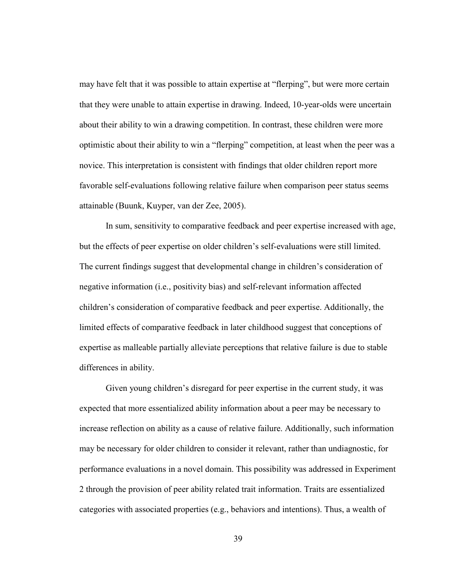may have felt that it was possible to attain expertise at "flerping", but were more certain that they were unable to attain expertise in drawing. Indeed, 10-year-olds were uncertain about their ability to win a drawing competition. In contrast, these children were more optimistic about their ability to win a "flerping" competition, at least when the peer was a novice. This interpretation is consistent with findings that older children report more favorable self-evaluations following relative failure when comparison peer status seems attainable (Buunk, Kuyper, van der Zee, 2005).

In sum, sensitivity to comparative feedback and peer expertise increased with age, but the effects of peer expertise on older children's self-evaluations were still limited. The current findings suggest that developmental change in children's consideration of negative information (i.e., positivity bias) and self-relevant information affected children's consideration of comparative feedback and peer expertise. Additionally, the limited effects of comparative feedback in later childhood suggest that conceptions of expertise as malleable partially alleviate perceptions that relative failure is due to stable differences in ability.

Given young children's disregard for peer expertise in the current study, it was expected that more essentialized ability information about a peer may be necessary to increase reflection on ability as a cause of relative failure. Additionally, such information may be necessary for older children to consider it relevant, rather than undiagnostic, for performance evaluations in a novel domain. This possibility was addressed in Experiment 2 through the provision of peer ability related trait information. Traits are essentialized categories with associated properties (e.g., behaviors and intentions). Thus, a wealth of

39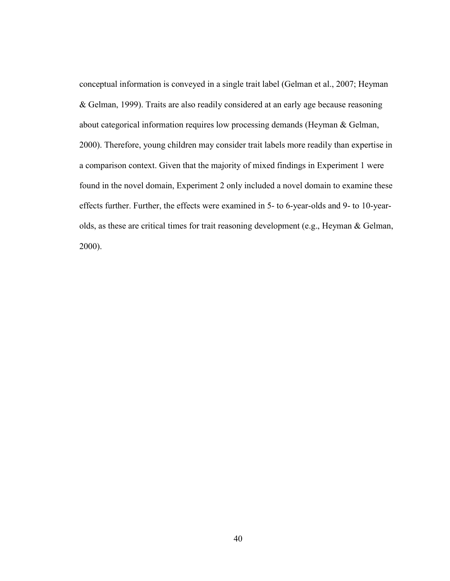conceptual information is conveyed in a single trait label (Gelman et al., 2007; Heyman & Gelman, 1999). Traits are also readily considered at an early age because reasoning about categorical information requires low processing demands (Heyman & Gelman, 2000). Therefore, young children may consider trait labels more readily than expertise in a comparison context. Given that the majority of mixed findings in Experiment 1 were found in the novel domain, Experiment 2 only included a novel domain to examine these effects further. Further, the effects were examined in 5- to 6-year-olds and 9- to 10-yearolds, as these are critical times for trait reasoning development (e.g., Heyman & Gelman, 2000).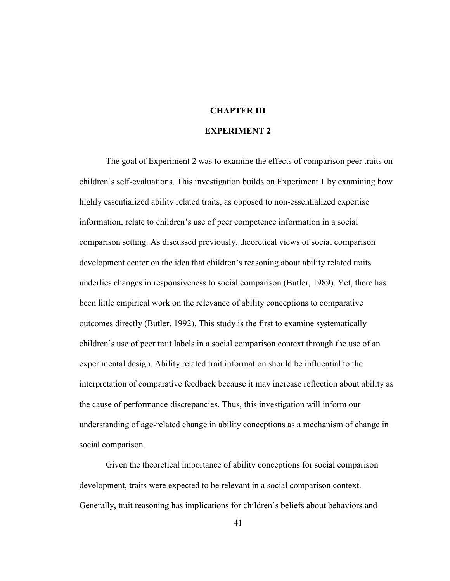#### CHAPTER III

#### EXPERIMENT 2

The goal of Experiment 2 was to examine the effects of comparison peer traits on children's self-evaluations. This investigation builds on Experiment 1 by examining how highly essentialized ability related traits, as opposed to non-essentialized expertise information, relate to children's use of peer competence information in a social comparison setting. As discussed previously, theoretical views of social comparison development center on the idea that children's reasoning about ability related traits underlies changes in responsiveness to social comparison (Butler, 1989). Yet, there has been little empirical work on the relevance of ability conceptions to comparative outcomes directly (Butler, 1992). This study is the first to examine systematically children's use of peer trait labels in a social comparison context through the use of an experimental design. Ability related trait information should be influential to the interpretation of comparative feedback because it may increase reflection about ability as the cause of performance discrepancies. Thus, this investigation will inform our understanding of age-related change in ability conceptions as a mechanism of change in social comparison.

Given the theoretical importance of ability conceptions for social comparison development, traits were expected to be relevant in a social comparison context. Generally, trait reasoning has implications for children's beliefs about behaviors and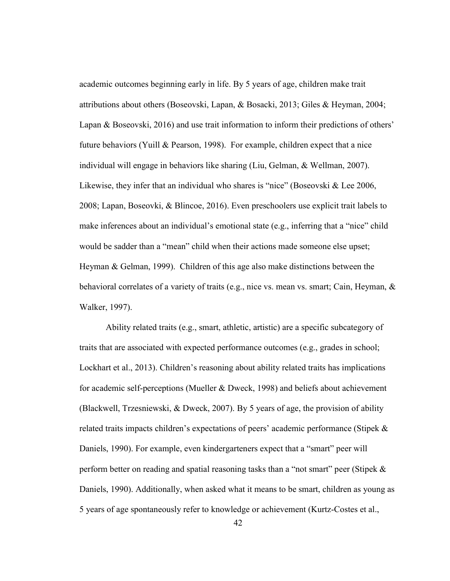academic outcomes beginning early in life. By 5 years of age, children make trait attributions about others (Boseovski, Lapan, & Bosacki, 2013; Giles & Heyman, 2004; Lapan & Boseovski, 2016) and use trait information to inform their predictions of others' future behaviors (Yuill & Pearson, 1998). For example, children expect that a nice individual will engage in behaviors like sharing (Liu, Gelman, & Wellman, 2007). Likewise, they infer that an individual who shares is "nice" (Boseovski & Lee 2006, 2008; Lapan, Boseovki, & Blincoe, 2016). Even preschoolers use explicit trait labels to make inferences about an individual's emotional state (e.g., inferring that a "nice" child would be sadder than a "mean" child when their actions made someone else upset; Heyman & Gelman, 1999). Children of this age also make distinctions between the behavioral correlates of a variety of traits (e.g., nice vs. mean vs. smart; Cain, Heyman, & Walker, 1997).

Ability related traits (e.g., smart, athletic, artistic) are a specific subcategory of traits that are associated with expected performance outcomes (e.g., grades in school; Lockhart et al., 2013). Children's reasoning about ability related traits has implications for academic self-perceptions (Mueller & Dweck, 1998) and beliefs about achievement (Blackwell, Trzesniewski, & Dweck, 2007). By 5 years of age, the provision of ability related traits impacts children's expectations of peers' academic performance (Stipek & Daniels, 1990). For example, even kindergarteners expect that a "smart" peer will perform better on reading and spatial reasoning tasks than a "not smart" peer (Stipek & Daniels, 1990). Additionally, when asked what it means to be smart, children as young as 5 years of age spontaneously refer to knowledge or achievement (Kurtz-Costes et al.,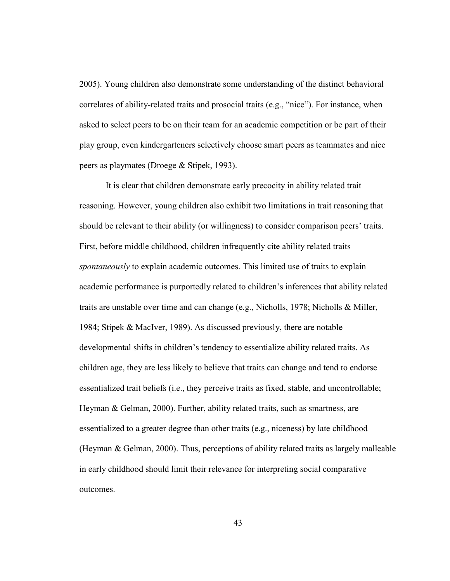2005). Young children also demonstrate some understanding of the distinct behavioral correlates of ability-related traits and prosocial traits (e.g., "nice"). For instance, when asked to select peers to be on their team for an academic competition or be part of their play group, even kindergarteners selectively choose smart peers as teammates and nice peers as playmates (Droege & Stipek, 1993).

It is clear that children demonstrate early precocity in ability related trait reasoning. However, young children also exhibit two limitations in trait reasoning that should be relevant to their ability (or willingness) to consider comparison peers' traits. First, before middle childhood, children infrequently cite ability related traits spontaneously to explain academic outcomes. This limited use of traits to explain academic performance is purportedly related to children's inferences that ability related traits are unstable over time and can change (e.g., Nicholls, 1978; Nicholls & Miller, 1984; Stipek & MacIver, 1989). As discussed previously, there are notable developmental shifts in children's tendency to essentialize ability related traits. As children age, they are less likely to believe that traits can change and tend to endorse essentialized trait beliefs (i.e., they perceive traits as fixed, stable, and uncontrollable; Heyman & Gelman, 2000). Further, ability related traits, such as smartness, are essentialized to a greater degree than other traits (e.g., niceness) by late childhood (Heyman & Gelman, 2000). Thus, perceptions of ability related traits as largely malleable in early childhood should limit their relevance for interpreting social comparative outcomes.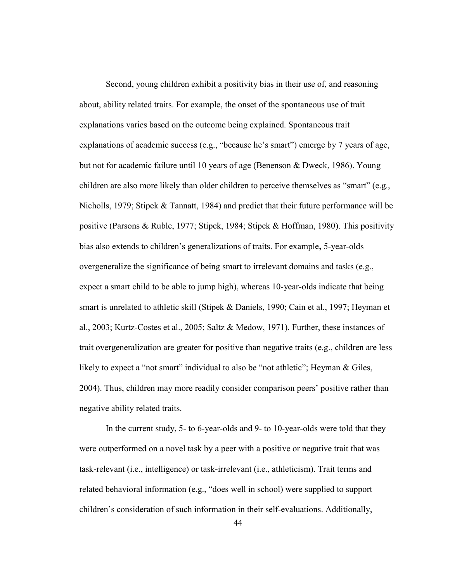Second, young children exhibit a positivity bias in their use of, and reasoning about, ability related traits. For example, the onset of the spontaneous use of trait explanations varies based on the outcome being explained. Spontaneous trait explanations of academic success (e.g., "because he's smart") emerge by 7 years of age, but not for academic failure until 10 years of age (Benenson & Dweck, 1986). Young children are also more likely than older children to perceive themselves as "smart" (e.g., Nicholls, 1979; Stipek & Tannatt, 1984) and predict that their future performance will be positive (Parsons & Ruble, 1977; Stipek, 1984; Stipek & Hoffman, 1980). This positivity bias also extends to children's generalizations of traits. For example, 5-year-olds overgeneralize the significance of being smart to irrelevant domains and tasks (e.g., expect a smart child to be able to jump high), whereas 10-year-olds indicate that being smart is unrelated to athletic skill (Stipek & Daniels, 1990; Cain et al., 1997; Heyman et al., 2003; Kurtz-Costes et al., 2005; Saltz & Medow, 1971). Further, these instances of trait overgeneralization are greater for positive than negative traits (e.g., children are less likely to expect a "not smart" individual to also be "not athletic"; Heyman & Giles, 2004). Thus, children may more readily consider comparison peers' positive rather than negative ability related traits.

In the current study, 5- to 6-year-olds and 9- to 10-year-olds were told that they were outperformed on a novel task by a peer with a positive or negative trait that was task-relevant (i.e., intelligence) or task-irrelevant (i.e., athleticism). Trait terms and related behavioral information (e.g., "does well in school) were supplied to support children's consideration of such information in their self-evaluations. Additionally,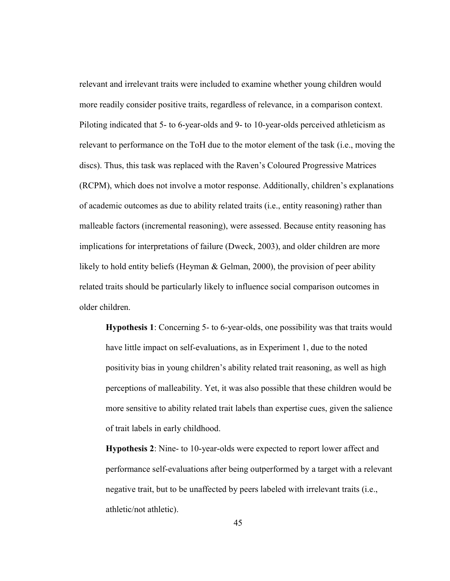relevant and irrelevant traits were included to examine whether young children would more readily consider positive traits, regardless of relevance, in a comparison context. Piloting indicated that 5- to 6-year-olds and 9- to 10-year-olds perceived athleticism as relevant to performance on the ToH due to the motor element of the task (i.e., moving the discs). Thus, this task was replaced with the Raven's Coloured Progressive Matrices (RCPM), which does not involve a motor response. Additionally, children's explanations of academic outcomes as due to ability related traits (i.e., entity reasoning) rather than malleable factors (incremental reasoning), were assessed. Because entity reasoning has implications for interpretations of failure (Dweck, 2003), and older children are more likely to hold entity beliefs (Heyman & Gelman, 2000), the provision of peer ability related traits should be particularly likely to influence social comparison outcomes in older children.

Hypothesis 1: Concerning 5- to 6-year-olds, one possibility was that traits would have little impact on self-evaluations, as in Experiment 1, due to the noted positivity bias in young children's ability related trait reasoning, as well as high perceptions of malleability. Yet, it was also possible that these children would be more sensitive to ability related trait labels than expertise cues, given the salience of trait labels in early childhood.

Hypothesis 2: Nine- to 10-year-olds were expected to report lower affect and performance self-evaluations after being outperformed by a target with a relevant negative trait, but to be unaffected by peers labeled with irrelevant traits (i.e., athletic/not athletic).

45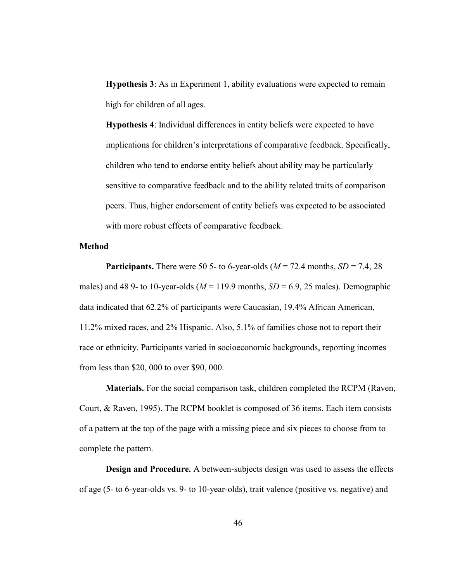Hypothesis 3: As in Experiment 1, ability evaluations were expected to remain high for children of all ages.

Hypothesis 4: Individual differences in entity beliefs were expected to have implications for children's interpretations of comparative feedback. Specifically, children who tend to endorse entity beliefs about ability may be particularly sensitive to comparative feedback and to the ability related traits of comparison peers. Thus, higher endorsement of entity beliefs was expected to be associated with more robust effects of comparative feedback.

#### **Method**

**Participants.** There were 50 5- to 6-year-olds ( $M = 72.4$  months,  $SD = 7.4$ , 28 males) and 48 9- to 10-year-olds ( $M = 119.9$  months,  $SD = 6.9$ , 25 males). Demographic data indicated that 62.2% of participants were Caucasian, 19.4% African American, 11.2% mixed races, and 2% Hispanic. Also, 5.1% of families chose not to report their race or ethnicity. Participants varied in socioeconomic backgrounds, reporting incomes from less than \$20, 000 to over \$90, 000.

Materials. For the social comparison task, children completed the RCPM (Raven, Court, & Raven, 1995). The RCPM booklet is composed of 36 items. Each item consists of a pattern at the top of the page with a missing piece and six pieces to choose from to complete the pattern.

Design and Procedure. A between-subjects design was used to assess the effects of age (5- to 6-year-olds vs. 9- to 10-year-olds), trait valence (positive vs. negative) and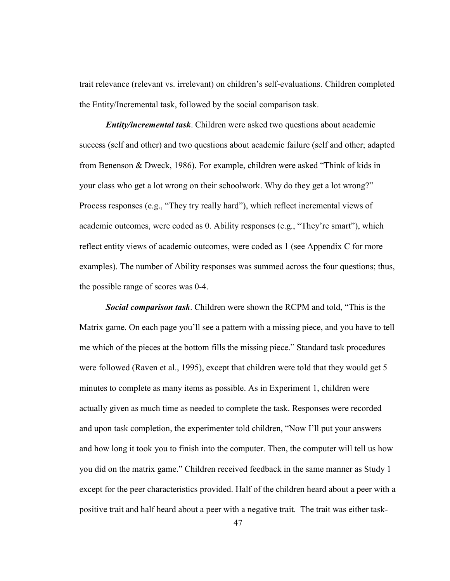trait relevance (relevant vs. irrelevant) on children's self-evaluations. Children completed the Entity/Incremental task, followed by the social comparison task.

**Entity/incremental task.** Children were asked two questions about academic success (self and other) and two questions about academic failure (self and other; adapted from Benenson & Dweck, 1986). For example, children were asked "Think of kids in your class who get a lot wrong on their schoolwork. Why do they get a lot wrong?" Process responses (e.g., "They try really hard"), which reflect incremental views of academic outcomes, were coded as 0. Ability responses (e.g., "They're smart"), which reflect entity views of academic outcomes, were coded as 1 (see Appendix C for more examples). The number of Ability responses was summed across the four questions; thus, the possible range of scores was 0-4.

**Social comparison task.** Children were shown the RCPM and told, "This is the Matrix game. On each page you'll see a pattern with a missing piece, and you have to tell me which of the pieces at the bottom fills the missing piece." Standard task procedures were followed (Raven et al., 1995), except that children were told that they would get 5 minutes to complete as many items as possible. As in Experiment 1, children were actually given as much time as needed to complete the task. Responses were recorded and upon task completion, the experimenter told children, "Now I'll put your answers and how long it took you to finish into the computer. Then, the computer will tell us how you did on the matrix game." Children received feedback in the same manner as Study 1 except for the peer characteristics provided. Half of the children heard about a peer with a positive trait and half heard about a peer with a negative trait. The trait was either task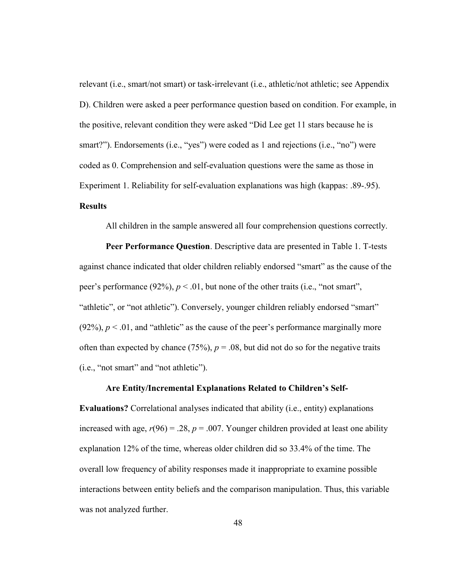relevant (i.e., smart/not smart) or task-irrelevant (i.e., athletic/not athletic; see Appendix D). Children were asked a peer performance question based on condition. For example, in the positive, relevant condition they were asked "Did Lee get 11 stars because he is smart?"). Endorsements (i.e., "yes") were coded as 1 and rejections (i.e., "no") were coded as 0. Comprehension and self-evaluation questions were the same as those in Experiment 1. Reliability for self-evaluation explanations was high (kappas: .89-.95). **Results** 

All children in the sample answered all four comprehension questions correctly.

Peer Performance Question. Descriptive data are presented in Table 1. T-tests against chance indicated that older children reliably endorsed "smart" as the cause of the peer's performance (92%),  $p < 0.01$ , but none of the other traits (i.e., "not smart", "athletic", or "not athletic"). Conversely, younger children reliably endorsed "smart"  $(92\%)$ ,  $p < 0.01$ , and "athletic" as the cause of the peer's performance marginally more often than expected by chance (75%),  $p = .08$ , but did not do so for the negative traits (i.e., "not smart" and "not athletic").

#### Are Entity/Incremental Explanations Related to Children's Self-

Evaluations? Correlational analyses indicated that ability (i.e., entity) explanations increased with age,  $r(96) = .28$ ,  $p = .007$ . Younger children provided at least one ability explanation 12% of the time, whereas older children did so 33.4% of the time. The overall low frequency of ability responses made it inappropriate to examine possible interactions between entity beliefs and the comparison manipulation. Thus, this variable was not analyzed further.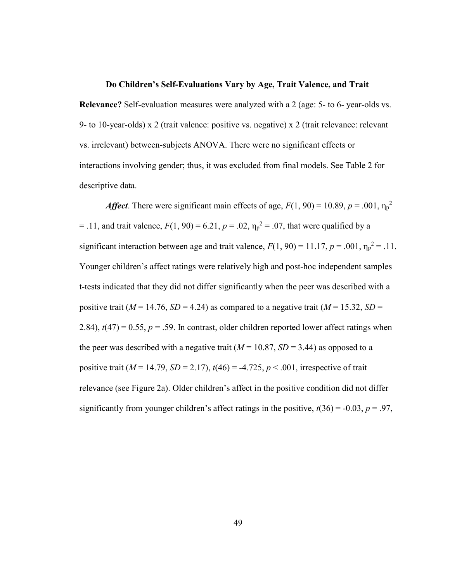#### Do Children's Self-Evaluations Vary by Age, Trait Valence, and Trait

Relevance? Self-evaluation measures were analyzed with a 2 (age: 5- to 6- year-olds vs. 9- to 10-year-olds) x 2 (trait valence: positive vs. negative) x 2 (trait relevance: relevant vs. irrelevant) between-subjects ANOVA. There were no significant effects or interactions involving gender; thus, it was excluded from final models. See Table 2 for descriptive data.

*Affect*. There were significant main effects of age,  $F(1, 90) = 10.89$ ,  $p = .001$ ,  $\eta_p^2$ = .11, and trait valence,  $F(1, 90) = 6.21$ ,  $p = .02$ ,  $\eta_p^2 = .07$ , that were qualified by a significant interaction between age and trait valence,  $F(1, 90) = 11.17$ ,  $p = .001$ ,  $\eta_p^2 = .11$ . Younger children's affect ratings were relatively high and post-hoc independent samples t-tests indicated that they did not differ significantly when the peer was described with a positive trait ( $M = 14.76$ ,  $SD = 4.24$ ) as compared to a negative trait ( $M = 15.32$ ,  $SD =$ 2.84),  $t(47) = 0.55$ ,  $p = .59$ . In contrast, older children reported lower affect ratings when the peer was described with a negative trait  $(M = 10.87, SD = 3.44)$  as opposed to a positive trait ( $M = 14.79$ ,  $SD = 2.17$ ),  $t(46) = -4.725$ ,  $p < .001$ , irrespective of trait relevance (see Figure 2a). Older children's affect in the positive condition did not differ significantly from younger children's affect ratings in the positive,  $t(36) = -0.03$ ,  $p = .97$ ,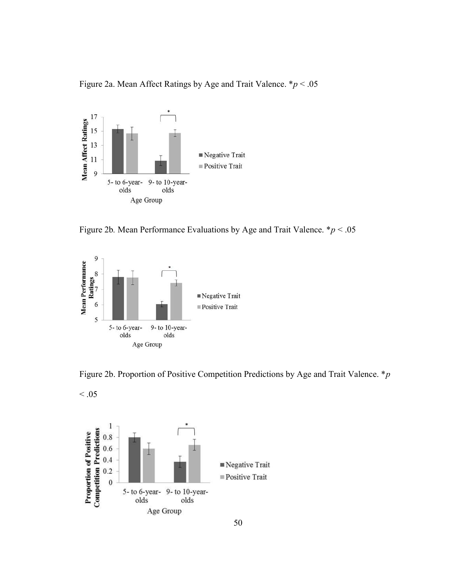Figure 2a. Mean Affect Ratings by Age and Trait Valence.  $* p < .05$ 



Figure 2b. Mean Performance Evaluations by Age and Trait Valence.  $* p < .05$ 



 $< 0.05$ 





50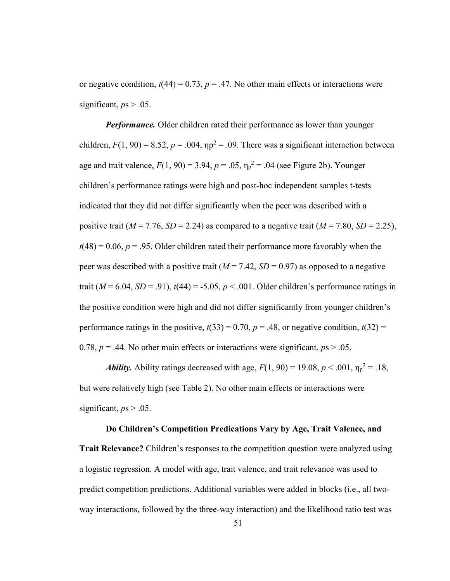or negative condition,  $t(44) = 0.73$ ,  $p = .47$ . No other main effects or interactions were significant,  $ps > .05$ .

**Performance.** Older children rated their performance as lower than younger children,  $F(1, 90) = 8.52$ ,  $p = .004$ ,  $np^2 = .09$ . There was a significant interaction between age and trait valence,  $F(1, 90) = 3.94$ ,  $p = .05$ ,  $\eta_p^2 = .04$  (see Figure 2b). Younger children's performance ratings were high and post-hoc independent samples t-tests indicated that they did not differ significantly when the peer was described with a positive trait ( $M = 7.76$ ,  $SD = 2.24$ ) as compared to a negative trait ( $M = 7.80$ ,  $SD = 2.25$ ),  $t(48) = 0.06$ ,  $p = .95$ . Older children rated their performance more favorably when the peer was described with a positive trait ( $M = 7.42$ ,  $SD = 0.97$ ) as opposed to a negative trait ( $M = 6.04$ ,  $SD = .91$ ),  $t(44) = -5.05$ ,  $p < .001$ . Older children's performance ratings in the positive condition were high and did not differ significantly from younger children's performance ratings in the positive,  $t(33) = 0.70$ ,  $p = .48$ , or negative condition,  $t(32) =$ 0.78,  $p = .44$ . No other main effects or interactions were significant,  $p_s > .05$ .

**Ability.** Ability ratings decreased with age,  $F(1, 90) = 19.08$ ,  $p < .001$ ,  $\eta_p^2 = .18$ , but were relatively high (see Table 2). No other main effects or interactions were significant,  $ps > .05$ .

# Do Children's Competition Predications Vary by Age, Trait Valence, and Trait Relevance? Children's responses to the competition question were analyzed using a logistic regression. A model with age, trait valence, and trait relevance was used to predict competition predictions. Additional variables were added in blocks (i.e., all twoway interactions, followed by the three-way interaction) and the likelihood ratio test was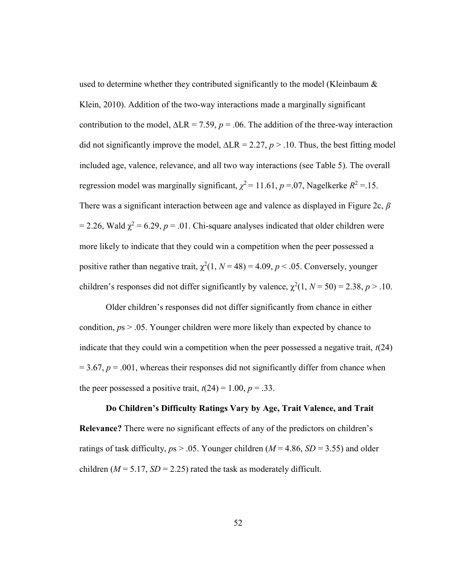used to determine whether they contributed significantly to the model (Kleinbaum & Klein, 2010). Addition of the two-way interactions made a marginally significant contribution to the model,  $\Delta LR = 7.59$ ,  $p = .06$ . The addition of the three-way interaction did not significantly improve the model,  $\Delta LR = 2.27$ ,  $p > .10$ . Thus, the best fitting model included age, valence, relevance, and all two way interactions (see Table 5). The overall regression model was marginally significant,  $\chi^2$  = 11.61, p = 07, Nagelkerke  $R^2$  = 15. There was a significant interaction between age and valence as displayed in Figure 2c,  $\beta$ = 2.26, Wald  $\chi^2$  = 6.29, p = .01. Chi-square analyses indicated that older children were more likely to indicate that they could win a competition when the peer possessed a positive rather than negative trait,  $\chi^2(1, N = 48) = 4.09$ ,  $p < .05$ . Conversely, younger children's responses did not differ significantly by valence,  $\chi^2(1, N = 50) = 2.38, p > .10$ .

Older children's responses did not differ significantly from chance in either condition,  $ps > .05$ . Younger children were more likely than expected by chance to indicate that they could win a competition when the peer possessed a negative trait,  $t(24)$  $= 3.67$ ,  $p = .001$ , whereas their responses did not significantly differ from chance when the peer possessed a positive trait,  $t(24) = 1.00$ ,  $p = .33$ .

Do Children's Difficulty Ratings Vary by Age, Trait Valence, and Trait Relevance? There were no significant effects of any of the predictors on children's ratings of task difficulty,  $ps > .05$ . Younger children ( $M = 4.86$ ,  $SD = 3.55$ ) and older children ( $M = 5.17$ ,  $SD = 2.25$ ) rated the task as moderately difficult.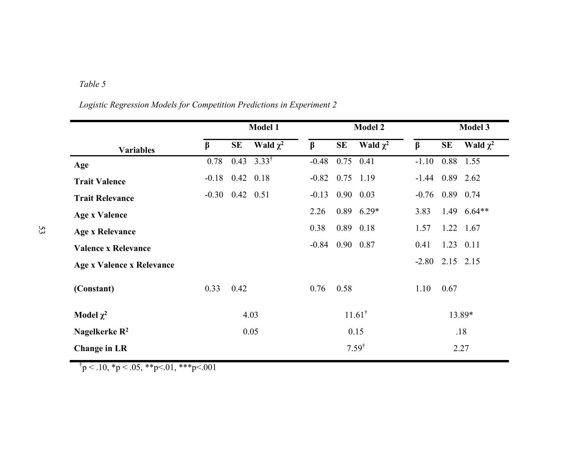## Table 5

|  |  | Logistic Regression Models for Competition Predictions in Experiment 2 |
|--|--|------------------------------------------------------------------------|
|  |  |                                                                        |

|                            |                       |      | <b>Model 1</b>   | <b>Model 2</b>    |                   |                  |         | <b>Model 3</b>    |               |  |
|----------------------------|-----------------------|------|------------------|-------------------|-------------------|------------------|---------|-------------------|---------------|--|
| <b>Variables</b>           | $\beta$               | SE   | Wald $\chi^2$    | $\beta$           | <b>SE</b>         | Wald $\chi^2$    | $\beta$ | SE                | Wald $\chi^2$ |  |
| Age                        | 0.78                  | 0.43 | $3.33^{\dagger}$ | $-0.48$           | 0.75              | 0.41             | $-1.10$ |                   | 0.88 1.55     |  |
| <b>Trait Valence</b>       | $-0.18$ 0.42 0.18     |      |                  | $-0.82$ 0.75 1.19 |                   |                  |         | $-1.44$ 0.89 2.62 |               |  |
| <b>Trait Relevance</b>     | $-0.30$ $0.42$ $0.51$ |      |                  | $-0.13$           |                   | $0.90\quad 0.03$ | $-0.76$ |                   | 0.89 0.74     |  |
| <b>Age x Valence</b>       |                       |      |                  | 2.26              |                   | $0.89$ 6.29*     | 3.83    |                   | 1.49 $6.64**$ |  |
| <b>Age x Relevance</b>     |                       |      |                  | 0.38              |                   | 0.89 0.18        | 1.57    |                   | 1.22 1.67     |  |
| <b>Valence x Relevance</b> |                       |      |                  | $-0.84$ 0.90 0.87 |                   |                  | 0.41    |                   | 1.23 0.11     |  |
| Age x Valence x Relevance  |                       |      |                  |                   |                   |                  | $-2.80$ |                   | 2.15 2.15     |  |
| (Constant)                 | 0.33                  | 0.42 |                  | 0.76              | 0.58              |                  | 1.10    | 0.67              |               |  |
| Model $\chi^2$             | 4.03                  |      |                  |                   | $11.61^{\dagger}$ |                  |         | 13.89*            |               |  |
| Nagelkerke $R^2$           |                       | 0.05 |                  | 0.15              |                   | .18              |         |                   |               |  |
| <b>Change in LR</b>        |                       |      |                  |                   | $7.59^{\dagger}$  |                  |         | 2.27              |               |  |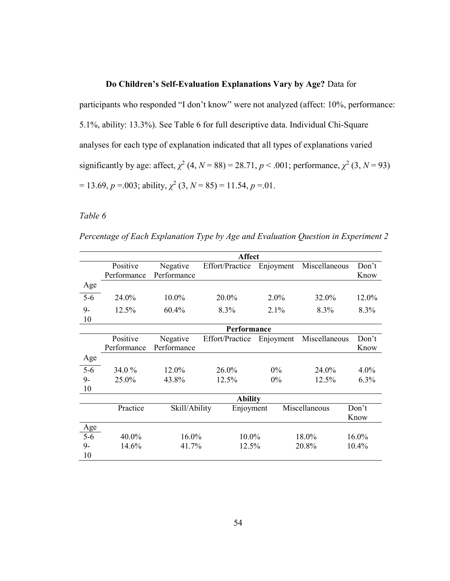#### Do Children's Self-Evaluation Explanations Vary by Age? Data for

participants who responded "I don't know" were not analyzed (affect: 10%, performance: 5.1%, ability: 13.3%). See Table 6 for full descriptive data. Individual Chi-Square analyses for each type of explanation indicated that all types of explanations varied significantly by age: affect,  $\chi^2$  (4, N = 88) = 28.71, p < .001; performance,  $\chi^2$  (3, N = 93)  $= 13.69, p = 0.003$ ; ability,  $\chi^2$  (3,  $N = 85$ ) = 11.54, p = 01.

#### Table 6

Percentage of Each Explanation Type by Age and Evaluation Question in Experiment 2

|       | <b>Affect</b>  |               |                 |           |                |         |  |  |  |
|-------|----------------|---------------|-----------------|-----------|----------------|---------|--|--|--|
|       | Positive       | Negative      | Effort/Practice | Enjoyment | Miscellaneous  | Don't   |  |  |  |
|       | Performance    | Performance   |                 |           |                | Know    |  |  |  |
| Age   |                |               |                 |           |                |         |  |  |  |
| $5-6$ | 24.0%          | 10.0%         | 20.0%           | 2.0%      | 32.0%          | 12.0%   |  |  |  |
| $9-$  | 12.5%          | 60.4%         | 8.3%            | $2.1\%$   | 8.3%           | 8.3%    |  |  |  |
| 10    |                |               |                 |           |                |         |  |  |  |
|       | Performance    |               |                 |           |                |         |  |  |  |
|       | Positive       | Negative      | Effort/Practice | Enjoyment | Miscellaneous  | Don't   |  |  |  |
|       | Performance    | Performance   |                 |           |                | Know    |  |  |  |
| Age   |                |               |                 |           |                |         |  |  |  |
| $5-6$ | 34.0 %         | 12.0%         | 26.0%           | $0\%$     | 24.0%          | 4.0%    |  |  |  |
| $9-$  | 25.0%          | 43.8%         | 12.5%           | $0\%$     | 12.5%          | $6.3\%$ |  |  |  |
| 10    |                |               |                 |           |                |         |  |  |  |
|       | <b>Ability</b> |               |                 |           |                |         |  |  |  |
|       | Practice       | Skill/Ability | Enjoyment       |           | Miscellaneous  | Don't   |  |  |  |
|       |                |               |                 |           |                | Know    |  |  |  |
| Age   |                |               |                 |           |                |         |  |  |  |
| $5-6$ | 40.0%          | 16.0%         | 10.0%           |           | 18.0%<br>16.0% |         |  |  |  |
| $9-$  | 14.6%          | 41.7%         | 12.5%           |           | 20.8%          | 10.4%   |  |  |  |
| 10    |                |               |                 |           |                |         |  |  |  |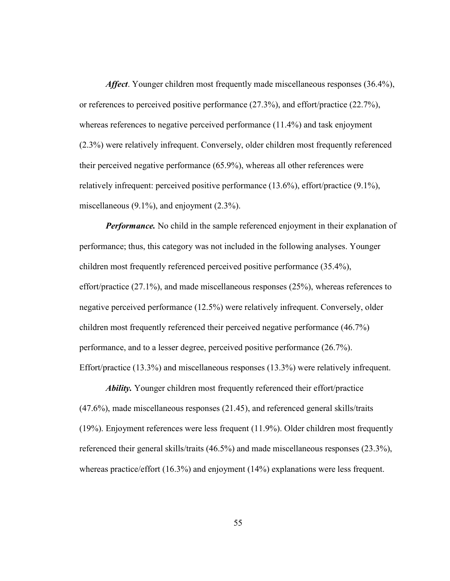Affect. Younger children most frequently made miscellaneous responses (36.4%), or references to perceived positive performance (27.3%), and effort/practice (22.7%), whereas references to negative perceived performance (11.4%) and task enjoyment (2.3%) were relatively infrequent. Conversely, older children most frequently referenced their perceived negative performance (65.9%), whereas all other references were relatively infrequent: perceived positive performance (13.6%), effort/practice (9.1%), miscellaneous (9.1%), and enjoyment (2.3%).

**Performance.** No child in the sample referenced enjoyment in their explanation of performance; thus, this category was not included in the following analyses. Younger children most frequently referenced perceived positive performance (35.4%), effort/practice (27.1%), and made miscellaneous responses (25%), whereas references to negative perceived performance (12.5%) were relatively infrequent. Conversely, older children most frequently referenced their perceived negative performance (46.7%) performance, and to a lesser degree, perceived positive performance (26.7%). Effort/practice (13.3%) and miscellaneous responses (13.3%) were relatively infrequent.

Ability. Younger children most frequently referenced their effort/practice (47.6%), made miscellaneous responses (21.45), and referenced general skills/traits (19%). Enjoyment references were less frequent (11.9%). Older children most frequently referenced their general skills/traits (46.5%) and made miscellaneous responses (23.3%), whereas practice/effort (16.3%) and enjoyment (14%) explanations were less frequent.

55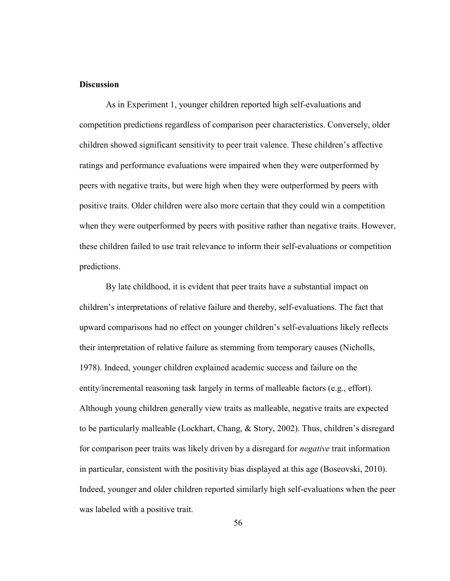#### **Discussion**

 As in Experiment 1, younger children reported high self-evaluations and competition predictions regardless of comparison peer characteristics. Conversely, older children showed significant sensitivity to peer trait valence. These children's affective ratings and performance evaluations were impaired when they were outperformed by peers with negative traits, but were high when they were outperformed by peers with positive traits. Older children were also more certain that they could win a competition when they were outperformed by peers with positive rather than negative traits. However, these children failed to use trait relevance to inform their self-evaluations or competition predictions.

By late childhood, it is evident that peer traits have a substantial impact on children's interpretations of relative failure and thereby, self-evaluations. The fact that upward comparisons had no effect on younger children's self-evaluations likely reflects their interpretation of relative failure as stemming from temporary causes (Nicholls, 1978). Indeed, younger children explained academic success and failure on the entity/incremental reasoning task largely in terms of malleable factors (e.g., effort). Although young children generally view traits as malleable, negative traits are expected to be particularly malleable (Lockhart, Chang, & Story, 2002). Thus, children's disregard for comparison peer traits was likely driven by a disregard for *negative* trait information in particular, consistent with the positivity bias displayed at this age (Boseovski, 2010). Indeed, younger and older children reported similarly high self-evaluations when the peer was labeled with a positive trait.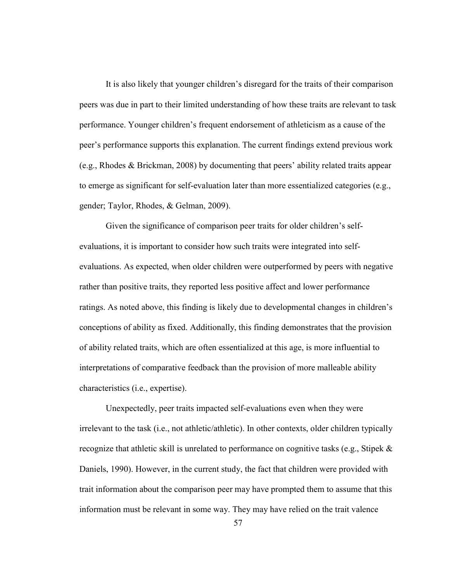It is also likely that younger children's disregard for the traits of their comparison peers was due in part to their limited understanding of how these traits are relevant to task performance. Younger children's frequent endorsement of athleticism as a cause of the peer's performance supports this explanation. The current findings extend previous work (e.g., Rhodes & Brickman, 2008) by documenting that peers' ability related traits appear to emerge as significant for self-evaluation later than more essentialized categories (e.g., gender; Taylor, Rhodes, & Gelman, 2009).

Given the significance of comparison peer traits for older children's selfevaluations, it is important to consider how such traits were integrated into selfevaluations. As expected, when older children were outperformed by peers with negative rather than positive traits, they reported less positive affect and lower performance ratings. As noted above, this finding is likely due to developmental changes in children's conceptions of ability as fixed. Additionally, this finding demonstrates that the provision of ability related traits, which are often essentialized at this age, is more influential to interpretations of comparative feedback than the provision of more malleable ability characteristics (i.e., expertise).

Unexpectedly, peer traits impacted self-evaluations even when they were irrelevant to the task (i.e., not athletic/athletic). In other contexts, older children typically recognize that athletic skill is unrelated to performance on cognitive tasks (e.g., Stipek & Daniels, 1990). However, in the current study, the fact that children were provided with trait information about the comparison peer may have prompted them to assume that this information must be relevant in some way. They may have relied on the trait valence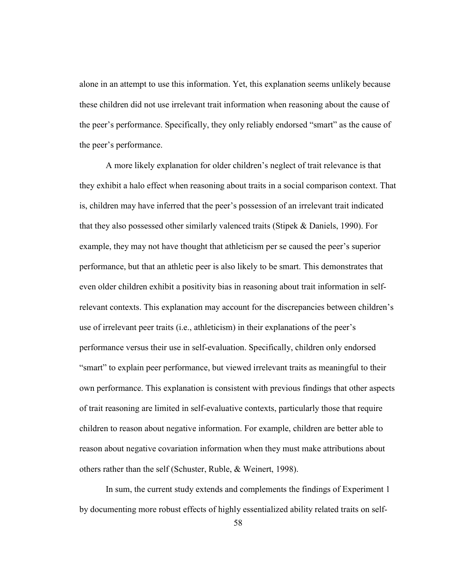alone in an attempt to use this information. Yet, this explanation seems unlikely because these children did not use irrelevant trait information when reasoning about the cause of the peer's performance. Specifically, they only reliably endorsed "smart" as the cause of the peer's performance.

A more likely explanation for older children's neglect of trait relevance is that they exhibit a halo effect when reasoning about traits in a social comparison context. That is, children may have inferred that the peer's possession of an irrelevant trait indicated that they also possessed other similarly valenced traits (Stipek & Daniels, 1990). For example, they may not have thought that athleticism per se caused the peer's superior performance, but that an athletic peer is also likely to be smart. This demonstrates that even older children exhibit a positivity bias in reasoning about trait information in selfrelevant contexts. This explanation may account for the discrepancies between children's use of irrelevant peer traits (i.e., athleticism) in their explanations of the peer's performance versus their use in self-evaluation. Specifically, children only endorsed "smart" to explain peer performance, but viewed irrelevant traits as meaningful to their own performance. This explanation is consistent with previous findings that other aspects of trait reasoning are limited in self-evaluative contexts, particularly those that require children to reason about negative information. For example, children are better able to reason about negative covariation information when they must make attributions about others rather than the self (Schuster, Ruble, & Weinert, 1998).

In sum, the current study extends and complements the findings of Experiment 1 by documenting more robust effects of highly essentialized ability related traits on self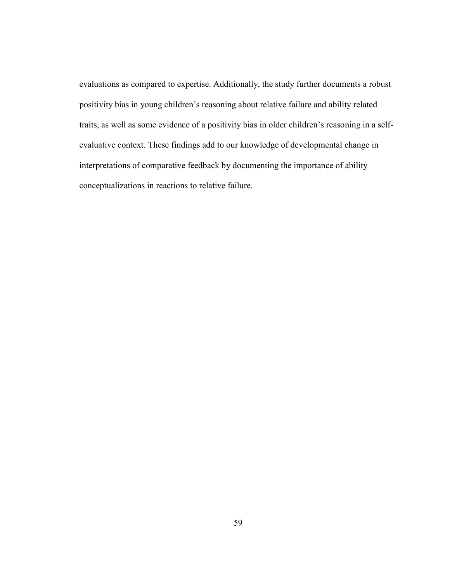evaluations as compared to expertise. Additionally, the study further documents a robust positivity bias in young children's reasoning about relative failure and ability related traits, as well as some evidence of a positivity bias in older children's reasoning in a selfevaluative context. These findings add to our knowledge of developmental change in interpretations of comparative feedback by documenting the importance of ability conceptualizations in reactions to relative failure.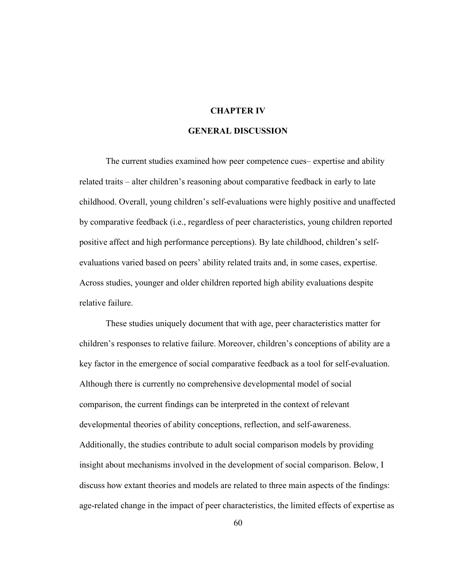#### CHAPTER IV

#### GENERAL DISCUSSION

The current studies examined how peer competence cues– expertise and ability related traits – alter children's reasoning about comparative feedback in early to late childhood. Overall, young children's self-evaluations were highly positive and unaffected by comparative feedback (i.e., regardless of peer characteristics, young children reported positive affect and high performance perceptions). By late childhood, children's selfevaluations varied based on peers' ability related traits and, in some cases, expertise. Across studies, younger and older children reported high ability evaluations despite relative failure.

These studies uniquely document that with age, peer characteristics matter for children's responses to relative failure. Moreover, children's conceptions of ability are a key factor in the emergence of social comparative feedback as a tool for self-evaluation. Although there is currently no comprehensive developmental model of social comparison, the current findings can be interpreted in the context of relevant developmental theories of ability conceptions, reflection, and self-awareness. Additionally, the studies contribute to adult social comparison models by providing insight about mechanisms involved in the development of social comparison. Below, I discuss how extant theories and models are related to three main aspects of the findings: age-related change in the impact of peer characteristics, the limited effects of expertise as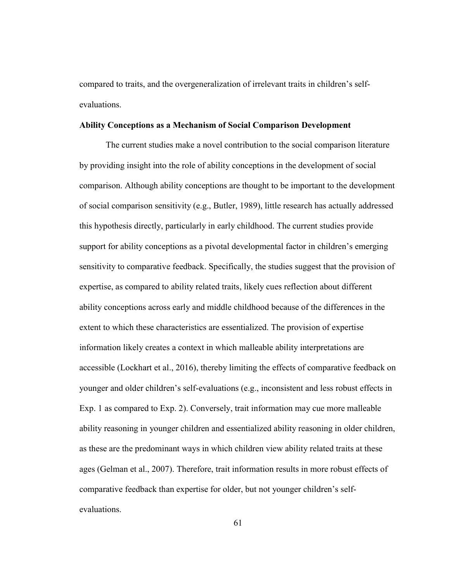compared to traits, and the overgeneralization of irrelevant traits in children's selfevaluations.

#### Ability Conceptions as a Mechanism of Social Comparison Development

The current studies make a novel contribution to the social comparison literature by providing insight into the role of ability conceptions in the development of social comparison. Although ability conceptions are thought to be important to the development of social comparison sensitivity (e.g., Butler, 1989), little research has actually addressed this hypothesis directly, particularly in early childhood. The current studies provide support for ability conceptions as a pivotal developmental factor in children's emerging sensitivity to comparative feedback. Specifically, the studies suggest that the provision of expertise, as compared to ability related traits, likely cues reflection about different ability conceptions across early and middle childhood because of the differences in the extent to which these characteristics are essentialized. The provision of expertise information likely creates a context in which malleable ability interpretations are accessible (Lockhart et al., 2016), thereby limiting the effects of comparative feedback on younger and older children's self-evaluations (e.g., inconsistent and less robust effects in Exp. 1 as compared to Exp. 2). Conversely, trait information may cue more malleable ability reasoning in younger children and essentialized ability reasoning in older children, as these are the predominant ways in which children view ability related traits at these ages (Gelman et al., 2007). Therefore, trait information results in more robust effects of comparative feedback than expertise for older, but not younger children's selfevaluations.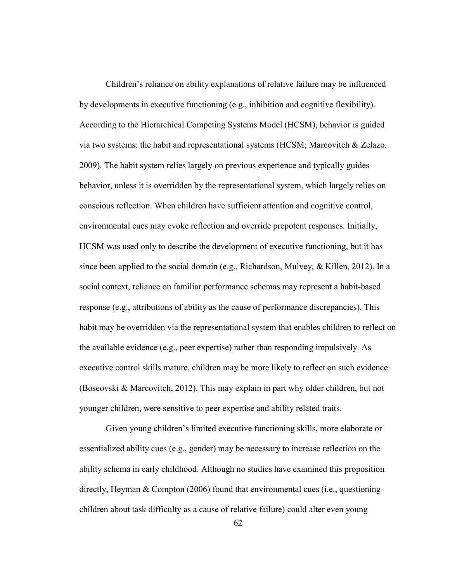Children's reliance on ability explanations of relative failure may be influenced by developments in executive functioning (e.g., inhibition and cognitive flexibility). According to the Hierarchical Competing Systems Model (HCSM), behavior is guided via two systems: the habit and representational systems (HCSM; Marcovitch & Zelazo, 2009). The habit system relies largely on previous experience and typically guides behavior, unless it is overridden by the representational system, which largely relies on conscious reflection. When children have sufficient attention and cognitive control, environmental cues may evoke reflection and override prepotent responses. Initially, HCSM was used only to describe the development of executive functioning, but it has since been applied to the social domain (e.g., Richardson, Mulvey, & Killen, 2012). In a social context, reliance on familiar performance schemas may represent a habit-based response (e.g., attributions of ability as the cause of performance discrepancies). This habit may be overridden via the representational system that enables children to reflect on the available evidence (e.g., peer expertise) rather than responding impulsively. As executive control skills mature, children may be more likely to reflect on such evidence (Boseovski & Marcovitch, 2012). This may explain in part why older children, but not younger children, were sensitive to peer expertise and ability related traits.

Given young children's limited executive functioning skills, more elaborate or essentialized ability cues (e.g., gender) may be necessary to increase reflection on the ability schema in early childhood. Although no studies have examined this proposition directly, Heyman & Compton (2006) found that environmental cues (i.e., questioning children about task difficulty as a cause of relative failure) could alter even young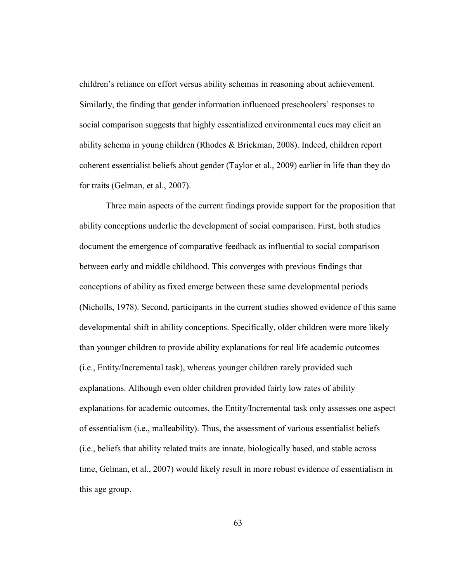children's reliance on effort versus ability schemas in reasoning about achievement. Similarly, the finding that gender information influenced preschoolers' responses to social comparison suggests that highly essentialized environmental cues may elicit an ability schema in young children (Rhodes & Brickman, 2008). Indeed, children report coherent essentialist beliefs about gender (Taylor et al., 2009) earlier in life than they do for traits (Gelman, et al., 2007).

Three main aspects of the current findings provide support for the proposition that ability conceptions underlie the development of social comparison. First, both studies document the emergence of comparative feedback as influential to social comparison between early and middle childhood. This converges with previous findings that conceptions of ability as fixed emerge between these same developmental periods (Nicholls, 1978). Second, participants in the current studies showed evidence of this same developmental shift in ability conceptions. Specifically, older children were more likely than younger children to provide ability explanations for real life academic outcomes (i.e., Entity/Incremental task), whereas younger children rarely provided such explanations. Although even older children provided fairly low rates of ability explanations for academic outcomes, the Entity/Incremental task only assesses one aspect of essentialism (i.e., malleability). Thus, the assessment of various essentialist beliefs (i.e., beliefs that ability related traits are innate, biologically based, and stable across time, Gelman, et al., 2007) would likely result in more robust evidence of essentialism in this age group.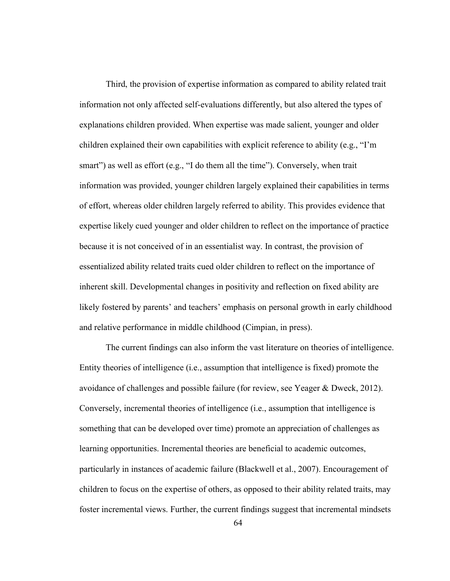Third, the provision of expertise information as compared to ability related trait information not only affected self-evaluations differently, but also altered the types of explanations children provided. When expertise was made salient, younger and older children explained their own capabilities with explicit reference to ability (e.g., "I'm smart") as well as effort (e.g., "I do them all the time"). Conversely, when trait information was provided, younger children largely explained their capabilities in terms of effort, whereas older children largely referred to ability. This provides evidence that expertise likely cued younger and older children to reflect on the importance of practice because it is not conceived of in an essentialist way. In contrast, the provision of essentialized ability related traits cued older children to reflect on the importance of inherent skill. Developmental changes in positivity and reflection on fixed ability are likely fostered by parents' and teachers' emphasis on personal growth in early childhood and relative performance in middle childhood (Cimpian, in press).

The current findings can also inform the vast literature on theories of intelligence. Entity theories of intelligence (i.e., assumption that intelligence is fixed) promote the avoidance of challenges and possible failure (for review, see Yeager & Dweck, 2012). Conversely, incremental theories of intelligence (i.e., assumption that intelligence is something that can be developed over time) promote an appreciation of challenges as learning opportunities. Incremental theories are beneficial to academic outcomes, particularly in instances of academic failure (Blackwell et al., 2007). Encouragement of children to focus on the expertise of others, as opposed to their ability related traits, may foster incremental views. Further, the current findings suggest that incremental mindsets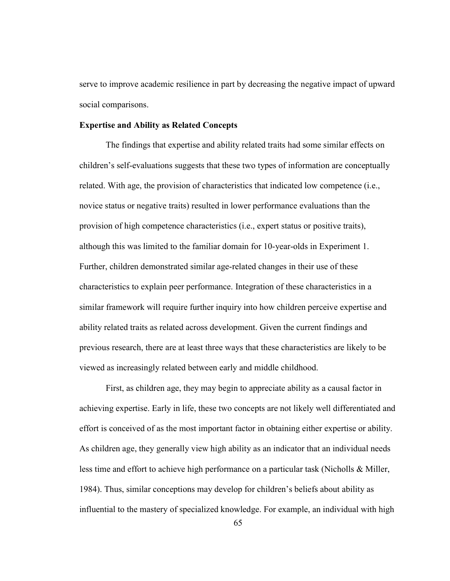serve to improve academic resilience in part by decreasing the negative impact of upward social comparisons.

#### Expertise and Ability as Related Concepts

The findings that expertise and ability related traits had some similar effects on children's self-evaluations suggests that these two types of information are conceptually related. With age, the provision of characteristics that indicated low competence (i.e., novice status or negative traits) resulted in lower performance evaluations than the provision of high competence characteristics (i.e., expert status or positive traits), although this was limited to the familiar domain for 10-year-olds in Experiment 1. Further, children demonstrated similar age-related changes in their use of these characteristics to explain peer performance. Integration of these characteristics in a similar framework will require further inquiry into how children perceive expertise and ability related traits as related across development. Given the current findings and previous research, there are at least three ways that these characteristics are likely to be viewed as increasingly related between early and middle childhood.

First, as children age, they may begin to appreciate ability as a causal factor in achieving expertise. Early in life, these two concepts are not likely well differentiated and effort is conceived of as the most important factor in obtaining either expertise or ability. As children age, they generally view high ability as an indicator that an individual needs less time and effort to achieve high performance on a particular task (Nicholls & Miller, 1984). Thus, similar conceptions may develop for children's beliefs about ability as influential to the mastery of specialized knowledge. For example, an individual with high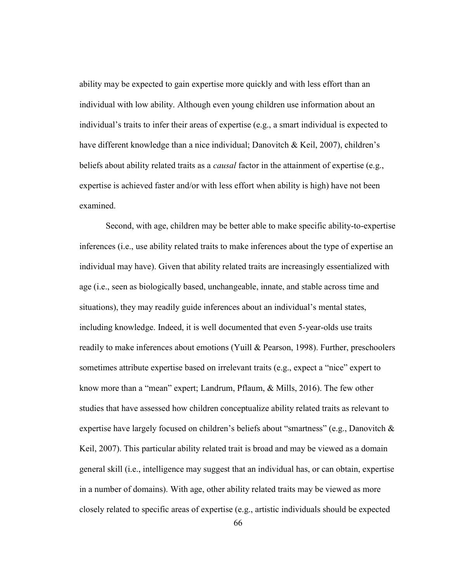ability may be expected to gain expertise more quickly and with less effort than an individual with low ability. Although even young children use information about an individual's traits to infer their areas of expertise (e.g., a smart individual is expected to have different knowledge than a nice individual; Danovitch & Keil, 2007), children's beliefs about ability related traits as a *causal* factor in the attainment of expertise (e.g., expertise is achieved faster and/or with less effort when ability is high) have not been examined.

Second, with age, children may be better able to make specific ability-to-expertise inferences (i.e., use ability related traits to make inferences about the type of expertise an individual may have). Given that ability related traits are increasingly essentialized with age (i.e., seen as biologically based, unchangeable, innate, and stable across time and situations), they may readily guide inferences about an individual's mental states, including knowledge. Indeed, it is well documented that even 5-year-olds use traits readily to make inferences about emotions (Yuill & Pearson, 1998). Further, preschoolers sometimes attribute expertise based on irrelevant traits (e.g., expect a "nice" expert to know more than a "mean" expert; Landrum, Pflaum, & Mills, 2016). The few other studies that have assessed how children conceptualize ability related traits as relevant to expertise have largely focused on children's beliefs about "smartness" (e.g., Danovitch & Keil, 2007). This particular ability related trait is broad and may be viewed as a domain general skill (i.e., intelligence may suggest that an individual has, or can obtain, expertise in a number of domains). With age, other ability related traits may be viewed as more closely related to specific areas of expertise (e.g., artistic individuals should be expected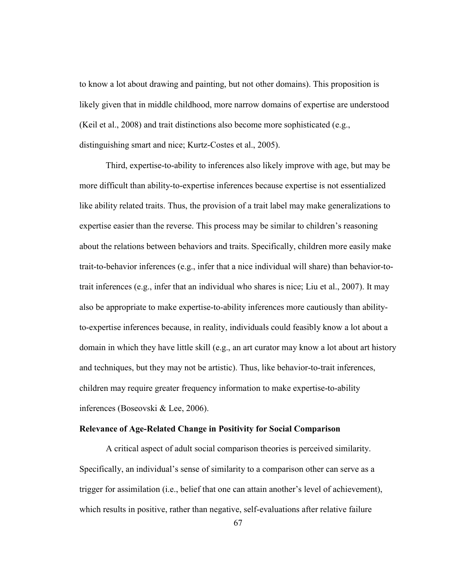to know a lot about drawing and painting, but not other domains). This proposition is likely given that in middle childhood, more narrow domains of expertise are understood (Keil et al., 2008) and trait distinctions also become more sophisticated (e.g., distinguishing smart and nice; Kurtz-Costes et al., 2005).

Third, expertise-to-ability to inferences also likely improve with age, but may be more difficult than ability-to-expertise inferences because expertise is not essentialized like ability related traits. Thus, the provision of a trait label may make generalizations to expertise easier than the reverse. This process may be similar to children's reasoning about the relations between behaviors and traits. Specifically, children more easily make trait-to-behavior inferences (e.g., infer that a nice individual will share) than behavior-totrait inferences (e.g., infer that an individual who shares is nice; Liu et al., 2007). It may also be appropriate to make expertise-to-ability inferences more cautiously than abilityto-expertise inferences because, in reality, individuals could feasibly know a lot about a domain in which they have little skill (e.g., an art curator may know a lot about art history and techniques, but they may not be artistic). Thus, like behavior-to-trait inferences, children may require greater frequency information to make expertise-to-ability inferences (Boseovski & Lee, 2006).

### Relevance of Age-Related Change in Positivity for Social Comparison

 A critical aspect of adult social comparison theories is perceived similarity. Specifically, an individual's sense of similarity to a comparison other can serve as a trigger for assimilation (i.e., belief that one can attain another's level of achievement), which results in positive, rather than negative, self-evaluations after relative failure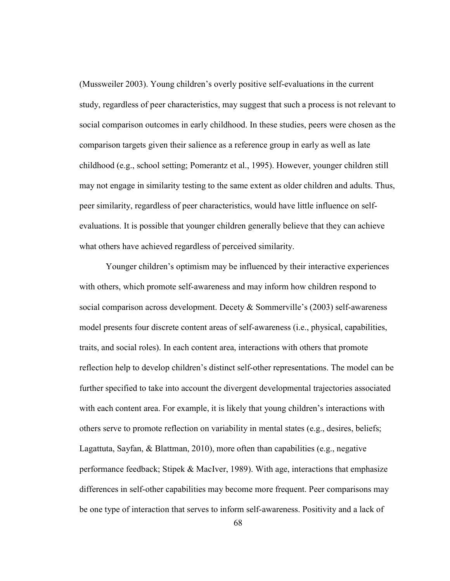(Mussweiler 2003). Young children's overly positive self-evaluations in the current study, regardless of peer characteristics, may suggest that such a process is not relevant to social comparison outcomes in early childhood. In these studies, peers were chosen as the comparison targets given their salience as a reference group in early as well as late childhood (e.g., school setting; Pomerantz et al., 1995). However, younger children still may not engage in similarity testing to the same extent as older children and adults. Thus, peer similarity, regardless of peer characteristics, would have little influence on selfevaluations. It is possible that younger children generally believe that they can achieve what others have achieved regardless of perceived similarity.

Younger children's optimism may be influenced by their interactive experiences with others, which promote self-awareness and may inform how children respond to social comparison across development. Decety & Sommerville's (2003) self-awareness model presents four discrete content areas of self-awareness (i.e., physical, capabilities, traits, and social roles). In each content area, interactions with others that promote reflection help to develop children's distinct self-other representations. The model can be further specified to take into account the divergent developmental trajectories associated with each content area. For example, it is likely that young children's interactions with others serve to promote reflection on variability in mental states (e.g., desires, beliefs; Lagattuta, Sayfan, & Blattman, 2010), more often than capabilities (e.g., negative performance feedback; Stipek & MacIver, 1989). With age, interactions that emphasize differences in self-other capabilities may become more frequent. Peer comparisons may be one type of interaction that serves to inform self-awareness. Positivity and a lack of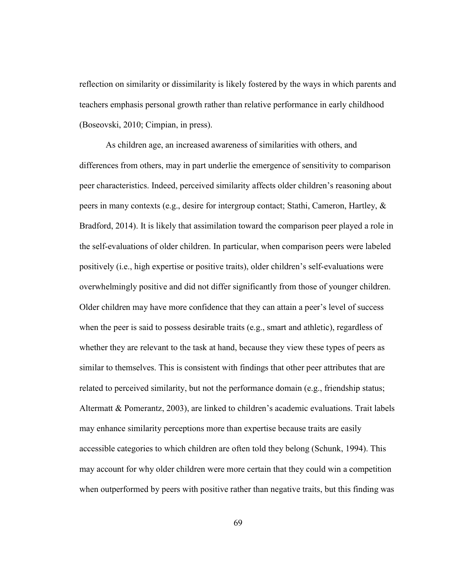reflection on similarity or dissimilarity is likely fostered by the ways in which parents and teachers emphasis personal growth rather than relative performance in early childhood (Boseovski, 2010; Cimpian, in press).

As children age, an increased awareness of similarities with others, and differences from others, may in part underlie the emergence of sensitivity to comparison peer characteristics. Indeed, perceived similarity affects older children's reasoning about peers in many contexts (e.g., desire for intergroup contact; Stathi, Cameron, Hartley, & Bradford, 2014). It is likely that assimilation toward the comparison peer played a role in the self-evaluations of older children. In particular, when comparison peers were labeled positively (i.e., high expertise or positive traits), older children's self-evaluations were overwhelmingly positive and did not differ significantly from those of younger children. Older children may have more confidence that they can attain a peer's level of success when the peer is said to possess desirable traits (e.g., smart and athletic), regardless of whether they are relevant to the task at hand, because they view these types of peers as similar to themselves. This is consistent with findings that other peer attributes that are related to perceived similarity, but not the performance domain (e.g., friendship status; Altermatt & Pomerantz, 2003), are linked to children's academic evaluations. Trait labels may enhance similarity perceptions more than expertise because traits are easily accessible categories to which children are often told they belong (Schunk, 1994). This may account for why older children were more certain that they could win a competition when outperformed by peers with positive rather than negative traits, but this finding was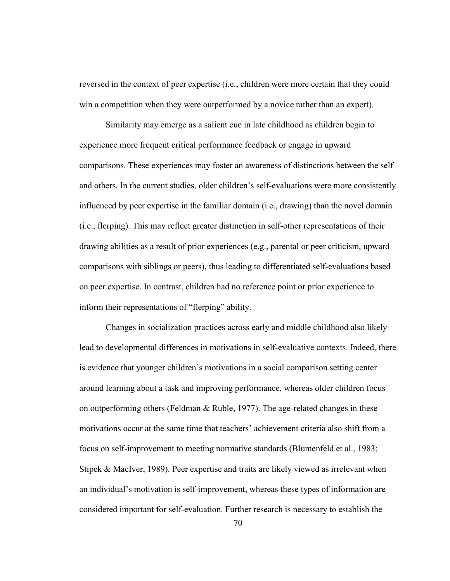reversed in the context of peer expertise (i.e., children were more certain that they could win a competition when they were outperformed by a novice rather than an expert).

Similarity may emerge as a salient cue in late childhood as children begin to experience more frequent critical performance feedback or engage in upward comparisons. These experiences may foster an awareness of distinctions between the self and others. In the current studies, older children's self-evaluations were more consistently influenced by peer expertise in the familiar domain (i.e., drawing) than the novel domain (i.e., flerping). This may reflect greater distinction in self-other representations of their drawing abilities as a result of prior experiences (e.g., parental or peer criticism, upward comparisons with siblings or peers), thus leading to differentiated self-evaluations based on peer expertise. In contrast, children had no reference point or prior experience to inform their representations of "flerping" ability.

Changes in socialization practices across early and middle childhood also likely lead to developmental differences in motivations in self-evaluative contexts. Indeed, there is evidence that younger children's motivations in a social comparison setting center around learning about a task and improving performance, whereas older children focus on outperforming others (Feldman & Ruble, 1977). The age-related changes in these motivations occur at the same time that teachers' achievement criteria also shift from a focus on self-improvement to meeting normative standards (Blumenfeld et al., 1983; Stipek & MacIver, 1989). Peer expertise and traits are likely viewed as irrelevant when an individual's motivation is self-improvement, whereas these types of information are considered important for self-evaluation. Further research is necessary to establish the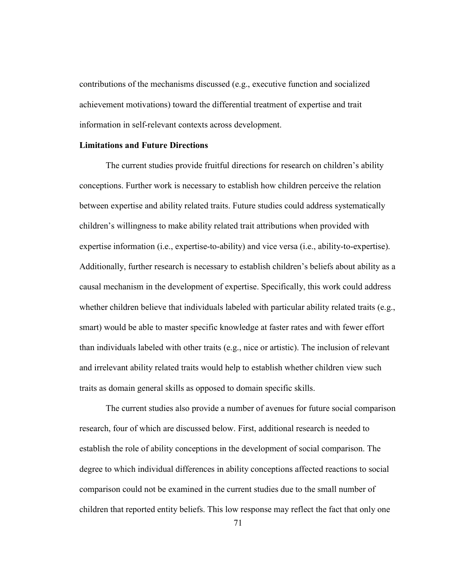contributions of the mechanisms discussed (e.g., executive function and socialized achievement motivations) toward the differential treatment of expertise and trait information in self-relevant contexts across development.

### Limitations and Future Directions

The current studies provide fruitful directions for research on children's ability conceptions. Further work is necessary to establish how children perceive the relation between expertise and ability related traits. Future studies could address systematically children's willingness to make ability related trait attributions when provided with expertise information (i.e., expertise-to-ability) and vice versa (i.e., ability-to-expertise). Additionally, further research is necessary to establish children's beliefs about ability as a causal mechanism in the development of expertise. Specifically, this work could address whether children believe that individuals labeled with particular ability related traits (e.g., smart) would be able to master specific knowledge at faster rates and with fewer effort than individuals labeled with other traits (e.g., nice or artistic). The inclusion of relevant and irrelevant ability related traits would help to establish whether children view such traits as domain general skills as opposed to domain specific skills.

The current studies also provide a number of avenues for future social comparison research, four of which are discussed below. First, additional research is needed to establish the role of ability conceptions in the development of social comparison. The degree to which individual differences in ability conceptions affected reactions to social comparison could not be examined in the current studies due to the small number of children that reported entity beliefs. This low response may reflect the fact that only one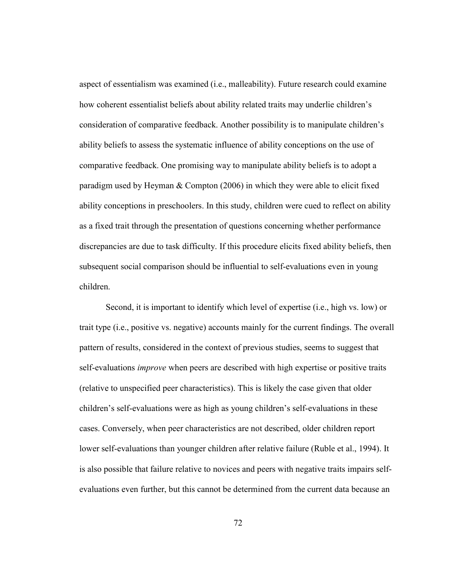aspect of essentialism was examined (i.e., malleability). Future research could examine how coherent essentialist beliefs about ability related traits may underlie children's consideration of comparative feedback. Another possibility is to manipulate children's ability beliefs to assess the systematic influence of ability conceptions on the use of comparative feedback. One promising way to manipulate ability beliefs is to adopt a paradigm used by Heyman & Compton (2006) in which they were able to elicit fixed ability conceptions in preschoolers. In this study, children were cued to reflect on ability as a fixed trait through the presentation of questions concerning whether performance discrepancies are due to task difficulty. If this procedure elicits fixed ability beliefs, then subsequent social comparison should be influential to self-evaluations even in young children.

Second, it is important to identify which level of expertise (i.e., high vs. low) or trait type (i.e., positive vs. negative) accounts mainly for the current findings. The overall pattern of results, considered in the context of previous studies, seems to suggest that self-evaluations *improve* when peers are described with high expertise or positive traits (relative to unspecified peer characteristics). This is likely the case given that older children's self-evaluations were as high as young children's self-evaluations in these cases. Conversely, when peer characteristics are not described, older children report lower self-evaluations than younger children after relative failure (Ruble et al., 1994). It is also possible that failure relative to novices and peers with negative traits impairs selfevaluations even further, but this cannot be determined from the current data because an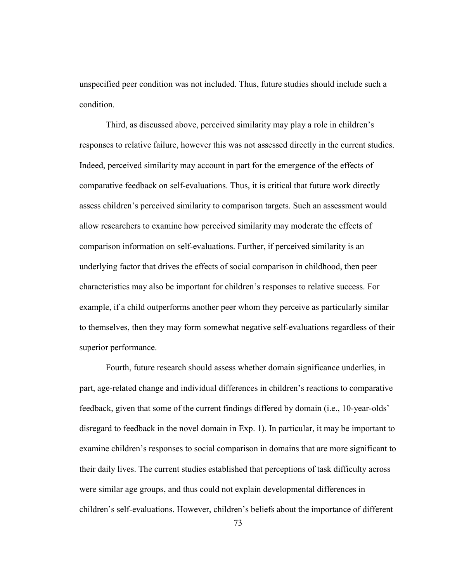unspecified peer condition was not included. Thus, future studies should include such a condition.

 Third, as discussed above, perceived similarity may play a role in children's responses to relative failure, however this was not assessed directly in the current studies. Indeed, perceived similarity may account in part for the emergence of the effects of comparative feedback on self-evaluations. Thus, it is critical that future work directly assess children's perceived similarity to comparison targets. Such an assessment would allow researchers to examine how perceived similarity may moderate the effects of comparison information on self-evaluations. Further, if perceived similarity is an underlying factor that drives the effects of social comparison in childhood, then peer characteristics may also be important for children's responses to relative success. For example, if a child outperforms another peer whom they perceive as particularly similar to themselves, then they may form somewhat negative self-evaluations regardless of their superior performance.

 Fourth, future research should assess whether domain significance underlies, in part, age-related change and individual differences in children's reactions to comparative feedback, given that some of the current findings differed by domain (i.e., 10-year-olds' disregard to feedback in the novel domain in Exp. 1). In particular, it may be important to examine children's responses to social comparison in domains that are more significant to their daily lives. The current studies established that perceptions of task difficulty across were similar age groups, and thus could not explain developmental differences in children's self-evaluations. However, children's beliefs about the importance of different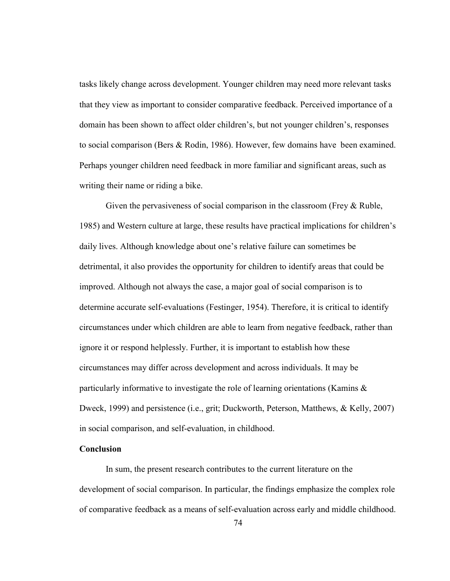tasks likely change across development. Younger children may need more relevant tasks that they view as important to consider comparative feedback. Perceived importance of a domain has been shown to affect older children's, but not younger children's, responses to social comparison (Bers & Rodin, 1986). However, few domains have been examined. Perhaps younger children need feedback in more familiar and significant areas, such as writing their name or riding a bike.

Given the pervasiveness of social comparison in the classroom (Frey & Ruble, 1985) and Western culture at large, these results have practical implications for children's daily lives. Although knowledge about one's relative failure can sometimes be detrimental, it also provides the opportunity for children to identify areas that could be improved. Although not always the case, a major goal of social comparison is to determine accurate self-evaluations (Festinger, 1954). Therefore, it is critical to identify circumstances under which children are able to learn from negative feedback, rather than ignore it or respond helplessly. Further, it is important to establish how these circumstances may differ across development and across individuals. It may be particularly informative to investigate the role of learning orientations (Kamins & Dweck, 1999) and persistence (i.e., grit; Duckworth, Peterson, Matthews, & Kelly, 2007) in social comparison, and self-evaluation, in childhood.

# Conclusion

In sum, the present research contributes to the current literature on the development of social comparison. In particular, the findings emphasize the complex role of comparative feedback as a means of self-evaluation across early and middle childhood.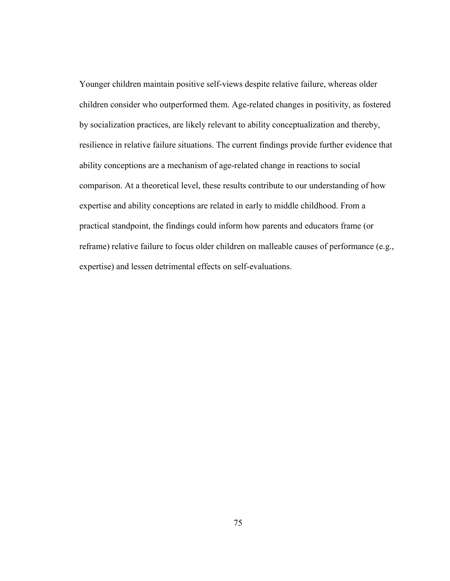Younger children maintain positive self-views despite relative failure, whereas older children consider who outperformed them. Age-related changes in positivity, as fostered by socialization practices, are likely relevant to ability conceptualization and thereby, resilience in relative failure situations. The current findings provide further evidence that ability conceptions are a mechanism of age-related change in reactions to social comparison. At a theoretical level, these results contribute to our understanding of how expertise and ability conceptions are related in early to middle childhood. From a practical standpoint, the findings could inform how parents and educators frame (or reframe) relative failure to focus older children on malleable causes of performance (e.g., expertise) and lessen detrimental effects on self-evaluations.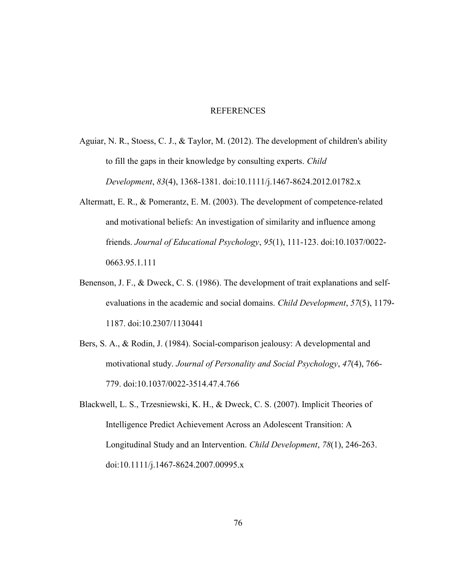### REFERENCES

- Aguiar, N. R., Stoess, C. J., & Taylor, M. (2012). The development of children's ability to fill the gaps in their knowledge by consulting experts. Child Development, 83(4), 1368-1381. doi:10.1111/j.1467-8624.2012.01782.x
- Altermatt, E. R., & Pomerantz, E. M. (2003). The development of competence-related and motivational beliefs: An investigation of similarity and influence among friends. Journal of Educational Psychology, 95(1), 111-123. doi:10.1037/0022- 0663.95.1.111
- Benenson, J. F., & Dweck, C. S. (1986). The development of trait explanations and selfevaluations in the academic and social domains. Child Development, 57(5), 1179- 1187. doi:10.2307/1130441
- Bers, S. A., & Rodin, J. (1984). Social-comparison jealousy: A developmental and motivational study. Journal of Personality and Social Psychology, 47(4), 766- 779. doi:10.1037/0022-3514.47.4.766
- Blackwell, L. S., Trzesniewski, K. H., & Dweck, C. S. (2007). Implicit Theories of Intelligence Predict Achievement Across an Adolescent Transition: A Longitudinal Study and an Intervention. Child Development, 78(1), 246-263. doi:10.1111/j.1467-8624.2007.00995.x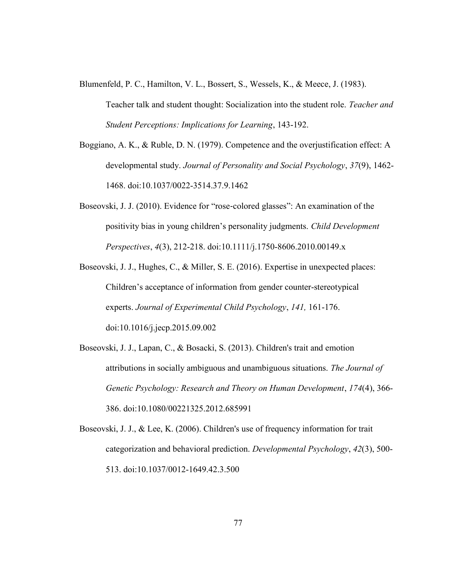- Blumenfeld, P. C., Hamilton, V. L., Bossert, S., Wessels, K., & Meece, J. (1983).
	- Teacher talk and student thought: Socialization into the student role. Teacher and Student Perceptions: Implications for Learning, 143-192.
- Boggiano, A. K., & Ruble, D. N. (1979). Competence and the overjustification effect: A developmental study. Journal of Personality and Social Psychology, 37(9), 1462- 1468. doi:10.1037/0022-3514.37.9.1462
- Boseovski, J. J. (2010). Evidence for "rose‐colored glasses": An examination of the positivity bias in young children's personality judgments. Child Development Perspectives, 4(3), 212-218. doi:10.1111/j.1750-8606.2010.00149.x
- Boseovski, J. J., Hughes, C., & Miller, S. E. (2016). Expertise in unexpected places: Children's acceptance of information from gender counter-stereotypical experts. Journal of Experimental Child Psychology, 141, 161-176. doi:10.1016/j.jecp.2015.09.002
- Boseovski, J. J., Lapan, C., & Bosacki, S. (2013). Children's trait and emotion attributions in socially ambiguous and unambiguous situations. The Journal of Genetic Psychology: Research and Theory on Human Development, 174(4), 366- 386. doi:10.1080/00221325.2012.685991
- Boseovski, J. J., & Lee, K. (2006). Children's use of frequency information for trait categorization and behavioral prediction. Developmental Psychology, 42(3), 500- 513. doi:10.1037/0012-1649.42.3.500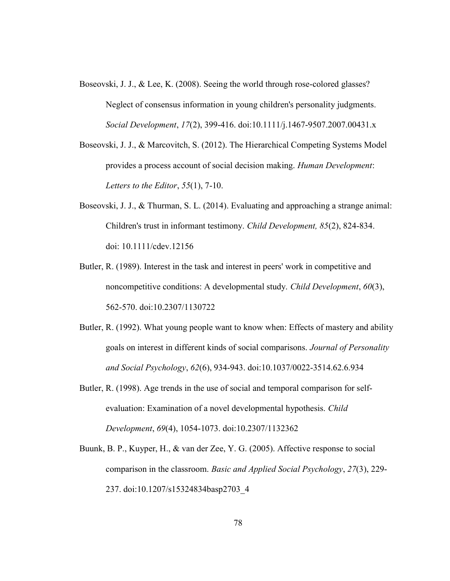- Boseovski, J. J., & Lee, K. (2008). Seeing the world through rose-colored glasses? Neglect of consensus information in young children's personality judgments. Social Development, 17(2), 399-416. doi:10.1111/j.1467-9507.2007.00431.x
- Boseovski, J. J., & Marcovitch, S. (2012). The Hierarchical Competing Systems Model provides a process account of social decision making. Human Development: Letters to the Editor,  $55(1)$ ,  $7-10$ .
- Boseovski, J. J., & Thurman, S. L. (2014). Evaluating and approaching a strange animal: Children's trust in informant testimony. Child Development, 85(2), 824-834. doi: 10.1111/cdev.12156
- Butler, R. (1989). Interest in the task and interest in peers' work in competitive and noncompetitive conditions: A developmental study. Child Development, 60(3), 562-570. doi:10.2307/1130722
- Butler, R. (1992). What young people want to know when: Effects of mastery and ability goals on interest in different kinds of social comparisons. Journal of Personality and Social Psychology, 62(6), 934-943. doi:10.1037/0022-3514.62.6.934
- Butler, R. (1998). Age trends in the use of social and temporal comparison for selfevaluation: Examination of a novel developmental hypothesis. Child Development, 69(4), 1054-1073. doi:10.2307/1132362
- Buunk, B. P., Kuyper, H., & van der Zee, Y. G. (2005). Affective response to social comparison in the classroom. Basic and Applied Social Psychology, 27(3), 229- 237. doi:10.1207/s15324834basp2703\_4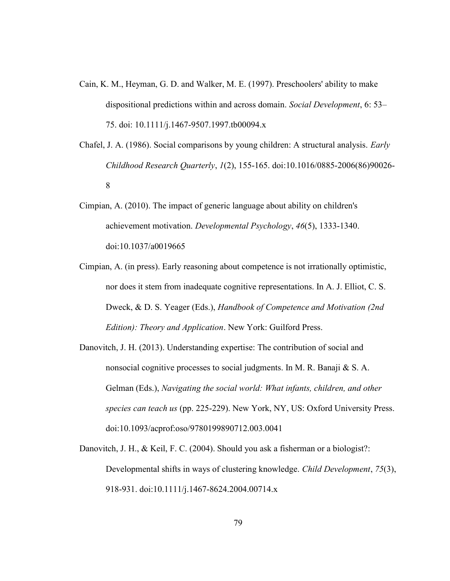- Cain, K. M., Heyman, G. D. and Walker, M. E. (1997). Preschoolers' ability to make dispositional predictions within and across domain. Social Development, 6: 53– 75. doi: 10.1111/j.1467-9507.1997.tb00094.x
- Chafel, J. A. (1986). Social comparisons by young children: A structural analysis. Early Childhood Research Quarterly, 1(2), 155-165. doi:10.1016/0885-2006(86)90026- 8
- Cimpian, A. (2010). The impact of generic language about ability on children's achievement motivation. Developmental Psychology, 46(5), 1333-1340. doi:10.1037/a0019665
- Cimpian, A. (in press). Early reasoning about competence is not irrationally optimistic, nor does it stem from inadequate cognitive representations. In A. J. Elliot, C. S. Dweck, & D. S. Yeager (Eds.), Handbook of Competence and Motivation (2nd Edition): Theory and Application. New York: Guilford Press.
- Danovitch, J. H. (2013). Understanding expertise: The contribution of social and nonsocial cognitive processes to social judgments. In M. R. Banaji & S. A. Gelman (Eds.), Navigating the social world: What infants, children, and other species can teach us (pp. 225-229). New York, NY, US: Oxford University Press. doi:10.1093/acprof:oso/9780199890712.003.0041
- Danovitch, J. H., & Keil, F. C. (2004). Should you ask a fisherman or a biologist?: Developmental shifts in ways of clustering knowledge. Child Development, 75(3), 918-931. doi:10.1111/j.1467-8624.2004.00714.x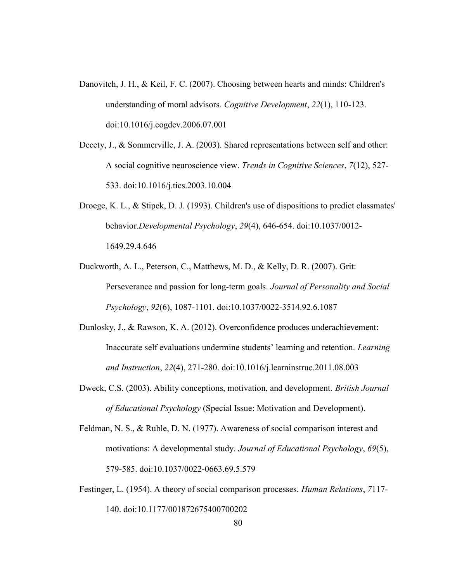- Danovitch, J. H., & Keil, F. C. (2007). Choosing between hearts and minds: Children's understanding of moral advisors. Cognitive Development, 22(1), 110-123. doi:10.1016/j.cogdev.2006.07.001
- Decety, J., & Sommerville, J. A. (2003). Shared representations between self and other: A social cognitive neuroscience view. Trends in Cognitive Sciences, 7(12), 527- 533. doi:10.1016/j.tics.2003.10.004
- Droege, K. L., & Stipek, D. J. (1993). Children's use of dispositions to predict classmates' behavior.Developmental Psychology, 29(4), 646-654. doi:10.1037/0012- 1649.29.4.646
- Duckworth, A. L., Peterson, C., Matthews, M. D., & Kelly, D. R. (2007). Grit: Perseverance and passion for long-term goals. Journal of Personality and Social Psychology, 92(6), 1087-1101. doi:10.1037/0022-3514.92.6.1087
- Dunlosky, J., & Rawson, K. A. (2012). Overconfidence produces underachievement: Inaccurate self evaluations undermine students' learning and retention. Learning and Instruction, 22(4), 271-280. doi:10.1016/j.learninstruc.2011.08.003
- Dweck, C.S. (2003). Ability conceptions, motivation, and development. *British Journal* of Educational Psychology (Special Issue: Motivation and Development).
- Feldman, N. S., & Ruble, D. N. (1977). Awareness of social comparison interest and motivations: A developmental study. Journal of Educational Psychology, 69(5), 579-585. doi:10.1037/0022-0663.69.5.579
- Festinger, L. (1954). A theory of social comparison processes. Human Relations, 7117- 140. doi:10.1177/001872675400700202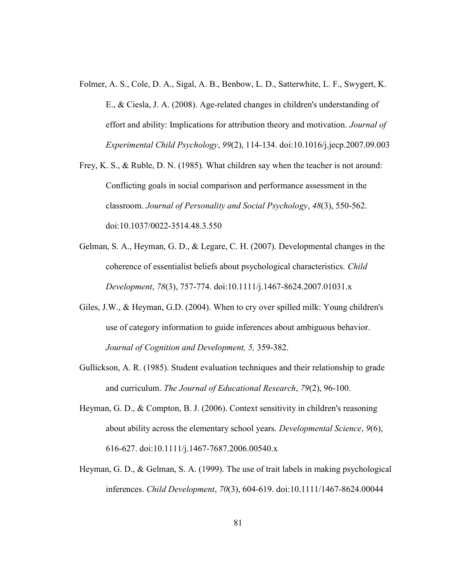- Folmer, A. S., Cole, D. A., Sigal, A. B., Benbow, L. D., Satterwhite, L. F., Swygert, K. E., & Ciesla, J. A. (2008). Age-related changes in children's understanding of effort and ability: Implications for attribution theory and motivation. Journal of Experimental Child Psychology, 99(2), 114-134. doi:10.1016/j.jecp.2007.09.003
- Frey, K. S., & Ruble, D. N. (1985). What children say when the teacher is not around: Conflicting goals in social comparison and performance assessment in the classroom. Journal of Personality and Social Psychology, 48(3), 550-562. doi:10.1037/0022-3514.48.3.550
- Gelman, S. A., Heyman, G. D., & Legare, C. H. (2007). Developmental changes in the coherence of essentialist beliefs about psychological characteristics. Child Development, 78(3), 757-774. doi:10.1111/j.1467-8624.2007.01031.x
- Giles, J.W., & Heyman, G.D. (2004). When to cry over spilled milk: Young children's use of category information to guide inferences about ambiguous behavior. Journal of Cognition and Development, 5, 359-382.
- Gullickson, A. R. (1985). Student evaluation techniques and their relationship to grade and curriculum. The Journal of Educational Research, 79(2), 96-100.
- Heyman, G. D., & Compton, B. J. (2006). Context sensitivity in children's reasoning about ability across the elementary school years. Developmental Science, 9(6), 616-627. doi:10.1111/j.1467-7687.2006.00540.x
- Heyman, G. D., & Gelman, S. A. (1999). The use of trait labels in making psychological inferences. Child Development, 70(3), 604-619. doi:10.1111/1467-8624.00044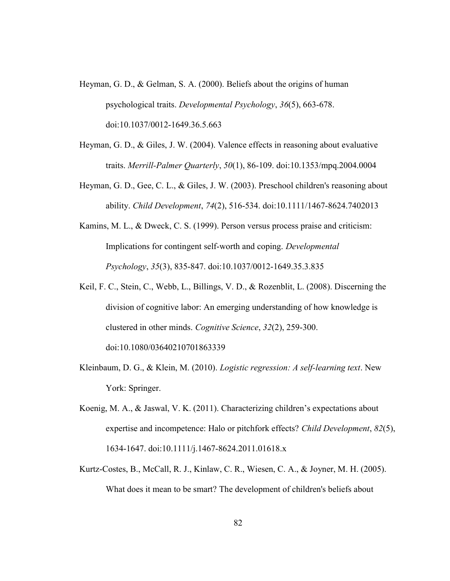- Heyman, G. D., & Gelman, S. A. (2000). Beliefs about the origins of human psychological traits. Developmental Psychology, 36(5), 663-678. doi:10.1037/0012-1649.36.5.663
- Heyman, G. D., & Giles, J. W. (2004). Valence effects in reasoning about evaluative traits. Merrill-Palmer Quarterly, 50(1), 86-109. doi:10.1353/mpq.2004.0004
- Heyman, G. D., Gee, C. L., & Giles, J. W. (2003). Preschool children's reasoning about ability. Child Development, 74(2), 516-534. doi:10.1111/1467-8624.7402013
- Kamins, M. L., & Dweck, C. S. (1999). Person versus process praise and criticism: Implications for contingent self-worth and coping. Developmental Psychology, 35(3), 835-847. doi:10.1037/0012-1649.35.3.835
- Keil, F. C., Stein, C., Webb, L., Billings, V. D., & Rozenblit, L. (2008). Discerning the division of cognitive labor: An emerging understanding of how knowledge is clustered in other minds. Cognitive Science, 32(2), 259-300. doi:10.1080/03640210701863339
- Kleinbaum, D. G., & Klein, M. (2010). Logistic regression: A self-learning text. New York: Springer.
- Koenig, M. A., & Jaswal, V. K. (2011). Characterizing children's expectations about expertise and incompetence: Halo or pitchfork effects? Child Development, 82(5), 1634-1647. doi:10.1111/j.1467-8624.2011.01618.x
- Kurtz-Costes, B., McCall, R. J., Kinlaw, C. R., Wiesen, C. A., & Joyner, M. H. (2005). What does it mean to be smart? The development of children's beliefs about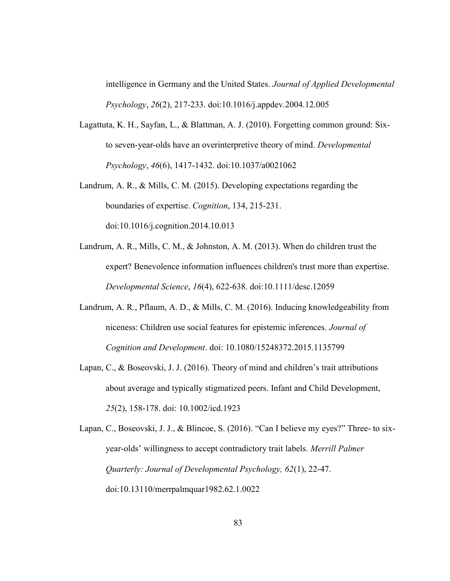intelligence in Germany and the United States. Journal of Applied Developmental Psychology, 26(2), 217-233. doi:10.1016/j.appdev.2004.12.005

- Lagattuta, K. H., Sayfan, L., & Blattman, A. J. (2010). Forgetting common ground: Sixto seven-year-olds have an overinterpretive theory of mind. Developmental Psychology, 46(6), 1417-1432. doi:10.1037/a0021062
- Landrum, A. R., & Mills, C. M. (2015). Developing expectations regarding the boundaries of expertise. Cognition, 134, 215-231. doi:10.1016/j.cognition.2014.10.013
- Landrum, A. R., Mills, C. M., & Johnston, A. M. (2013). When do children trust the expert? Benevolence information influences children's trust more than expertise. Developmental Science, 16(4), 622-638. doi:10.1111/desc.12059
- Landrum, A. R., Pflaum, A. D., & Mills, C. M. (2016). Inducing knowledgeability from niceness: Children use social features for epistemic inferences. Journal of Cognition and Development. doi: 10.1080/15248372.2015.1135799
- Lapan, C., & Boseovski, J. J. (2016). Theory of mind and children's trait attributions about average and typically stigmatized peers. Infant and Child Development, 25(2), 158-178. doi: 10.1002/icd.1923

Lapan, C., Boseovski, J. J., & Blincoe, S. (2016). "Can I believe my eyes?" Three- to sixyear-olds' willingness to accept contradictory trait labels. Merrill Palmer Quarterly: Journal of Developmental Psychology, 62(1), 22-47. doi:10.13110/merrpalmquar1982.62.1.0022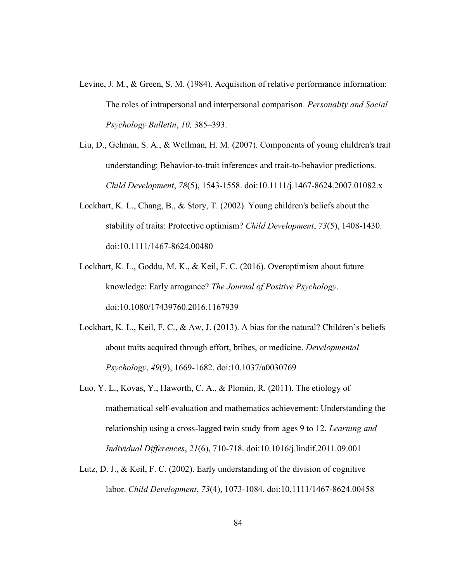- Levine, J. M., & Green, S. M. (1984). Acquisition of relative performance information: The roles of intrapersonal and interpersonal comparison. Personality and Social Psychology Bulletin, 10, 385–393.
- Liu, D., Gelman, S. A., & Wellman, H. M. (2007). Components of young children's trait understanding: Behavior-to-trait inferences and trait-to-behavior predictions. Child Development, 78(5), 1543-1558. doi:10.1111/j.1467-8624.2007.01082.x
- Lockhart, K. L., Chang, B., & Story, T. (2002). Young children's beliefs about the stability of traits: Protective optimism? Child Development, 73(5), 1408-1430. doi:10.1111/1467-8624.00480
- Lockhart, K. L., Goddu, M. K., & Keil, F. C. (2016). Overoptimism about future knowledge: Early arrogance? The Journal of Positive Psychology. doi:10.1080/17439760.2016.1167939
- Lockhart, K. L., Keil, F. C., & Aw, J. (2013). A bias for the natural? Children's beliefs about traits acquired through effort, bribes, or medicine. Developmental Psychology, 49(9), 1669-1682. doi:10.1037/a0030769
- Luo, Y. L., Kovas, Y., Haworth, C. A., & Plomin, R. (2011). The etiology of mathematical self-evaluation and mathematics achievement: Understanding the relationship using a cross-lagged twin study from ages 9 to 12. Learning and Individual Differences, 21(6), 710-718. doi:10.1016/j.lindif.2011.09.001
- Lutz, D. J., & Keil, F. C. (2002). Early understanding of the division of cognitive labor. Child Development, 73(4), 1073-1084. doi:10.1111/1467-8624.00458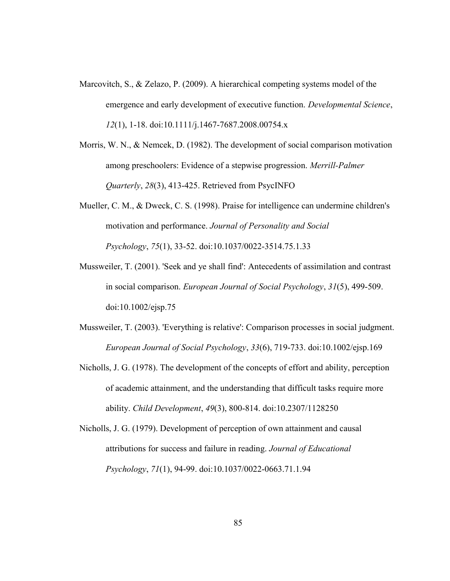- Marcovitch, S., & Zelazo, P. (2009). A hierarchical competing systems model of the emergence and early development of executive function. Developmental Science, 12(1), 1-18. doi:10.1111/j.1467-7687.2008.00754.x
- Morris, W. N., & Nemcek, D. (1982). The development of social comparison motivation among preschoolers: Evidence of a stepwise progression. Merrill-Palmer Quarterly, 28(3), 413-425. Retrieved from PsycINFO
- Mueller, C. M., & Dweck, C. S. (1998). Praise for intelligence can undermine children's motivation and performance. Journal of Personality and Social Psychology, 75(1), 33-52. doi:10.1037/0022-3514.75.1.33
- Mussweiler, T. (2001). 'Seek and ye shall find': Antecedents of assimilation and contrast in social comparison. European Journal of Social Psychology, 31(5), 499-509. doi:10.1002/ejsp.75
- Mussweiler, T. (2003). 'Everything is relative': Comparison processes in social judgment. European Journal of Social Psychology, 33(6), 719-733. doi:10.1002/ejsp.169
- Nicholls, J. G. (1978). The development of the concepts of effort and ability, perception of academic attainment, and the understanding that difficult tasks require more ability. Child Development, 49(3), 800-814. doi:10.2307/1128250
- Nicholls, J. G. (1979). Development of perception of own attainment and causal attributions for success and failure in reading. Journal of Educational Psychology, 71(1), 94-99. doi:10.1037/0022-0663.71.1.94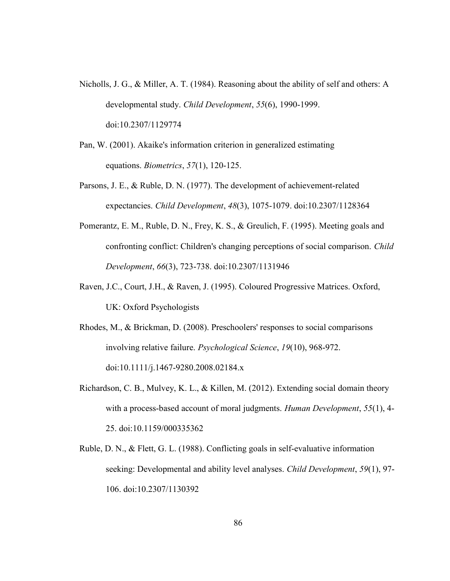- Nicholls, J. G., & Miller, A. T. (1984). Reasoning about the ability of self and others: A developmental study. Child Development, 55(6), 1990-1999. doi:10.2307/1129774
- Pan, W. (2001). Akaike's information criterion in generalized estimating equations. Biometrics, 57(1), 120-125.
- Parsons, J. E., & Ruble, D. N. (1977). The development of achievement-related expectancies. Child Development, 48(3), 1075-1079. doi:10.2307/1128364
- Pomerantz, E. M., Ruble, D. N., Frey, K. S., & Greulich, F. (1995). Meeting goals and confronting conflict: Children's changing perceptions of social comparison. Child Development, 66(3), 723-738. doi:10.2307/1131946
- Raven, J.C., Court, J.H., & Raven, J. (1995). Coloured Progressive Matrices. Oxford, UK: Oxford Psychologists
- Rhodes, M., & Brickman, D. (2008). Preschoolers' responses to social comparisons involving relative failure. Psychological Science, 19(10), 968-972. doi:10.1111/j.1467-9280.2008.02184.x
- Richardson, C. B., Mulvey, K. L., & Killen, M. (2012). Extending social domain theory with a process-based account of moral judgments. Human Development, 55(1), 4-25. doi:10.1159/000335362
- Ruble, D. N., & Flett, G. L. (1988). Conflicting goals in self-evaluative information seeking: Developmental and ability level analyses. *Child Development*, 59(1), 97-106. doi:10.2307/1130392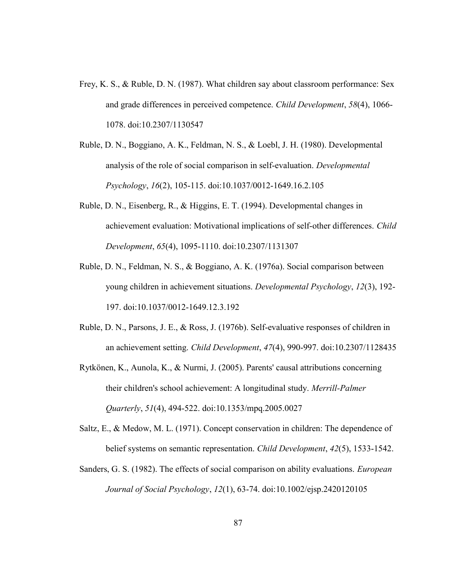- Frey, K. S., & Ruble, D. N. (1987). What children say about classroom performance: Sex and grade differences in perceived competence. Child Development, 58(4), 1066- 1078. doi:10.2307/1130547
- Ruble, D. N., Boggiano, A. K., Feldman, N. S., & Loebl, J. H. (1980). Developmental analysis of the role of social comparison in self-evaluation. Developmental Psychology, 16(2), 105-115. doi:10.1037/0012-1649.16.2.105
- Ruble, D. N., Eisenberg, R., & Higgins, E. T. (1994). Developmental changes in achievement evaluation: Motivational implications of self-other differences. Child Development, 65(4), 1095-1110. doi:10.2307/1131307
- Ruble, D. N., Feldman, N. S., & Boggiano, A. K. (1976a). Social comparison between young children in achievement situations. Developmental Psychology, 12(3), 192- 197. doi:10.1037/0012-1649.12.3.192
- Ruble, D. N., Parsons, J. E., & Ross, J. (1976b). Self-evaluative responses of children in an achievement setting. Child Development, 47(4), 990-997. doi:10.2307/1128435
- Rytkönen, K., Aunola, K., & Nurmi, J. (2005). Parents' causal attributions concerning their children's school achievement: A longitudinal study. Merrill-Palmer Quarterly, 51(4), 494-522. doi:10.1353/mpq.2005.0027
- Saltz, E., & Medow, M. L. (1971). Concept conservation in children: The dependence of belief systems on semantic representation. Child Development, 42(5), 1533-1542.
- Sanders, G. S. (1982). The effects of social comparison on ability evaluations. European Journal of Social Psychology, 12(1), 63-74. doi:10.1002/ejsp.2420120105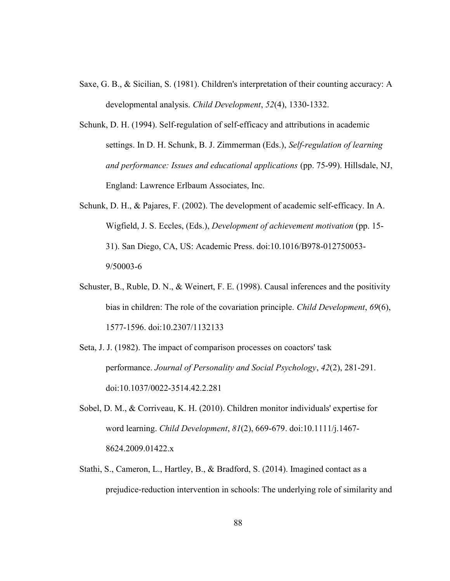- Saxe, G. B., & Sicilian, S. (1981). Children's interpretation of their counting accuracy: A developmental analysis. Child Development, 52(4), 1330-1332.
- Schunk, D. H. (1994). Self-regulation of self-efficacy and attributions in academic settings. In D. H. Schunk, B. J. Zimmerman (Eds.), Self-regulation of learning and performance: Issues and educational applications (pp. 75-99). Hillsdale, NJ, England: Lawrence Erlbaum Associates, Inc.
- Schunk, D. H., & Pajares, F. (2002). The development of academic self-efficacy. In A. Wigfield, J. S. Eccles, (Eds.), Development of achievement motivation (pp. 15- 31). San Diego, CA, US: Academic Press. doi:10.1016/B978-012750053- 9/50003-6
- Schuster, B., Ruble, D. N., & Weinert, F. E. (1998). Causal inferences and the positivity bias in children: The role of the covariation principle. Child Development, 69(6), 1577-1596. doi:10.2307/1132133
- Seta, J. J. (1982). The impact of comparison processes on coactors' task performance. Journal of Personality and Social Psychology, 42(2), 281-291. doi:10.1037/0022-3514.42.2.281
- Sobel, D. M., & Corriveau, K. H. (2010). Children monitor individuals' expertise for word learning. Child Development, 81(2), 669-679. doi:10.1111/j.1467- 8624.2009.01422.x
- Stathi, S., Cameron, L., Hartley, B., & Bradford, S. (2014). Imagined contact as a prejudice‐reduction intervention in schools: The underlying role of similarity and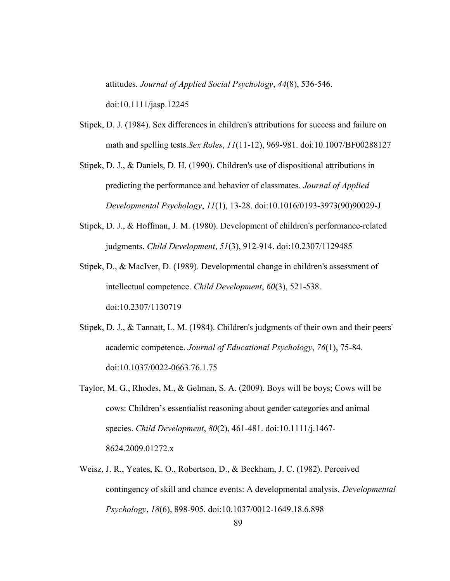attitudes. Journal of Applied Social Psychology, 44(8), 536-546.

doi:10.1111/jasp.12245

- Stipek, D. J. (1984). Sex differences in children's attributions for success and failure on math and spelling tests.Sex Roles, 11(11-12), 969-981. doi:10.1007/BF00288127
- Stipek, D. J., & Daniels, D. H. (1990). Children's use of dispositional attributions in predicting the performance and behavior of classmates. Journal of Applied Developmental Psychology, 11(1), 13-28. doi:10.1016/0193-3973(90)90029-J
- Stipek, D. J., & Hoffman, J. M. (1980). Development of children's performance-related judgments. Child Development, 51(3), 912-914. doi:10.2307/1129485
- Stipek, D., & MacIver, D. (1989). Developmental change in children's assessment of intellectual competence. Child Development, 60(3), 521-538. doi:10.2307/1130719
- Stipek, D. J., & Tannatt, L. M. (1984). Children's judgments of their own and their peers' academic competence. Journal of Educational Psychology, 76(1), 75-84. doi:10.1037/0022-0663.76.1.75
- Taylor, M. G., Rhodes, M., & Gelman, S. A. (2009). Boys will be boys; Cows will be cows: Children's essentialist reasoning about gender categories and animal species. Child Development, 80(2), 461-481. doi:10.1111/j.1467- 8624.2009.01272.x
- Weisz, J. R., Yeates, K. O., Robertson, D., & Beckham, J. C. (1982). Perceived contingency of skill and chance events: A developmental analysis. Developmental Psychology, 18(6), 898-905. doi:10.1037/0012-1649.18.6.898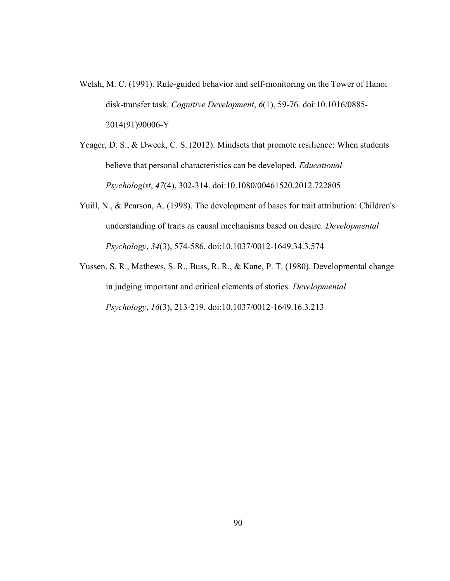- Welsh, M. C. (1991). Rule-guided behavior and self-monitoring on the Tower of Hanoi disk-transfer task. Cognitive Development, 6(1), 59-76. doi:10.1016/0885- 2014(91)90006-Y
- Yeager, D. S., & Dweck, C. S. (2012). Mindsets that promote resilience: When students believe that personal characteristics can be developed. Educational Psychologist, 47(4), 302-314. doi:10.1080/00461520.2012.722805
- Yuill, N., & Pearson, A. (1998). The development of bases for trait attribution: Children's understanding of traits as causal mechanisms based on desire. Developmental Psychology, 34(3), 574-586. doi:10.1037/0012-1649.34.3.574
- Yussen, S. R., Mathews, S. R., Buss, R. R., & Kane, P. T. (1980). Developmental change in judging important and critical elements of stories. Developmental Psychology, 16(3), 213-219. doi:10.1037/0012-1649.16.3.213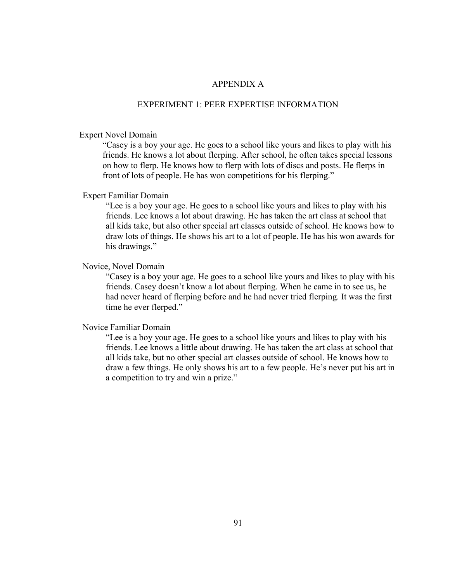## APPENDIX A

### EXPERIMENT 1: PEER EXPERTISE INFORMATION

### Expert Novel Domain

 "Casey is a boy your age. He goes to a school like yours and likes to play with his friends. He knows a lot about flerping. After school, he often takes special lessons on how to flerp. He knows how to flerp with lots of discs and posts. He flerps in front of lots of people. He has won competitions for his flerping."

## Expert Familiar Domain

 "Lee is a boy your age. He goes to a school like yours and likes to play with his friends. Lee knows a lot about drawing. He has taken the art class at school that all kids take, but also other special art classes outside of school. He knows how to draw lots of things. He shows his art to a lot of people. He has his won awards for his drawings."

### Novice, Novel Domain

 "Casey is a boy your age. He goes to a school like yours and likes to play with his friends. Casey doesn't know a lot about flerping. When he came in to see us, he had never heard of flerping before and he had never tried flerping. It was the first time he ever flerped."

#### Novice Familiar Domain

 "Lee is a boy your age. He goes to a school like yours and likes to play with his friends. Lee knows a little about drawing. He has taken the art class at school that all kids take, but no other special art classes outside of school. He knows how to draw a few things. He only shows his art to a few people. He's never put his art in a competition to try and win a prize."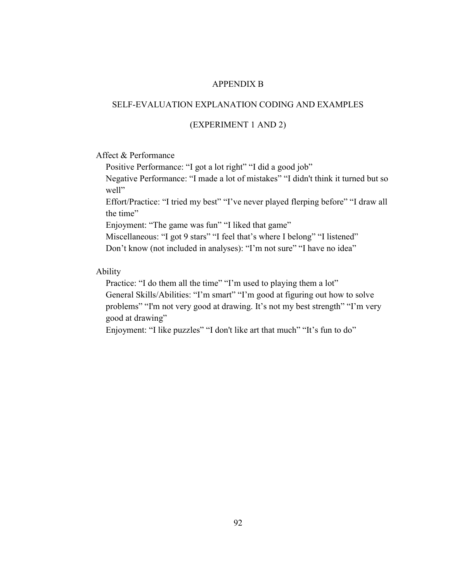### APPENDIX B

## SELF-EVALUATION EXPLANATION CODING AND EXAMPLES

## (EXPERIMENT 1 AND 2)

# Affect & Performance

Positive Performance: "I got a lot right" "I did a good job"

Negative Performance: "I made a lot of mistakes" "I didn't think it turned but so well"

Effort/Practice: "I tried my best" "I've never played flerping before" "I draw all the time"

Enjoyment: "The game was fun" "I liked that game"

Miscellaneous: "I got 9 stars" "I feel that's where I belong" "I listened" Don't know (not included in analyses): "I'm not sure" "I have no idea"

## Ability

Practice: "I do them all the time" "I'm used to playing them a lot" General Skills/Abilities: "I'm smart" "I'm good at figuring out how to solve problems" "I'm not very good at drawing. It's not my best strength" "I'm very good at drawing"

Enjoyment: "I like puzzles" "I don't like art that much" "It's fun to do"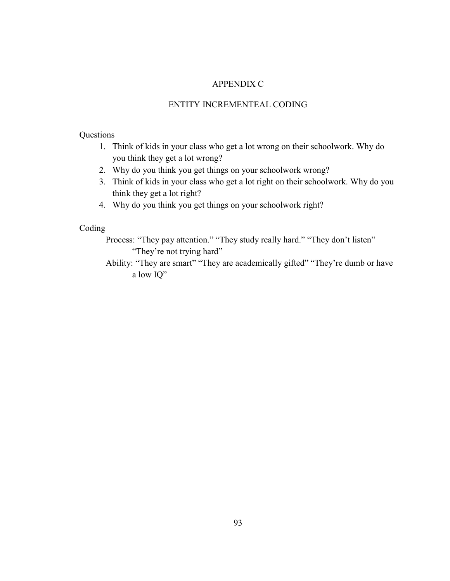## APPENDIX C

## ENTITY INCREMENTEAL CODING

# Questions

- 1. Think of kids in your class who get a lot wrong on their schoolwork. Why do you think they get a lot wrong?
- 2. Why do you think you get things on your schoolwork wrong?
- 3. Think of kids in your class who get a lot right on their schoolwork. Why do you think they get a lot right?
- 4. Why do you think you get things on your schoolwork right?

# Coding

Process: "They pay attention." "They study really hard." "They don't listen" "They're not trying hard"

Ability: "They are smart" "They are academically gifted" "They're dumb or have a low IQ"